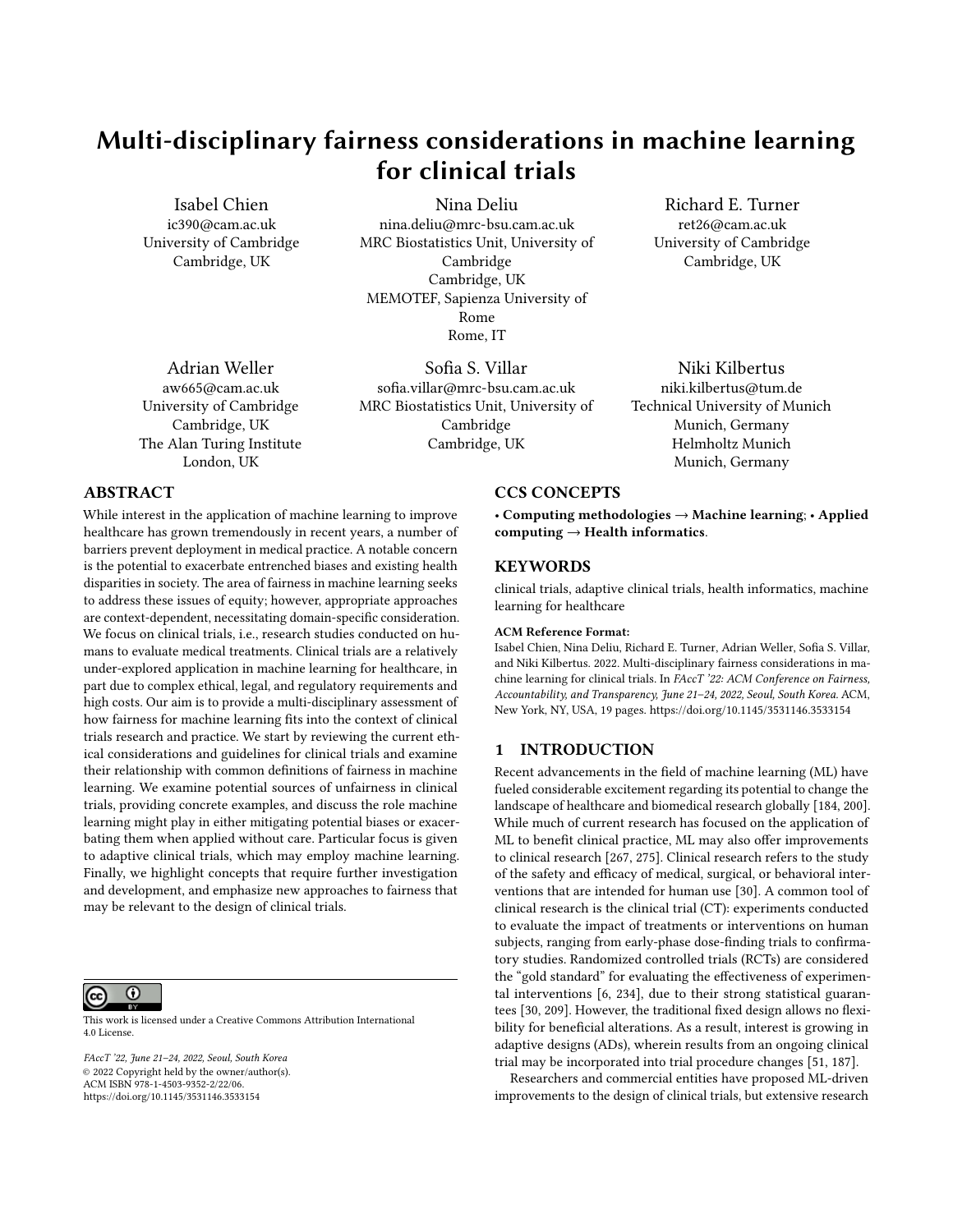# Multi-disciplinary fairness considerations in machine learning for clinical trials

[Isabel Chien](https://orcid.org/0000-0001-7207-8526) ic390@cam.ac.uk University of Cambridge Cambridge, UK

[Nina Deliu](https://orcid.org/0000-0003-2501-8795) nina.deliu@mrc-bsu.cam.ac.uk MRC Biostatistics Unit, University of Cambridge Cambridge, UK MEMOTEF, Sapienza University of Rome Rome, IT

[Adrian Weller](https://orcid.org/0000-0003-1915-7158) aw665@cam.ac.uk University of Cambridge Cambridge, UK The Alan Turing Institute London, UK

[Sofia S. Villar](https://orcid.org/0000-0001-7755-2637) sofia.villar@mrc-bsu.cam.ac.uk MRC Biostatistics Unit, University of Cambridge Cambridge, UK

[Richard E. Turner](https://orcid.org/0000-0003-0066-0984) ret26@cam.ac.uk University of Cambridge Cambridge, UK

[Niki Kilbertus](https://orcid.org/1234-5678-9012) niki.kilbertus@tum.de Technical University of Munich Munich, Germany Helmholtz Munich Munich, Germany

## ABSTRACT

While interest in the application of machine learning to improve healthcare has grown tremendously in recent years, a number of barriers prevent deployment in medical practice. A notable concern is the potential to exacerbate entrenched biases and existing health disparities in society. The area of fairness in machine learning seeks to address these issues of equity; however, appropriate approaches are context-dependent, necessitating domain-specific consideration. We focus on clinical trials, i.e., research studies conducted on humans to evaluate medical treatments. Clinical trials are a relatively under-explored application in machine learning for healthcare, in part due to complex ethical, legal, and regulatory requirements and high costs. Our aim is to provide a multi-disciplinary assessment of how fairness for machine learning fits into the context of clinical trials research and practice. We start by reviewing the current ethical considerations and guidelines for clinical trials and examine their relationship with common definitions of fairness in machine learning. We examine potential sources of unfairness in clinical trials, providing concrete examples, and discuss the role machine learning might play in either mitigating potential biases or exacerbating them when applied without care. Particular focus is given to adaptive clinical trials, which may employ machine learning. Finally, we highlight concepts that require further investigation and development, and emphasize new approaches to fairness that may be relevant to the design of clinical trials.



This work is licensed under a [Creative Commons Attribution International](https://creativecommons.org/licenses/by/4.0/) [4.0 License.](https://creativecommons.org/licenses/by/4.0/)

FAccT '22, June 21–24, 2022, Seoul, South Korea © 2022 Copyright held by the owner/author(s). ACM ISBN 978-1-4503-9352-2/22/06. <https://doi.org/10.1145/3531146.3533154>

## CCS CONCEPTS

• Computing methodologies → Machine learning; • Applied  $computing \rightarrow Health\ informatics.$ 

#### **KEYWORDS**

clinical trials, adaptive clinical trials, health informatics, machine learning for healthcare

#### ACM Reference Format:

Isabel Chien, Nina Deliu, Richard E. Turner, Adrian Weller, Sofia S. Villar, and Niki Kilbertus. 2022. Multi-disciplinary fairness considerations in machine learning for clinical trials. In FAccT '22: ACM Conference on Fairness, Accountability, and Transparency, June 21–24, 2022, Seoul, South Korea. ACM, New York, NY, USA, [19](#page-18-0) pages.<https://doi.org/10.1145/3531146.3533154>

## 1 INTRODUCTION

Recent advancements in the field of machine learning (ML) have fueled considerable excitement regarding its potential to change the landscape of healthcare and biomedical research globally [\[184,](#page-14-0) [200\]](#page-14-1). While much of current research has focused on the application of ML to benefit clinical practice, ML may also offer improvements to clinical research [\[267,](#page-15-0) [275\]](#page-16-0). Clinical research refers to the study of the safety and efficacy of medical, surgical, or behavioral interventions that are intended for human use [\[30\]](#page-10-0). A common tool of clinical research is the clinical trial (CT): experiments conducted to evaluate the impact of treatments or interventions on human subjects, ranging from early-phase dose-finding trials to confirmatory studies. Randomized controlled trials (RCTs) are considered the "gold standard" for evaluating the effectiveness of experimental interventions [\[6,](#page-10-1) [234\]](#page-15-1), due to their strong statistical guarantees [\[30,](#page-10-0) [209\]](#page-14-2). However, the traditional fixed design allows no flexibility for beneficial alterations. As a result, interest is growing in adaptive designs (ADs), wherein results from an ongoing clinical trial may be incorporated into trial procedure changes [\[51,](#page-11-0) [187\]](#page-14-3).

Researchers and commercial entities have proposed ML-driven improvements to the design of clinical trials, but extensive research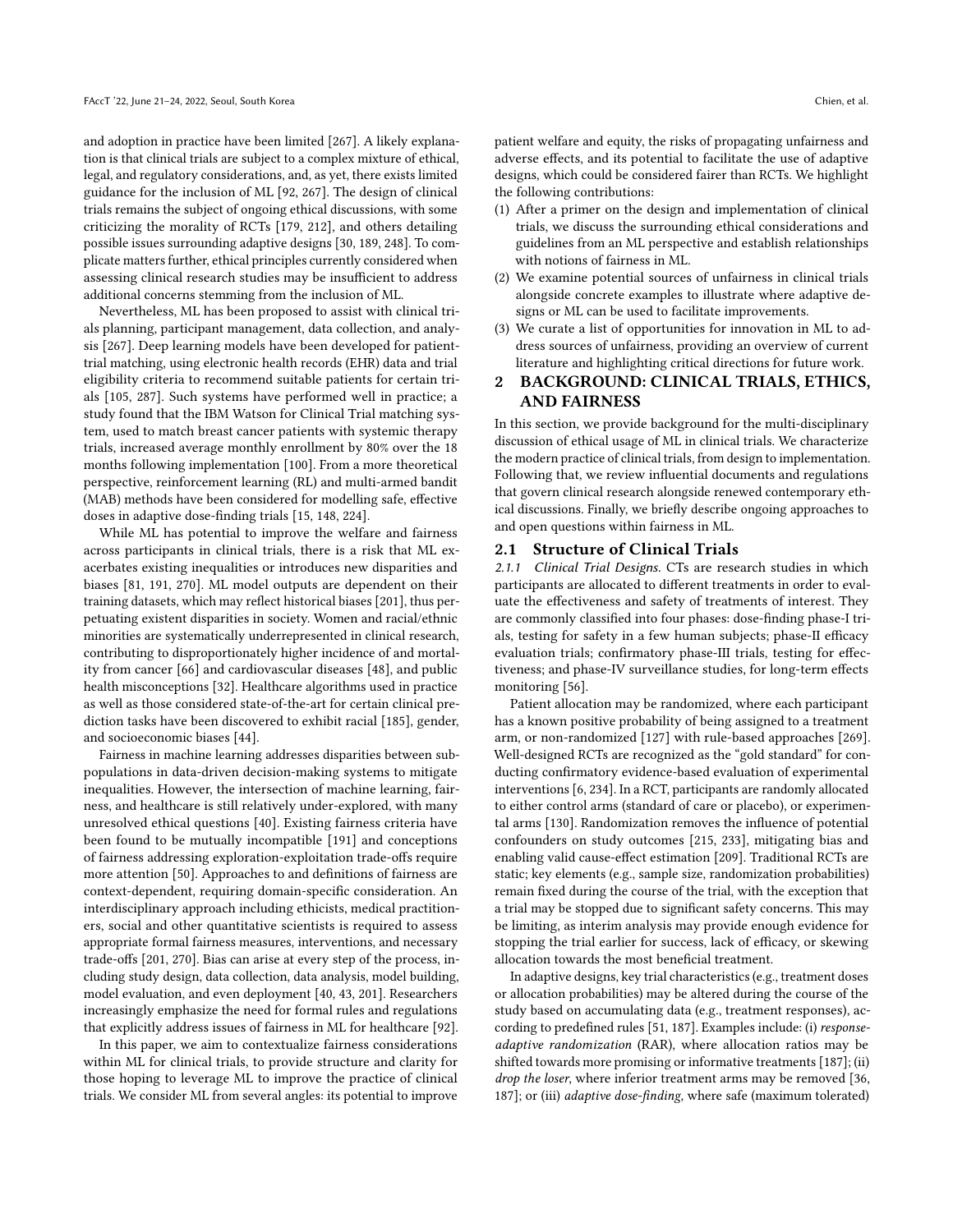and adoption in practice have been limited [\[267\]](#page-15-0). A likely explanation is that clinical trials are subject to a complex mixture of ethical, legal, and regulatory considerations, and, as yet, there exists limited guidance for the inclusion of ML [\[92,](#page-12-0) [267\]](#page-15-0). The design of clinical trials remains the subject of ongoing ethical discussions, with some criticizing the morality of RCTs [\[179,](#page-13-0) [212\]](#page-14-4), and others detailing possible issues surrounding adaptive designs [\[30,](#page-10-0) [189,](#page-14-5) [248\]](#page-15-2). To complicate matters further, ethical principles currently considered when assessing clinical research studies may be insufficient to address additional concerns stemming from the inclusion of ML.

Nevertheless, ML has been proposed to assist with clinical trials planning, participant management, data collection, and analysis [\[267\]](#page-15-0). Deep learning models have been developed for patienttrial matching, using electronic health records (EHR) data and trial eligibility criteria to recommend suitable patients for certain trials [\[105,](#page-12-1) [287\]](#page-16-1). Such systems have performed well in practice; a study found that the IBM Watson for Clinical Trial matching system, used to match breast cancer patients with systemic therapy trials, increased average monthly enrollment by 80% over the 18 months following implementation [\[100\]](#page-12-2). From a more theoretical perspective, reinforcement learning (RL) and multi-armed bandit (MAB) methods have been considered for modelling safe, effective doses in adaptive dose-finding trials [\[15,](#page-10-2) [148,](#page-13-1) [224\]](#page-14-6).

While ML has potential to improve the welfare and fairness across participants in clinical trials, there is a risk that ML exacerbates existing inequalities or introduces new disparities and biases [\[81,](#page-11-1) [191,](#page-14-7) [270\]](#page-16-2). ML model outputs are dependent on their training datasets, which may reflect historical biases [\[201\]](#page-14-8), thus perpetuating existent disparities in society. Women and racial/ethnic minorities are systematically underrepresented in clinical research, contributing to disproportionately higher incidence of and mortality from cancer [\[66\]](#page-11-2) and cardiovascular diseases [\[48\]](#page-11-3), and public health misconceptions [\[32\]](#page-10-3). Healthcare algorithms used in practice as well as those considered state-of-the-art for certain clinical prediction tasks have been discovered to exhibit racial [\[185\]](#page-14-9), gender, and socioeconomic biases [\[44\]](#page-11-4).

Fairness in machine learning addresses disparities between subpopulations in data-driven decision-making systems to mitigate inequalities. However, the intersection of machine learning, fairness, and healthcare is still relatively under-explored, with many unresolved ethical questions [\[40\]](#page-10-4). Existing fairness criteria have been found to be mutually incompatible [\[191\]](#page-14-7) and conceptions of fairness addressing exploration-exploitation trade-offs require more attention [\[50\]](#page-11-5). Approaches to and definitions of fairness are context-dependent, requiring domain-specific consideration. An interdisciplinary approach including ethicists, medical practitioners, social and other quantitative scientists is required to assess appropriate formal fairness measures, interventions, and necessary trade-offs [\[201,](#page-14-8) [270\]](#page-16-2). Bias can arise at every step of the process, including study design, data collection, data analysis, model building, model evaluation, and even deployment [\[40,](#page-10-4) [43,](#page-11-6) [201\]](#page-14-8). Researchers increasingly emphasize the need for formal rules and regulations that explicitly address issues of fairness in ML for healthcare [\[92\]](#page-12-0).

In this paper, we aim to contextualize fairness considerations within ML for clinical trials, to provide structure and clarity for those hoping to leverage ML to improve the practice of clinical trials. We consider ML from several angles: its potential to improve patient welfare and equity, the risks of propagating unfairness and adverse effects, and its potential to facilitate the use of adaptive designs, which could be considered fairer than RCTs. We highlight the following contributions:

- (1) After a primer on the design and implementation of clinical trials, we discuss the surrounding ethical considerations and guidelines from an ML perspective and establish relationships with notions of fairness in ML.
- (2) We examine potential sources of unfairness in clinical trials alongside concrete examples to illustrate where adaptive designs or ML can be used to facilitate improvements.
- (3) We curate a list of opportunities for innovation in ML to address sources of unfairness, providing an overview of current literature and highlighting critical directions for future work.

## 2 BACKGROUND: CLINICAL TRIALS, ETHICS, AND FAIRNESS

In this section, we provide background for the multi-disciplinary discussion of ethical usage of ML in clinical trials. We characterize the modern practice of clinical trials, from design to implementation. Following that, we review influential documents and regulations that govern clinical research alongside renewed contemporary ethical discussions. Finally, we briefly describe ongoing approaches to and open questions within fairness in ML.

#### 2.1 Structure of Clinical Trials

2.1.1 Clinical Trial Designs. CTs are research studies in which participants are allocated to different treatments in order to evaluate the effectiveness and safety of treatments of interest. They are commonly classified into four phases: dose-finding phase-I trials, testing for safety in a few human subjects; phase-II efficacy evaluation trials; confirmatory phase-III trials, testing for effectiveness; and phase-IV surveillance studies, for long-term effects monitoring [\[56\]](#page-11-7).

Patient allocation may be randomized, where each participant has a known positive probability of being assigned to a treatment arm, or non-randomized [\[127\]](#page-12-3) with rule-based approaches [\[269\]](#page-15-3). Well-designed RCTs are recognized as the "gold standard" for conducting confirmatory evidence-based evaluation of experimental interventions [\[6,](#page-10-1) [234\]](#page-15-1). In a RCT, participants are randomly allocated to either control arms (standard of care or placebo), or experimental arms [\[130\]](#page-12-4). Randomization removes the influence of potential confounders on study outcomes [\[215,](#page-14-10) [233\]](#page-15-4), mitigating bias and enabling valid cause-effect estimation [\[209\]](#page-14-2). Traditional RCTs are static; key elements (e.g., sample size, randomization probabilities) remain fixed during the course of the trial, with the exception that a trial may be stopped due to significant safety concerns. This may be limiting, as interim analysis may provide enough evidence for stopping the trial earlier for success, lack of efficacy, or skewing allocation towards the most beneficial treatment.

In adaptive designs, key trial characteristics (e.g., treatment doses or allocation probabilities) may be altered during the course of the study based on accumulating data (e.g., treatment responses), according to predefined rules [\[51,](#page-11-0) [187\]](#page-14-3). Examples include: (i) responseadaptive randomization (RAR), where allocation ratios may be shifted towards more promising or informative treatments [\[187\]](#page-14-3); (ii) drop the loser, where inferior treatment arms may be removed [\[36,](#page-10-5) [187\]](#page-14-3); or (iii) adaptive dose-finding, where safe (maximum tolerated)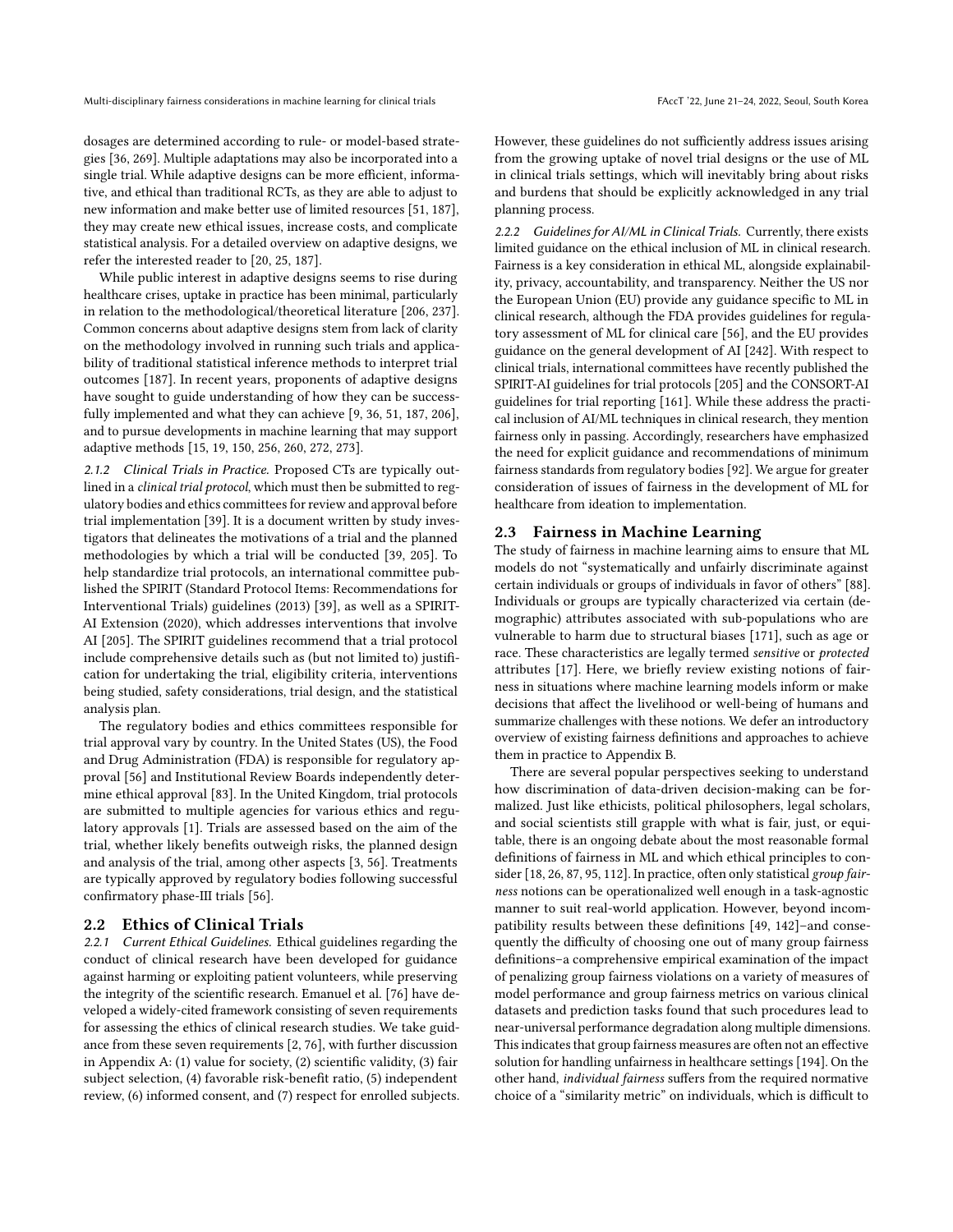dosages are determined according to rule- or model-based strategies [\[36,](#page-10-5) [269\]](#page-15-3). Multiple adaptations may also be incorporated into a single trial. While adaptive designs can be more efficient, informative, and ethical than traditional RCTs, as they are able to adjust to new information and make better use of limited resources [\[51,](#page-11-0) [187\]](#page-14-3), they may create new ethical issues, increase costs, and complicate statistical analysis. For a detailed overview on adaptive designs, we refer the interested reader to [\[20,](#page-10-6) [25,](#page-10-7) [187\]](#page-14-3).

While public interest in adaptive designs seems to rise during healthcare crises, uptake in practice has been minimal, particularly in relation to the methodological/theoretical literature [\[206,](#page-14-11) [237\]](#page-15-5). Common concerns about adaptive designs stem from lack of clarity on the methodology involved in running such trials and applicability of traditional statistical inference methods to interpret trial outcomes [\[187\]](#page-14-3). In recent years, proponents of adaptive designs have sought to guide understanding of how they can be successfully implemented and what they can achieve [\[9,](#page-10-8) [36,](#page-10-5) [51,](#page-11-0) [187,](#page-14-3) [206\]](#page-14-11), and to pursue developments in machine learning that may support adaptive methods [\[15,](#page-10-2) [19,](#page-10-9) [150,](#page-13-2) [256,](#page-15-6) [260,](#page-15-7) [272,](#page-16-3) [273\]](#page-16-4).

2.1.2 Clinical Trials in Practice. Proposed CTs are typically outlined in a clinical trial protocol, which must then be submitted to regulatory bodies and ethics committees for review and approval before trial implementation [\[39\]](#page-10-10). It is a document written by study investigators that delineates the motivations of a trial and the planned methodologies by which a trial will be conducted [\[39,](#page-10-10) [205\]](#page-14-12). To help standardize trial protocols, an international committee published the SPIRIT (Standard Protocol Items: Recommendations for Interventional Trials) guidelines (2013) [\[39\]](#page-10-10), as well as a SPIRIT-AI Extension (2020), which addresses interventions that involve AI [\[205\]](#page-14-12). The SPIRIT guidelines recommend that a trial protocol include comprehensive details such as (but not limited to) justification for undertaking the trial, eligibility criteria, interventions being studied, safety considerations, trial design, and the statistical analysis plan.

The regulatory bodies and ethics committees responsible for trial approval vary by country. In the United States (US), the Food and Drug Administration (FDA) is responsible for regulatory approval [\[56\]](#page-11-7) and Institutional Review Boards independently determine ethical approval [\[83\]](#page-11-8). In the United Kingdom, trial protocols are submitted to multiple agencies for various ethics and regulatory approvals [\[1\]](#page-10-11). Trials are assessed based on the aim of the trial, whether likely benefits outweigh risks, the planned design and analysis of the trial, among other aspects [\[3,](#page-10-12) [56\]](#page-11-7). Treatments are typically approved by regulatory bodies following successful confirmatory phase-III trials [\[56\]](#page-11-7).

## 2.2 Ethics of Clinical Trials

<span id="page-2-0"></span>2.2.1 Current Ethical Guidelines. Ethical guidelines regarding the conduct of clinical research have been developed for guidance against harming or exploiting patient volunteers, while preserving the integrity of the scientific research. Emanuel et al. [\[76\]](#page-11-9) have developed a widely-cited framework consisting of seven requirements for assessing the ethics of clinical research studies. We take guidance from these seven requirements [\[2,](#page-10-13) [76\]](#page-11-9), with further discussion in Appendix [A:](#page-16-5) (1) value for society, (2) scientific validity, (3) fair subject selection, (4) favorable risk-benefit ratio, (5) independent review, (6) informed consent, and (7) respect for enrolled subjects. However, these guidelines do not sufficiently address issues arising from the growing uptake of novel trial designs or the use of ML in clinical trials settings, which will inevitably bring about risks and burdens that should be explicitly acknowledged in any trial planning process.

2.2.2 Guidelines for AI/ML in Clinical Trials. Currently, there exists limited guidance on the ethical inclusion of ML in clinical research. Fairness is a key consideration in ethical ML, alongside explainability, privacy, accountability, and transparency. Neither the US nor the European Union (EU) provide any guidance specific to ML in clinical research, although the FDA provides guidelines for regulatory assessment of ML for clinical care [\[56\]](#page-11-7), and the EU provides guidance on the general development of AI [\[242\]](#page-15-8). With respect to clinical trials, international committees have recently published the SPIRIT-AI guidelines for trial protocols [\[205\]](#page-14-12) and the CONSORT-AI guidelines for trial reporting [\[161\]](#page-13-3). While these address the practical inclusion of AI/ML techniques in clinical research, they mention fairness only in passing. Accordingly, researchers have emphasized the need for explicit guidance and recommendations of minimum fairness standards from regulatory bodies [\[92\]](#page-12-0). We argue for greater consideration of issues of fairness in the development of ML for healthcare from ideation to implementation.

#### 2.3 Fairness in Machine Learning

The study of fairness in machine learning aims to ensure that ML models do not "systematically and unfairly discriminate against certain individuals or groups of individuals in favor of others" [\[88\]](#page-11-10). Individuals or groups are typically characterized via certain (demographic) attributes associated with sub-populations who are vulnerable to harm due to structural biases [\[171\]](#page-13-4), such as age or race. These characteristics are legally termed sensitive or protected attributes [\[17\]](#page-10-14). Here, we briefly review existing notions of fairness in situations where machine learning models inform or make decisions that affect the livelihood or well-being of humans and summarize challenges with these notions. We defer an introductory overview of existing fairness definitions and approaches to achieve them in practice to Appendix [B.](#page-17-0)

There are several popular perspectives seeking to understand how discrimination of data-driven decision-making can be formalized. Just like ethicists, political philosophers, legal scholars, and social scientists still grapple with what is fair, just, or equitable, there is an ongoing debate about the most reasonable formal definitions of fairness in ML and which ethical principles to con-sider [\[18,](#page-10-15) [26,](#page-10-16) [87,](#page-11-11) [95,](#page-12-5) [112\]](#page-12-6). In practice, often only statistical group fairness notions can be operationalized well enough in a task-agnostic manner to suit real-world application. However, beyond incompatibility results between these definitions [\[49,](#page-11-12) [142\]](#page-13-5)–and consequently the difficulty of choosing one out of many group fairness definitions–a comprehensive empirical examination of the impact of penalizing group fairness violations on a variety of measures of model performance and group fairness metrics on various clinical datasets and prediction tasks found that such procedures lead to near-universal performance degradation along multiple dimensions. This indicates that group fairness measures are often not an effective solution for handling unfairness in healthcare settings [\[194\]](#page-14-13). On the other hand, individual fairness suffers from the required normative choice of a "similarity metric" on individuals, which is difficult to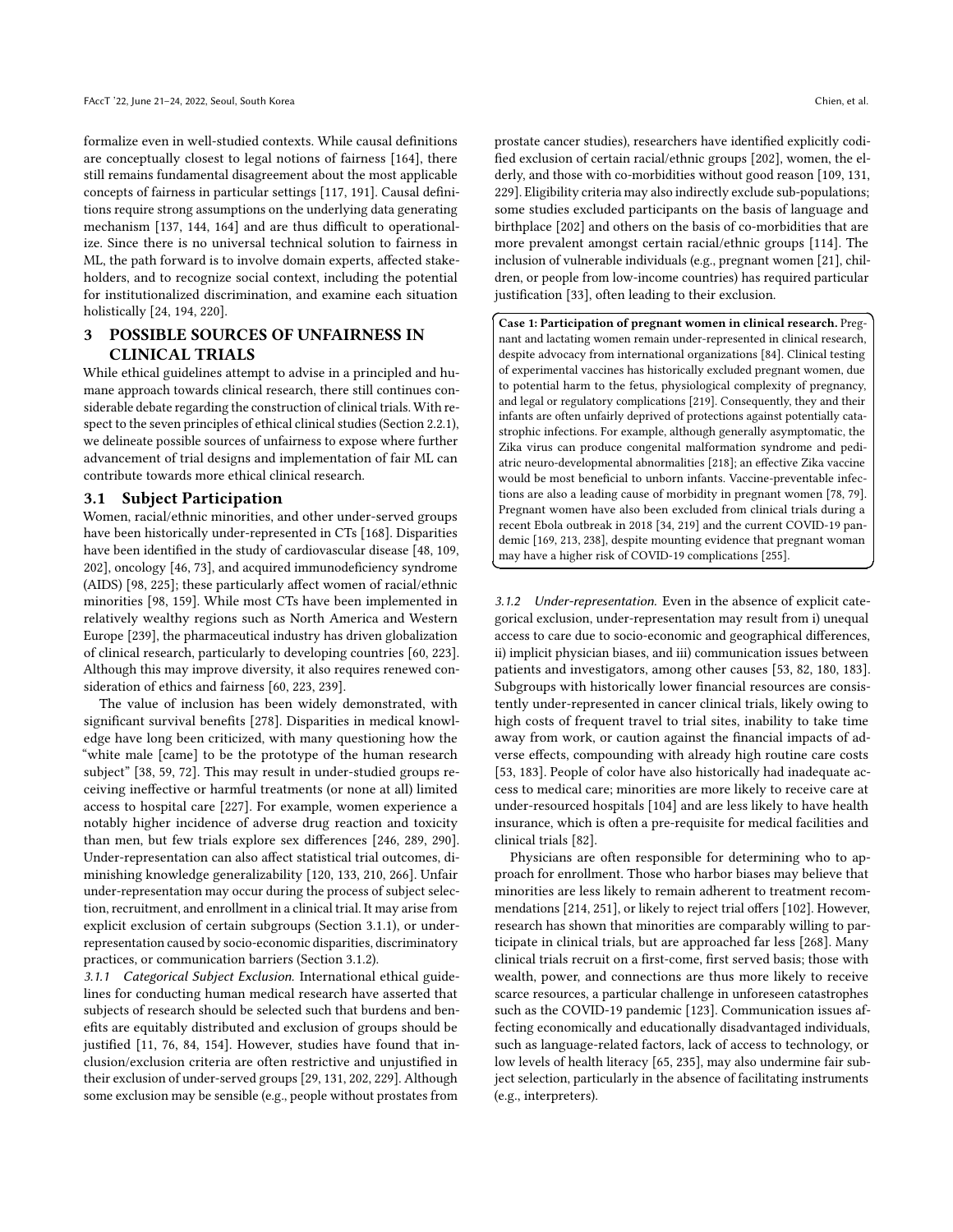formalize even in well-studied contexts. While causal definitions are conceptually closest to legal notions of fairness [\[164\]](#page-13-6), there still remains fundamental disagreement about the most applicable concepts of fairness in particular settings [\[117,](#page-12-7) [191\]](#page-14-7). Causal definitions require strong assumptions on the underlying data generating mechanism [\[137,](#page-12-8) [144,](#page-13-7) [164\]](#page-13-6) and are thus difficult to operationalize. Since there is no universal technical solution to fairness in ML, the path forward is to involve domain experts, affected stakeholders, and to recognize social context, including the potential for institutionalized discrimination, and examine each situation holistically [\[24,](#page-10-17) [194,](#page-14-13) [220\]](#page-14-14).

# <span id="page-3-3"></span>3 POSSIBLE SOURCES OF UNFAIRNESS IN CLINICAL TRIALS

While ethical guidelines attempt to advise in a principled and humane approach towards clinical research, there still continues considerable debate regarding the construction of clinical trials. With respect to the seven principles of ethical clinical studies (Section [2.2.1\)](#page-2-0), we delineate possible sources of unfairness to expose where further advancement of trial designs and implementation of fair ML can contribute towards more ethical clinical research.

#### <span id="page-3-2"></span>3.1 Subject Participation

Women, racial/ethnic minorities, and other under-served groups have been historically under-represented in CTs [\[168\]](#page-13-8). Disparities have been identified in the study of cardiovascular disease [\[48,](#page-11-3) [109,](#page-12-9) [202\]](#page-14-15), oncology [\[46,](#page-11-13) [73\]](#page-11-14), and acquired immunodeficiency syndrome (AIDS) [\[98,](#page-12-10) [225\]](#page-14-16); these particularly affect women of racial/ethnic minorities [\[98,](#page-12-10) [159\]](#page-13-9). While most CTs have been implemented in relatively wealthy regions such as North America and Western Europe [\[239\]](#page-15-9), the pharmaceutical industry has driven globalization of clinical research, particularly to developing countries [\[60,](#page-11-15) [223\]](#page-14-17). Although this may improve diversity, it also requires renewed consideration of ethics and fairness [\[60,](#page-11-15) [223,](#page-14-17) [239\]](#page-15-9).

The value of inclusion has been widely demonstrated, with significant survival benefits [\[278\]](#page-16-6). Disparities in medical knowledge have long been criticized, with many questioning how the "white male [came] to be the prototype of the human research subject" [\[38,](#page-10-18) [59,](#page-11-16) [72\]](#page-11-17). This may result in under-studied groups receiving ineffective or harmful treatments (or none at all) limited access to hospital care [\[227\]](#page-14-18). For example, women experience a notably higher incidence of adverse drug reaction and toxicity than men, but few trials explore sex differences [\[246,](#page-15-10) [289,](#page-16-7) [290\]](#page-16-8). Under-representation can also affect statistical trial outcomes, diminishing knowledge generalizability [\[120,](#page-12-11) [133,](#page-12-12) [210,](#page-14-19) [266\]](#page-15-11). Unfair under-representation may occur during the process of subject selection, recruitment, and enrollment in a clinical trial. It may arise from explicit exclusion of certain subgroups (Section [3.1.1\)](#page-3-0), or underrepresentation caused by socio-economic disparities, discriminatory practices, or communication barriers (Section [3.1.2\)](#page-3-1).

<span id="page-3-0"></span>3.1.1 Categorical Subject Exclusion. International ethical guidelines for conducting human medical research have asserted that subjects of research should be selected such that burdens and benefits are equitably distributed and exclusion of groups should be justified [\[11,](#page-10-19) [76,](#page-11-9) [84,](#page-11-18) [154\]](#page-13-10). However, studies have found that inclusion/exclusion criteria are often restrictive and unjustified in their exclusion of under-served groups [\[29,](#page-10-20) [131,](#page-12-13) [202,](#page-14-15) [229\]](#page-14-20). Although some exclusion may be sensible (e.g., people without prostates from

☎

✆

prostate cancer studies), researchers have identified explicitly codified exclusion of certain racial/ethnic groups [\[202\]](#page-14-15), women, the elderly, and those with co-morbidities without good reason [\[109,](#page-12-9) [131,](#page-12-13) [229\]](#page-14-20). Eligibility criteria may also indirectly exclude sub-populations; some studies excluded participants on the basis of language and birthplace [\[202\]](#page-14-15) and others on the basis of co-morbidities that are more prevalent amongst certain racial/ethnic groups [\[114\]](#page-12-14). The inclusion of vulnerable individuals (e.g., pregnant women [\[21\]](#page-10-21), children, or people from low-income countries) has required particular justification [\[33\]](#page-10-22), often leading to their exclusion.

✞ Case 1: Participation of pregnant women in clinical research. Preg-✝ nant and lactating women remain under-represented in clinical research, despite advocacy from international organizations [\[84\]](#page-11-18). Clinical testing of experimental vaccines has historically excluded pregnant women, due to potential harm to the fetus, physiological complexity of pregnancy, and legal or regulatory complications [\[219\]](#page-14-21). Consequently, they and their infants are often unfairly deprived of protections against potentially catastrophic infections. For example, although generally asymptomatic, the Zika virus can produce congenital malformation syndrome and pediatric neuro-developmental abnormalities [\[218\]](#page-14-22); an effective Zika vaccine would be most beneficial to unborn infants. Vaccine-preventable infections are also a leading cause of morbidity in pregnant women [\[78,](#page-11-19) [79\]](#page-11-20). Pregnant women have also been excluded from clinical trials during a recent Ebola outbreak in 2018 [\[34,](#page-10-23) [219\]](#page-14-21) and the current COVID-19 pandemic [\[169,](#page-13-11) [213,](#page-14-23) [238\]](#page-15-12), despite mounting evidence that pregnant woman may have a higher risk of COVID-19 complications [\[255\]](#page-15-13).

<span id="page-3-1"></span>3.1.2 Under-representation. Even in the absence of explicit categorical exclusion, under-representation may result from i) unequal access to care due to socio-economic and geographical differences, ii) implicit physician biases, and iii) communication issues between patients and investigators, among other causes [\[53,](#page-11-21) [82,](#page-11-22) [180,](#page-13-12) [183\]](#page-14-24). Subgroups with historically lower financial resources are consistently under-represented in cancer clinical trials, likely owing to high costs of frequent travel to trial sites, inability to take time away from work, or caution against the financial impacts of adverse effects, compounding with already high routine care costs [\[53,](#page-11-21) [183\]](#page-14-24). People of color have also historically had inadequate access to medical care; minorities are more likely to receive care at under-resourced hospitals [\[104\]](#page-12-15) and are less likely to have health insurance, which is often a pre-requisite for medical facilities and clinical trials [\[82\]](#page-11-22).

Physicians are often responsible for determining who to approach for enrollment. Those who harbor biases may believe that minorities are less likely to remain adherent to treatment recommendations [\[214,](#page-14-25) [251\]](#page-15-14), or likely to reject trial offers [\[102\]](#page-12-16). However, research has shown that minorities are comparably willing to participate in clinical trials, but are approached far less [\[268\]](#page-15-15). Many clinical trials recruit on a first-come, first served basis; those with wealth, power, and connections are thus more likely to receive scarce resources, a particular challenge in unforeseen catastrophes such as the COVID-19 pandemic [\[123\]](#page-12-17). Communication issues affecting economically and educationally disadvantaged individuals, such as language-related factors, lack of access to technology, or low levels of health literacy [\[65,](#page-11-23) [235\]](#page-15-16), may also undermine fair subject selection, particularly in the absence of facilitating instruments (e.g., interpreters).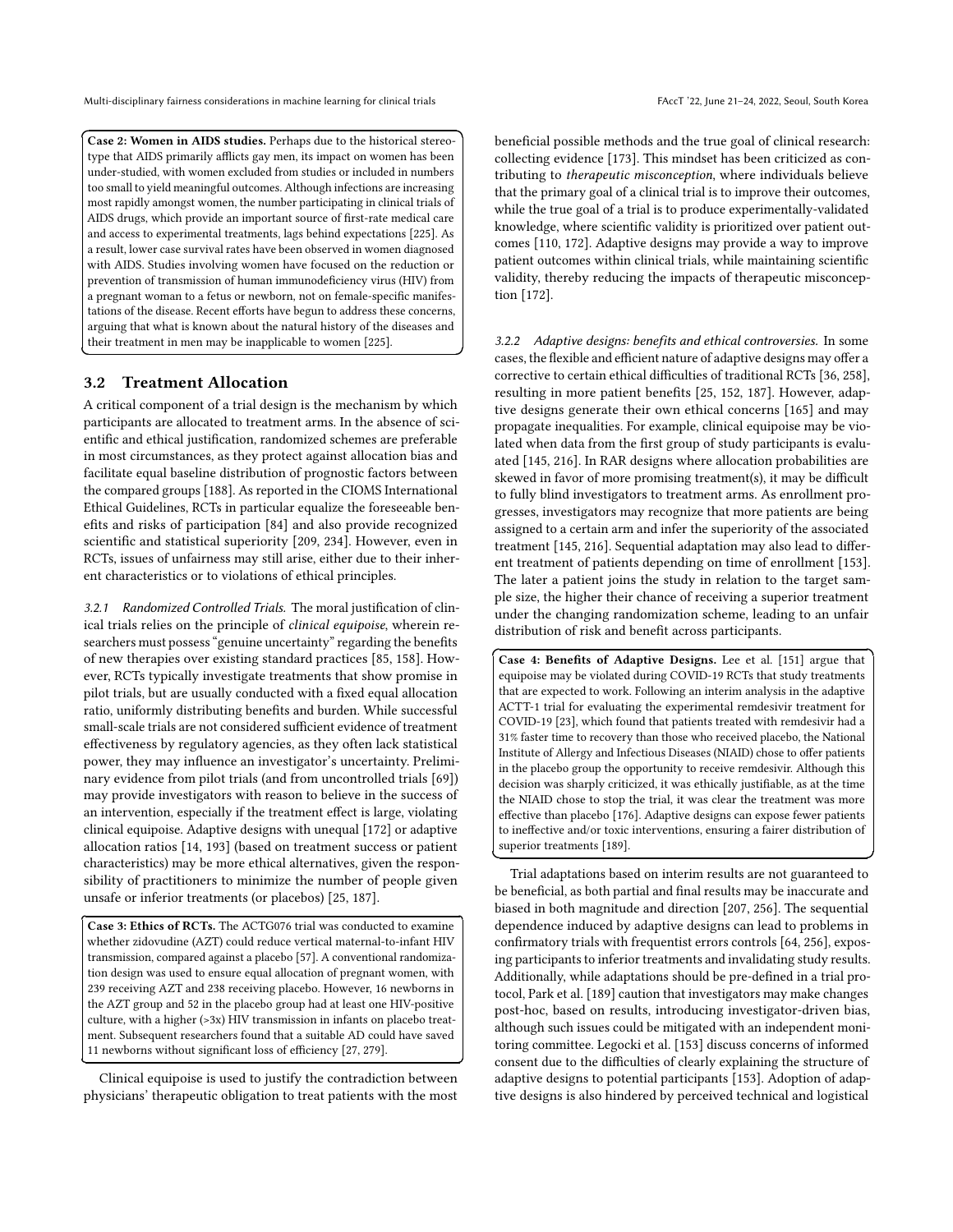☎

✆

Ĭ.

 $\overline{a}$ 

Case 2: Women in AIDS studies. Perhaps due to the historical stereo-✝ type that AIDS primarily afflicts gay men, its impact on women has been under-studied, with women excluded from studies or included in numbers too small to yield meaningful outcomes. Although infections are increasing most rapidly amongst women, the number participating in clinical trials of AIDS drugs, which provide an important source of first-rate medical care and access to experimental treatments, lags behind expectations [\[225\]](#page-14-16). As a result, lower case survival rates have been observed in women diagnosed with AIDS. Studies involving women have focused on the reduction or prevention of transmission of human immunodeficiency virus (HIV) from a pregnant woman to a fetus or newborn, not on female-specific manifestations of the disease. Recent efforts have begun to address these concerns, arguing that what is known about the natural history of the diseases and their treatment in men may be inapplicable to women [\[225\]](#page-14-16).

## 3.2 Treatment Allocation

A critical component of a trial design is the mechanism by which participants are allocated to treatment arms. In the absence of scientific and ethical justification, randomized schemes are preferable in most circumstances, as they protect against allocation bias and facilitate equal baseline distribution of prognostic factors between the compared groups [\[188\]](#page-14-26). As reported in the CIOMS International Ethical Guidelines, RCTs in particular equalize the foreseeable benefits and risks of participation [\[84\]](#page-11-18) and also provide recognized scientific and statistical superiority [\[209,](#page-14-2) [234\]](#page-15-1). However, even in RCTs, issues of unfairness may still arise, either due to their inherent characteristics or to violations of ethical principles.

3.2.1 Randomized Controlled Trials. The moral justification of clinical trials relies on the principle of clinical equipoise, wherein researchers must possess "genuine uncertainty" regarding the benefits of new therapies over existing standard practices [\[85,](#page-11-24) [158\]](#page-13-13). However, RCTs typically investigate treatments that show promise in pilot trials, but are usually conducted with a fixed equal allocation ratio, uniformly distributing benefits and burden. While successful small-scale trials are not considered sufficient evidence of treatment effectiveness by regulatory agencies, as they often lack statistical power, they may influence an investigator's uncertainty. Preliminary evidence from pilot trials (and from uncontrolled trials [\[69\]](#page-11-25)) may provide investigators with reason to believe in the success of an intervention, especially if the treatment effect is large, violating clinical equipoise. Adaptive designs with unequal [\[172\]](#page-13-14) or adaptive allocation ratios [\[14,](#page-10-24) [193\]](#page-14-27) (based on treatment success or patient characteristics) may be more ethical alternatives, given the responsibility of practitioners to minimize the number of people given unsafe or inferior treatments (or placebos) [\[25,](#page-10-7) [187\]](#page-14-3).

✄  $\overline{a}$ Case 3: Ethics of RCTs. The ACTG076 trial was conducted to examine whether zidovudine (AZT) could reduce vertical maternal-to-infant HIV transmission, compared against a placebo [\[57\]](#page-11-26). A conventional randomization design was used to ensure equal allocation of pregnant women, with 239 receiving AZT and 238 receiving placebo. However, 16 newborns in the AZT group and 52 in the placebo group had at least one HIV-positive culture, with a higher (>3x) HIV transmission in infants on placebo treatment. Subsequent researchers found that a suitable AD could have saved 11 newborns without significant loss of efficiency [\[27,](#page-10-25) [279\]](#page-16-9).

Clinical equipoise is used to justify the contradiction between physicians' therapeutic obligation to treat patients with the most

beneficial possible methods and the true goal of clinical research: collecting evidence [\[173\]](#page-13-15). This mindset has been criticized as contributing to therapeutic misconception, where individuals believe that the primary goal of a clinical trial is to improve their outcomes, while the true goal of a trial is to produce experimentally-validated knowledge, where scientific validity is prioritized over patient outcomes [\[110,](#page-12-18) [172\]](#page-13-14). Adaptive designs may provide a way to improve patient outcomes within clinical trials, while maintaining scientific validity, thereby reducing the impacts of therapeutic misconception [\[172\]](#page-13-14).

<span id="page-4-0"></span>3.2.2 Adaptive designs: benefits and ethical controversies. In some cases, the flexible and efficient nature of adaptive designs may offer a corrective to certain ethical difficulties of traditional RCTs [\[36,](#page-10-5) [258\]](#page-15-17), resulting in more patient benefits [\[25,](#page-10-7) [152,](#page-13-16) [187\]](#page-14-3). However, adaptive designs generate their own ethical concerns [\[165\]](#page-13-17) and may propagate inequalities. For example, clinical equipoise may be violated when data from the first group of study participants is evaluated [\[145,](#page-13-18) [216\]](#page-14-28). In RAR designs where allocation probabilities are skewed in favor of more promising treatment(s), it may be difficult to fully blind investigators to treatment arms. As enrollment progresses, investigators may recognize that more patients are being assigned to a certain arm and infer the superiority of the associated treatment [\[145,](#page-13-18) [216\]](#page-14-28). Sequential adaptation may also lead to different treatment of patients depending on time of enrollment [\[153\]](#page-13-19). The later a patient joins the study in relation to the target sample size, the higher their chance of receiving a superior treatment under the changing randomization scheme, leading to an unfair distribution of risk and benefit across participants.

Case 4: Benefits of Adaptive Designs. Lee et al. [\[151\]](#page-13-20) argue that ✝ equipoise may be violated during COVID-19 RCTs that study treatments that are expected to work. Following an interim analysis in the adaptive ACTT-1 trial for evaluating the experimental remdesivir treatment for COVID-19 [\[23\]](#page-10-26), which found that patients treated with remdesivir had a 31% faster time to recovery than those who received placebo, the National Institute of Allergy and Infectious Diseases (NIAID) chose to offer patients in the placebo group the opportunity to receive remdesivir. Although this decision was sharply criticized, it was ethically justifiable, as at the time the NIAID chose to stop the trial, it was clear the treatment was more effective than placebo [\[176\]](#page-13-21). Adaptive designs can expose fewer patients to ineffective and/or toxic interventions, ensuring a fairer distribution of superior treatments [\[189\]](#page-14-5).

☎

✆

Trial adaptations based on interim results are not guaranteed to be beneficial, as both partial and final results may be inaccurate and biased in both magnitude and direction [\[207,](#page-14-29) [256\]](#page-15-6). The sequential dependence induced by adaptive designs can lead to problems in confirmatory trials with frequentist errors controls [\[64,](#page-11-27) [256\]](#page-15-6), exposing participants to inferior treatments and invalidating study results. Additionally, while adaptations should be pre-defined in a trial protocol, Park et al. [\[189\]](#page-14-5) caution that investigators may make changes post-hoc, based on results, introducing investigator-driven bias, although such issues could be mitigated with an independent monitoring committee. Legocki et al. [\[153\]](#page-13-19) discuss concerns of informed consent due to the difficulties of clearly explaining the structure of adaptive designs to potential participants [\[153\]](#page-13-19). Adoption of adaptive designs is also hindered by perceived technical and logistical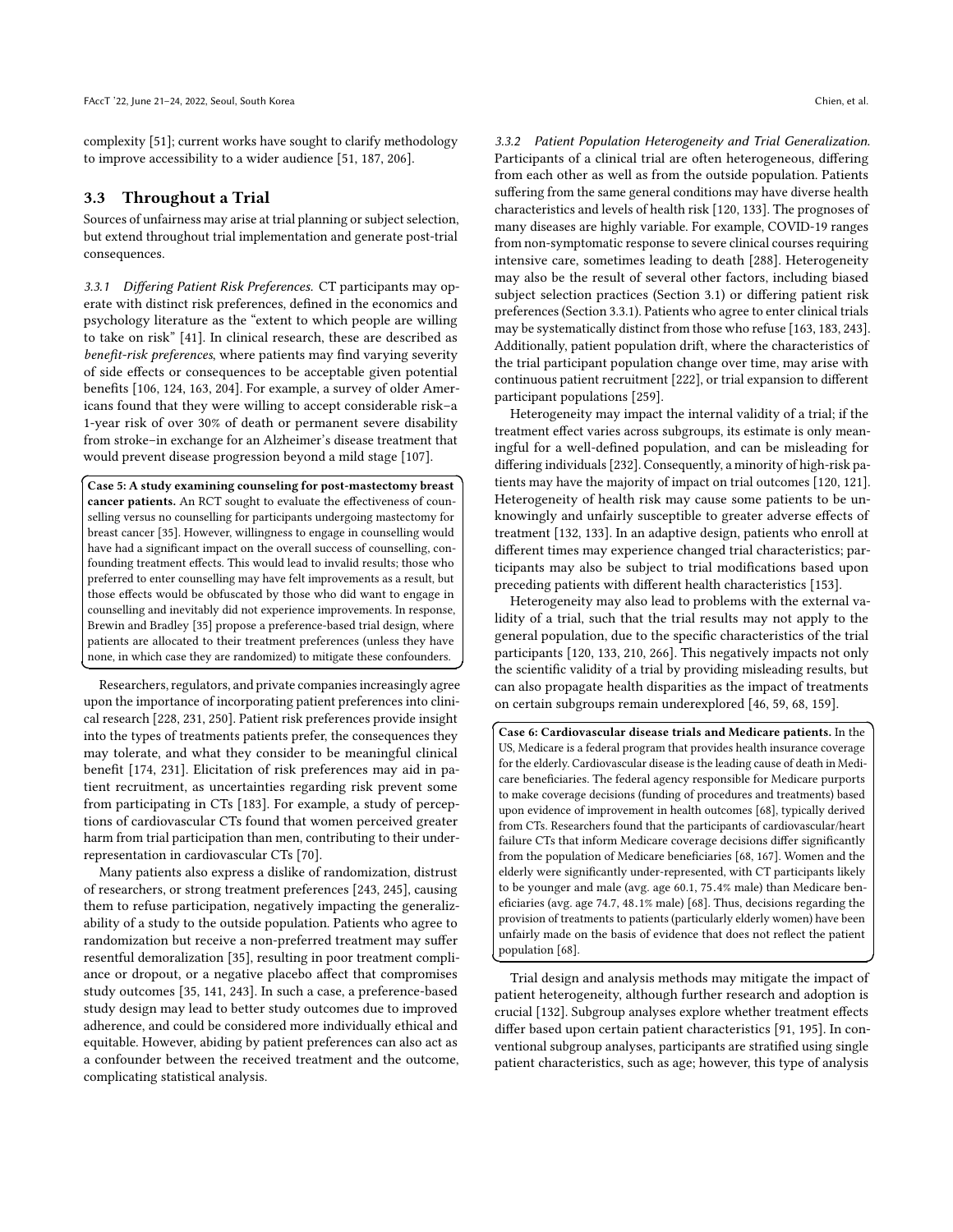complexity [\[51\]](#page-11-0); current works have sought to clarify methodology to improve accessibility to a wider audience [\[51,](#page-11-0) [187,](#page-14-3) [206\]](#page-14-11).

## 3.3 Throughout a Trial

Sources of unfairness may arise at trial planning or subject selection, but extend throughout trial implementation and generate post-trial consequences.

<span id="page-5-0"></span>3.3.1 Differing Patient Risk Preferences. CT participants may operate with distinct risk preferences, defined in the economics and psychology literature as the "extent to which people are willing to take on risk" [\[41\]](#page-11-28). In clinical research, these are described as benefit-risk preferences, where patients may find varying severity of side effects or consequences to be acceptable given potential benefits [\[106,](#page-12-19) [124,](#page-12-20) [163,](#page-13-22) [204\]](#page-14-30). For example, a survey of older Americans found that they were willing to accept considerable risk–a 1-year risk of over 30% of death or permanent severe disability from stroke–in exchange for an Alzheimer's disease treatment that would prevent disease progression beyond a mild stage [\[107\]](#page-12-21).

Case 5: A study examining counseling for post-mastectomy breast ✝ cancer patients. An RCT sought to evaluate the effectiveness of counselling versus no counselling for participants undergoing mastectomy for breast cancer [\[35\]](#page-10-27). However, willingness to engage in counselling would have had a significant impact on the overall success of counselling, confounding treatment effects. This would lead to invalid results; those who preferred to enter counselling may have felt improvements as a result, but those effects would be obfuscated by those who did want to engage in counselling and inevitably did not experience improvements. In response, Brewin and Bradley [\[35\]](#page-10-27) propose a preference-based trial design, where patients are allocated to their treatment preferences (unless they have none, in which case they are randomized) to mitigate these confounders.

☎

✆

Researchers, regulators, and private companies increasingly agree upon the importance of incorporating patient preferences into clinical research [\[228,](#page-14-31) [231,](#page-15-18) [250\]](#page-15-19). Patient risk preferences provide insight into the types of treatments patients prefer, the consequences they may tolerate, and what they consider to be meaningful clinical benefit [\[174,](#page-13-23) [231\]](#page-15-18). Elicitation of risk preferences may aid in patient recruitment, as uncertainties regarding risk prevent some from participating in CTs [\[183\]](#page-14-24). For example, a study of perceptions of cardiovascular CTs found that women perceived greater harm from trial participation than men, contributing to their underrepresentation in cardiovascular CTs [\[70\]](#page-11-29).

<span id="page-5-1"></span>Many patients also express a dislike of randomization, distrust of researchers, or strong treatment preferences [\[243,](#page-15-20) [245\]](#page-15-21), causing them to refuse participation, negatively impacting the generalizability of a study to the outside population. Patients who agree to randomization but receive a non-preferred treatment may suffer resentful demoralization [\[35\]](#page-10-27), resulting in poor treatment compliance or dropout, or a negative placebo affect that compromises study outcomes [\[35,](#page-10-27) [141,](#page-13-24) [243\]](#page-15-20). In such a case, a preference-based study design may lead to better study outcomes due to improved adherence, and could be considered more individually ethical and equitable. However, abiding by patient preferences can also act as a confounder between the received treatment and the outcome, complicating statistical analysis.

☎

✆

3.3.2 Patient Population Heterogeneity and Trial Generalization. Participants of a clinical trial are often heterogeneous, differing from each other as well as from the outside population. Patients suffering from the same general conditions may have diverse health characteristics and levels of health risk [\[120,](#page-12-11) [133\]](#page-12-12). The prognoses of many diseases are highly variable. For example, COVID-19 ranges from non-symptomatic response to severe clinical courses requiring intensive care, sometimes leading to death [\[288\]](#page-16-10). Heterogeneity may also be the result of several other factors, including biased subject selection practices (Section [3.1\)](#page-3-2) or differing patient risk preferences (Section [3.3.1\)](#page-5-0). Patients who agree to enter clinical trials may be systematically distinct from those who refuse [\[163,](#page-13-22) [183,](#page-14-24) [243\]](#page-15-20). Additionally, patient population drift, where the characteristics of the trial participant population change over time, may arise with continuous patient recruitment [\[222\]](#page-14-32), or trial expansion to different participant populations [\[259\]](#page-15-22).

Heterogeneity may impact the internal validity of a trial; if the treatment effect varies across subgroups, its estimate is only meaningful for a well-defined population, and can be misleading for differing individuals [\[232\]](#page-15-23). Consequently, a minority of high-risk patients may have the majority of impact on trial outcomes [\[120,](#page-12-11) [121\]](#page-12-22). Heterogeneity of health risk may cause some patients to be unknowingly and unfairly susceptible to greater adverse effects of treatment [\[132,](#page-12-23) [133\]](#page-12-12). In an adaptive design, patients who enroll at different times may experience changed trial characteristics; participants may also be subject to trial modifications based upon preceding patients with different health characteristics [\[153\]](#page-13-19).

Heterogeneity may also lead to problems with the external validity of a trial, such that the trial results may not apply to the general population, due to the specific characteristics of the trial participants [\[120,](#page-12-11) [133,](#page-12-12) [210,](#page-14-19) [266\]](#page-15-11). This negatively impacts not only the scientific validity of a trial by providing misleading results, but can also propagate health disparities as the impact of treatments on certain subgroups remain underexplored [\[46,](#page-11-13) [59,](#page-11-16) [68,](#page-11-30) [159\]](#page-13-9).

Case 6: Cardiovascular disease trials and Medicare patients. In the ✝ US, Medicare is a federal program that provides health insurance coverage for the elderly. Cardiovascular disease is the leading cause of death in Medicare beneficiaries. The federal agency responsible for Medicare purports to make coverage decisions (funding of procedures and treatments) based upon evidence of improvement in health outcomes [\[68\]](#page-11-30), typically derived from CTs. Researchers found that the participants of cardiovascular/heart failure CTs that inform Medicare coverage decisions differ significantly from the population of Medicare beneficiaries [\[68,](#page-11-30) [167\]](#page-13-25). Women and the elderly were significantly under-represented, with CT participants likely to be younger and male (avg. age 60.1, <sup>75</sup>.4% male) than Medicare beneficiaries (avg. age 74.7, <sup>48</sup>.1% male) [\[68\]](#page-11-30). Thus, decisions regarding the provision of treatments to patients (particularly elderly women) have been unfairly made on the basis of evidence that does not reflect the patient population [\[68\]](#page-11-30).

Trial design and analysis methods may mitigate the impact of patient heterogeneity, although further research and adoption is crucial [\[132\]](#page-12-23). Subgroup analyses explore whether treatment effects differ based upon certain patient characteristics [\[91,](#page-12-24) [195\]](#page-14-33). In conventional subgroup analyses, participants are stratified using single patient characteristics, such as age; however, this type of analysis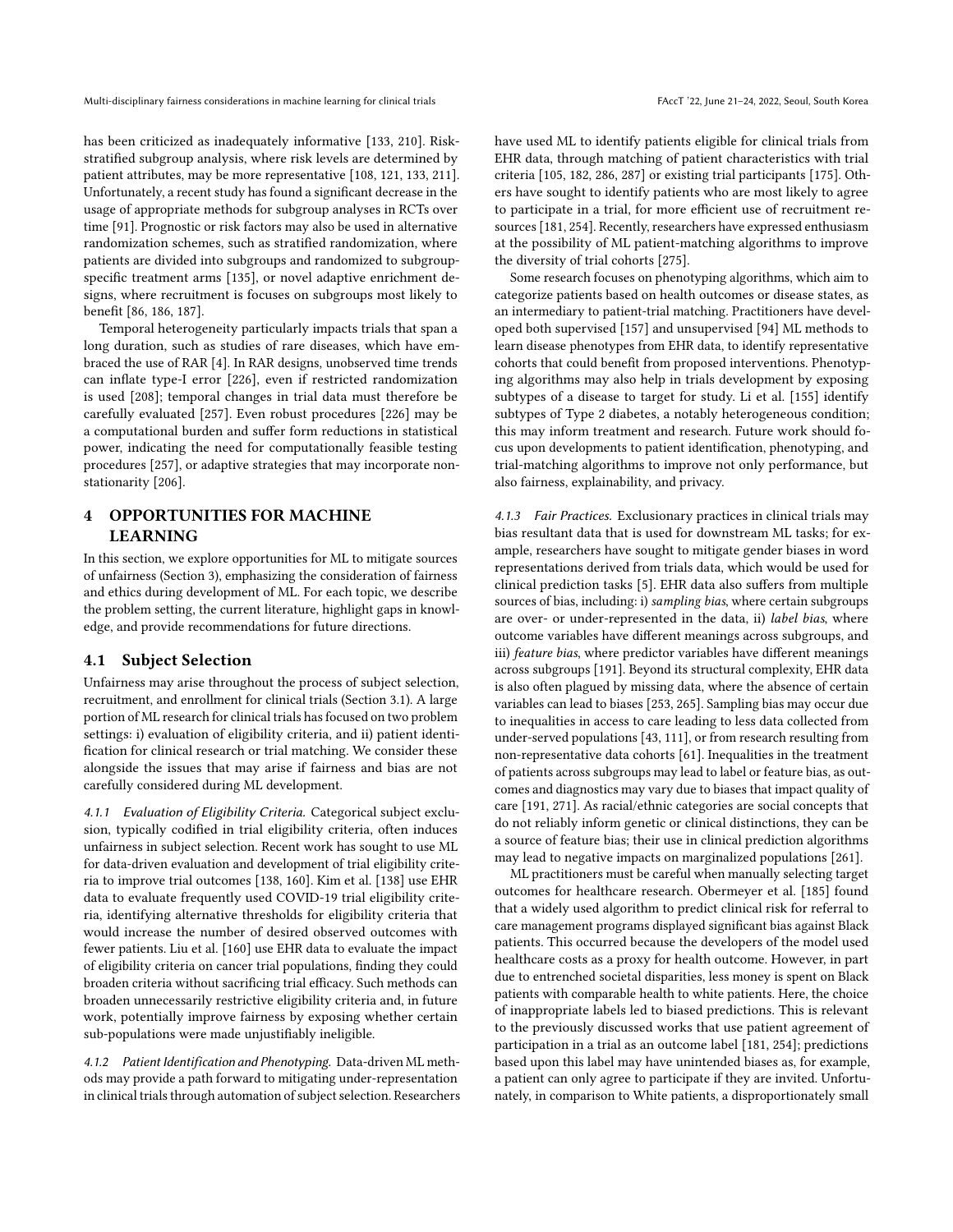has been criticized as inadequately informative [\[133,](#page-12-12) [210\]](#page-14-19). Riskstratified subgroup analysis, where risk levels are determined by patient attributes, may be more representative [\[108,](#page-12-25) [121,](#page-12-22) [133,](#page-12-12) [211\]](#page-14-34). Unfortunately, a recent study has found a significant decrease in the usage of appropriate methods for subgroup analyses in RCTs over time [\[91\]](#page-12-24). Prognostic or risk factors may also be used in alternative randomization schemes, such as stratified randomization, where patients are divided into subgroups and randomized to subgroupspecific treatment arms [\[135\]](#page-12-26), or novel adaptive enrichment designs, where recruitment is focuses on subgroups most likely to benefit [\[86,](#page-11-31) [186,](#page-14-35) [187\]](#page-14-3).

Temporal heterogeneity particularly impacts trials that span a long duration, such as studies of rare diseases, which have embraced the use of RAR [\[4\]](#page-10-28). In RAR designs, unobserved time trends can inflate type-I error [\[226\]](#page-14-36), even if restricted randomization is used [\[208\]](#page-14-37); temporal changes in trial data must therefore be carefully evaluated [\[257\]](#page-15-24). Even robust procedures [\[226\]](#page-14-36) may be a computational burden and suffer form reductions in statistical power, indicating the need for computationally feasible testing procedures [\[257\]](#page-15-24), or adaptive strategies that may incorporate nonstationarity [\[206\]](#page-14-11).

## 4 OPPORTUNITIES FOR MACHINE LEARNING

In this section, we explore opportunities for ML to mitigate sources of unfairness (Section [3\)](#page-3-3), emphasizing the consideration of fairness and ethics during development of ML. For each topic, we describe the problem setting, the current literature, highlight gaps in knowledge, and provide recommendations for future directions.

#### 4.1 Subject Selection

Unfairness may arise throughout the process of subject selection, recruitment, and enrollment for clinical trials (Section [3.1\)](#page-3-2). A large portion of ML research for clinical trials has focused on two problem settings: i) evaluation of eligibility criteria, and ii) patient identification for clinical research or trial matching. We consider these alongside the issues that may arise if fairness and bias are not carefully considered during ML development.

4.1.1 Evaluation of Eligibility Criteria. Categorical subject exclusion, typically codified in trial eligibility criteria, often induces unfairness in subject selection. Recent work has sought to use ML for data-driven evaluation and development of trial eligibility criteria to improve trial outcomes [\[138,](#page-13-26) [160\]](#page-13-27). Kim et al. [\[138\]](#page-13-26) use EHR data to evaluate frequently used COVID-19 trial eligibility criteria, identifying alternative thresholds for eligibility criteria that would increase the number of desired observed outcomes with fewer patients. Liu et al. [\[160\]](#page-13-27) use EHR data to evaluate the impact of eligibility criteria on cancer trial populations, finding they could broaden criteria without sacrificing trial efficacy. Such methods can broaden unnecessarily restrictive eligibility criteria and, in future work, potentially improve fairness by exposing whether certain sub-populations were made unjustifiably ineligible.

4.1.2 Patient Identification and Phenotyping. Data-driven ML methods may provide a path forward to mitigating under-representation in clinical trials through automation of subject selection. Researchers have used ML to identify patients eligible for clinical trials from EHR data, through matching of patient characteristics with trial criteria [\[105,](#page-12-1) [182,](#page-13-28) [286,](#page-16-11) [287\]](#page-16-1) or existing trial participants [\[175\]](#page-13-29). Others have sought to identify patients who are most likely to agree to participate in a trial, for more efficient use of recruitment resources [\[181,](#page-13-30) [254\]](#page-15-25). Recently, researchers have expressed enthusiasm at the possibility of ML patient-matching algorithms to improve the diversity of trial cohorts [\[275\]](#page-16-0).

Some research focuses on phenotyping algorithms, which aim to categorize patients based on health outcomes or disease states, as an intermediary to patient-trial matching. Practitioners have developed both supervised [\[157\]](#page-13-31) and unsupervised [\[94\]](#page-12-27) ML methods to learn disease phenotypes from EHR data, to identify representative cohorts that could benefit from proposed interventions. Phenotyping algorithms may also help in trials development by exposing subtypes of a disease to target for study. Li et al. [\[155\]](#page-13-32) identify subtypes of Type 2 diabetes, a notably heterogeneous condition; this may inform treatment and research. Future work should focus upon developments to patient identification, phenotyping, and trial-matching algorithms to improve not only performance, but also fairness, explainability, and privacy.

4.1.3 Fair Practices. Exclusionary practices in clinical trials may bias resultant data that is used for downstream ML tasks; for example, researchers have sought to mitigate gender biases in word representations derived from trials data, which would be used for clinical prediction tasks [\[5\]](#page-10-29). EHR data also suffers from multiple sources of bias, including: i) sampling bias, where certain subgroups are over- or under-represented in the data, ii) label bias, where outcome variables have different meanings across subgroups, and iii) feature bias, where predictor variables have different meanings across subgroups [\[191\]](#page-14-7). Beyond its structural complexity, EHR data is also often plagued by missing data, where the absence of certain variables can lead to biases [\[253,](#page-15-26) [265\]](#page-15-27). Sampling bias may occur due to inequalities in access to care leading to less data collected from under-served populations [\[43,](#page-11-6) [111\]](#page-12-28), or from research resulting from non-representative data cohorts [\[61\]](#page-11-32). Inequalities in the treatment of patients across subgroups may lead to label or feature bias, as outcomes and diagnostics may vary due to biases that impact quality of care [\[191,](#page-14-7) [271\]](#page-16-12). As racial/ethnic categories are social concepts that do not reliably inform genetic or clinical distinctions, they can be a source of feature bias; their use in clinical prediction algorithms may lead to negative impacts on marginalized populations [\[261\]](#page-15-28).

ML practitioners must be careful when manually selecting target outcomes for healthcare research. Obermeyer et al. [\[185\]](#page-14-9) found that a widely used algorithm to predict clinical risk for referral to care management programs displayed significant bias against Black patients. This occurred because the developers of the model used healthcare costs as a proxy for health outcome. However, in part due to entrenched societal disparities, less money is spent on Black patients with comparable health to white patients. Here, the choice of inappropriate labels led to biased predictions. This is relevant to the previously discussed works that use patient agreement of participation in a trial as an outcome label [\[181,](#page-13-30) [254\]](#page-15-25); predictions based upon this label may have unintended biases as, for example, a patient can only agree to participate if they are invited. Unfortunately, in comparison to White patients, a disproportionately small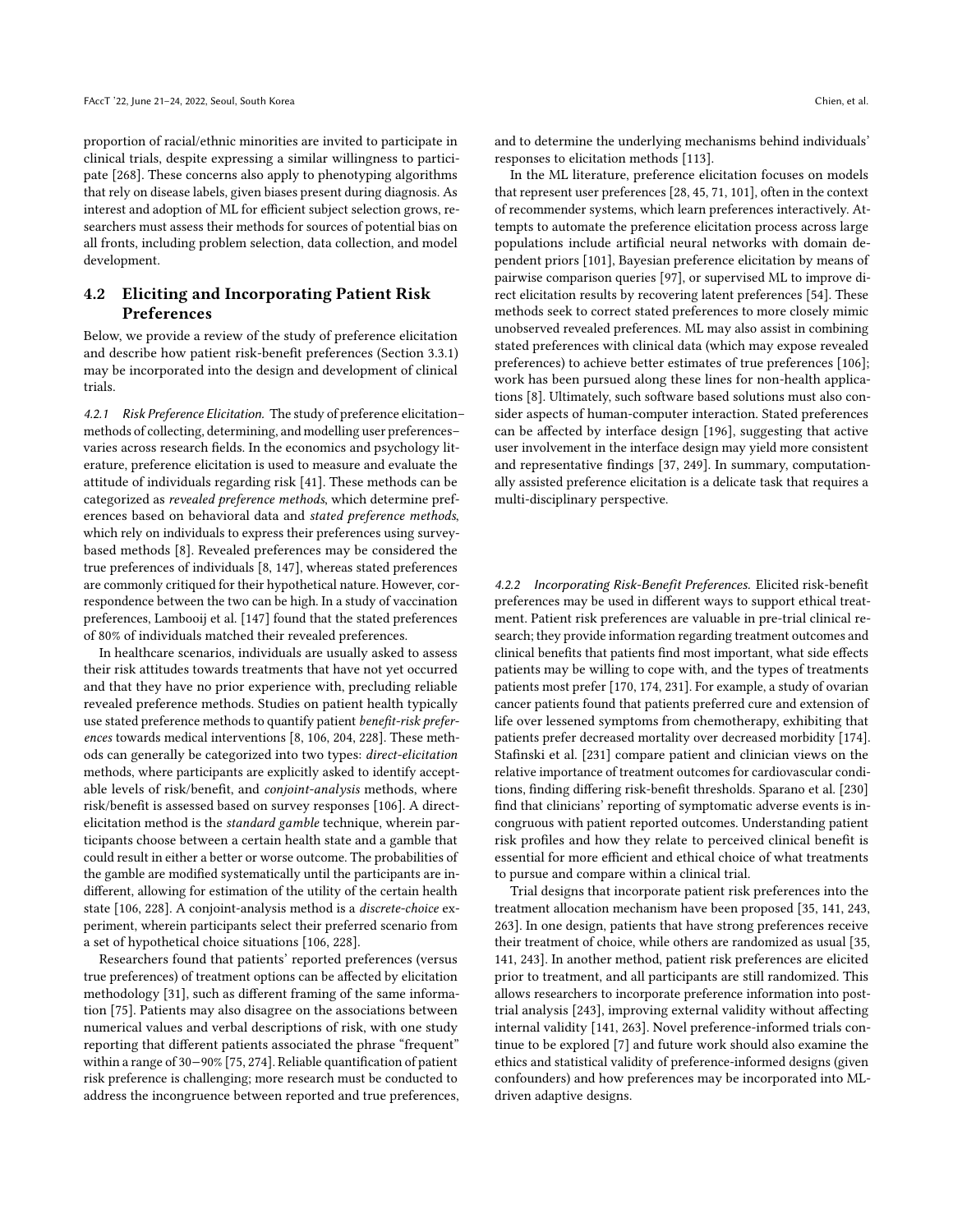proportion of racial/ethnic minorities are invited to participate in clinical trials, despite expressing a similar willingness to participate [\[268\]](#page-15-15). These concerns also apply to phenotyping algorithms that rely on disease labels, given biases present during diagnosis. As interest and adoption of ML for efficient subject selection grows, researchers must assess their methods for sources of potential bias on all fronts, including problem selection, data collection, and model development.

## 4.2 Eliciting and Incorporating Patient Risk Preferences

Below, we provide a review of the study of preference elicitation and describe how patient risk-benefit preferences (Section [3.3.1\)](#page-5-0) may be incorporated into the design and development of clinical trials.

4.2.1 Risk Preference Elicitation. The study of preference elicitation– methods of collecting, determining, and modelling user preferences– varies across research fields. In the economics and psychology literature, preference elicitation is used to measure and evaluate the attitude of individuals regarding risk [\[41\]](#page-11-28). These methods can be categorized as revealed preference methods, which determine preferences based on behavioral data and stated preference methods, which rely on individuals to express their preferences using surveybased methods [\[8\]](#page-10-30). Revealed preferences may be considered the true preferences of individuals [\[8,](#page-10-30) [147\]](#page-13-33), whereas stated preferences are commonly critiqued for their hypothetical nature. However, correspondence between the two can be high. In a study of vaccination preferences, Lambooij et al. [\[147\]](#page-13-33) found that the stated preferences of 80% of individuals matched their revealed preferences.

In healthcare scenarios, individuals are usually asked to assess their risk attitudes towards treatments that have not yet occurred and that they have no prior experience with, precluding reliable revealed preference methods. Studies on patient health typically use stated preference methods to quantify patient benefit-risk preferences towards medical interventions [\[8,](#page-10-30) [106,](#page-12-19) [204,](#page-14-30) [228\]](#page-14-31). These methods can generally be categorized into two types: direct-elicitation methods, where participants are explicitly asked to identify acceptable levels of risk/benefit, and conjoint-analysis methods, where risk/benefit is assessed based on survey responses [\[106\]](#page-12-19). A directelicitation method is the standard gamble technique, wherein participants choose between a certain health state and a gamble that could result in either a better or worse outcome. The probabilities of the gamble are modified systematically until the participants are indifferent, allowing for estimation of the utility of the certain health state [\[106,](#page-12-19) [228\]](#page-14-31). A conjoint-analysis method is a discrete-choice experiment, wherein participants select their preferred scenario from a set of hypothetical choice situations [\[106,](#page-12-19) [228\]](#page-14-31).

Researchers found that patients' reported preferences (versus true preferences) of treatment options can be affected by elicitation methodology [\[31\]](#page-10-31), such as different framing of the same information [\[75\]](#page-11-33). Patients may also disagree on the associations between numerical values and verbal descriptions of risk, with one study reporting that different patients associated the phrase "frequent" within a range of 30−90% [\[75,](#page-11-33) [274\]](#page-16-13). Reliable quantification of patient risk preference is challenging; more research must be conducted to address the incongruence between reported and true preferences, and to determine the underlying mechanisms behind individuals' responses to elicitation methods [\[113\]](#page-12-29).

In the ML literature, preference elicitation focuses on models that represent user preferences [\[28,](#page-10-32) [45,](#page-11-34) [71,](#page-11-35) [101\]](#page-12-30), often in the context of recommender systems, which learn preferences interactively. Attempts to automate the preference elicitation process across large populations include artificial neural networks with domain dependent priors [\[101\]](#page-12-30), Bayesian preference elicitation by means of pairwise comparison queries [\[97\]](#page-12-31), or supervised ML to improve direct elicitation results by recovering latent preferences [\[54\]](#page-11-36). These methods seek to correct stated preferences to more closely mimic unobserved revealed preferences. ML may also assist in combining stated preferences with clinical data (which may expose revealed preferences) to achieve better estimates of true preferences [\[106\]](#page-12-19); work has been pursued along these lines for non-health applications [\[8\]](#page-10-30). Ultimately, such software based solutions must also consider aspects of human-computer interaction. Stated preferences can be affected by interface design [\[196\]](#page-14-38), suggesting that active user involvement in the interface design may yield more consistent and representative findings [\[37,](#page-10-33) [249\]](#page-15-29). In summary, computationally assisted preference elicitation is a delicate task that requires a multi-disciplinary perspective.

4.2.2 Incorporating Risk-Benefit Preferences. Elicited risk-benefit preferences may be used in different ways to support ethical treatment. Patient risk preferences are valuable in pre-trial clinical research; they provide information regarding treatment outcomes and clinical benefits that patients find most important, what side effects patients may be willing to cope with, and the types of treatments patients most prefer [\[170,](#page-13-34) [174,](#page-13-23) [231\]](#page-15-18). For example, a study of ovarian cancer patients found that patients preferred cure and extension of life over lessened symptoms from chemotherapy, exhibiting that patients prefer decreased mortality over decreased morbidity [\[174\]](#page-13-23). Stafinski et al. [\[231\]](#page-15-18) compare patient and clinician views on the relative importance of treatment outcomes for cardiovascular conditions, finding differing risk-benefit thresholds. Sparano et al. [\[230\]](#page-14-39) find that clinicians' reporting of symptomatic adverse events is incongruous with patient reported outcomes. Understanding patient risk profiles and how they relate to perceived clinical benefit is essential for more efficient and ethical choice of what treatments to pursue and compare within a clinical trial.

Trial designs that incorporate patient risk preferences into the treatment allocation mechanism have been proposed [\[35,](#page-10-27) [141,](#page-13-24) [243,](#page-15-20) [263\]](#page-15-30). In one design, patients that have strong preferences receive their treatment of choice, while others are randomized as usual [\[35,](#page-10-27) [141,](#page-13-24) [243\]](#page-15-20). In another method, patient risk preferences are elicited prior to treatment, and all participants are still randomized. This allows researchers to incorporate preference information into posttrial analysis [\[243\]](#page-15-20), improving external validity without affecting internal validity [\[141,](#page-13-24) [263\]](#page-15-30). Novel preference-informed trials continue to be explored [\[7\]](#page-10-34) and future work should also examine the ethics and statistical validity of preference-informed designs (given confounders) and how preferences may be incorporated into MLdriven adaptive designs.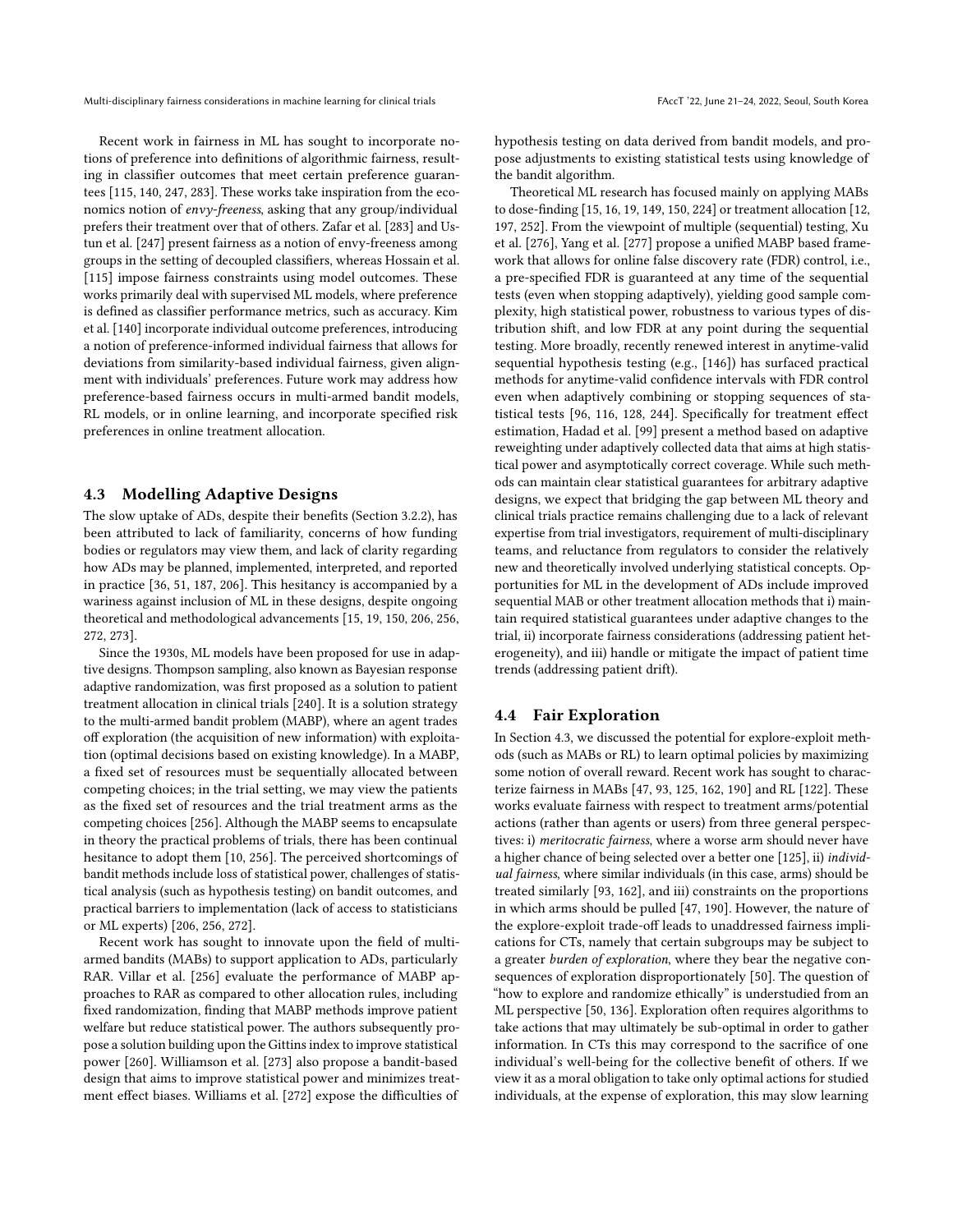Recent work in fairness in ML has sought to incorporate notions of preference into definitions of algorithmic fairness, resulting in classifier outcomes that meet certain preference guarantees [\[115,](#page-12-32) [140,](#page-13-35) [247,](#page-15-31) [283\]](#page-16-14). These works take inspiration from the economics notion of envy-freeness, asking that any group/individual prefers their treatment over that of others. Zafar et al. [\[283\]](#page-16-14) and Ustun et al. [\[247\]](#page-15-31) present fairness as a notion of envy-freeness among groups in the setting of decoupled classifiers, whereas Hossain et al. [\[115\]](#page-12-32) impose fairness constraints using model outcomes. These works primarily deal with supervised ML models, where preference is defined as classifier performance metrics, such as accuracy. Kim et al. [\[140\]](#page-13-35) incorporate individual outcome preferences, introducing a notion of preference-informed individual fairness that allows for deviations from similarity-based individual fairness, given alignment with individuals' preferences. Future work may address how preference-based fairness occurs in multi-armed bandit models, RL models, or in online learning, and incorporate specified risk preferences in online treatment allocation.

#### <span id="page-8-0"></span>4.3 Modelling Adaptive Designs

The slow uptake of ADs, despite their benefits (Section [3.2.2\)](#page-4-0), has been attributed to lack of familiarity, concerns of how funding bodies or regulators may view them, and lack of clarity regarding how ADs may be planned, implemented, interpreted, and reported in practice [\[36,](#page-10-5) [51,](#page-11-0) [187,](#page-14-3) [206\]](#page-14-11). This hesitancy is accompanied by a wariness against inclusion of ML in these designs, despite ongoing theoretical and methodological advancements [\[15,](#page-10-2) [19,](#page-10-9) [150,](#page-13-2) [206,](#page-14-11) [256,](#page-15-6) [272,](#page-16-3) [273\]](#page-16-4).

Since the 1930s, ML models have been proposed for use in adaptive designs. Thompson sampling, also known as Bayesian response adaptive randomization, was first proposed as a solution to patient treatment allocation in clinical trials [\[240\]](#page-15-32). It is a solution strategy to the multi-armed bandit problem (MABP), where an agent trades off exploration (the acquisition of new information) with exploitation (optimal decisions based on existing knowledge). In a MABP, a fixed set of resources must be sequentially allocated between competing choices; in the trial setting, we may view the patients as the fixed set of resources and the trial treatment arms as the competing choices [\[256\]](#page-15-6). Although the MABP seems to encapsulate in theory the practical problems of trials, there has been continual hesitance to adopt them [\[10,](#page-10-35) [256\]](#page-15-6). The perceived shortcomings of bandit methods include loss of statistical power, challenges of statistical analysis (such as hypothesis testing) on bandit outcomes, and practical barriers to implementation (lack of access to statisticians or ML experts) [\[206,](#page-14-11) [256,](#page-15-6) [272\]](#page-16-3).

Recent work has sought to innovate upon the field of multiarmed bandits (MABs) to support application to ADs, particularly RAR. Villar et al. [\[256\]](#page-15-6) evaluate the performance of MABP approaches to RAR as compared to other allocation rules, including fixed randomization, finding that MABP methods improve patient welfare but reduce statistical power. The authors subsequently propose a solution building upon the Gittins index to improve statistical power [\[260\]](#page-15-7). Williamson et al. [\[273\]](#page-16-4) also propose a bandit-based design that aims to improve statistical power and minimizes treatment effect biases. Williams et al. [\[272\]](#page-16-3) expose the difficulties of hypothesis testing on data derived from bandit models, and propose adjustments to existing statistical tests using knowledge of the bandit algorithm.

Theoretical ML research has focused mainly on applying MABs to dose-finding [\[15,](#page-10-2) [16,](#page-10-36) [19,](#page-10-9) [149,](#page-13-36) [150,](#page-13-2) [224\]](#page-14-6) or treatment allocation [\[12,](#page-10-37) [197,](#page-14-40) [252\]](#page-15-33). From the viewpoint of multiple (sequential) testing, Xu et al. [\[276\]](#page-16-15), Yang et al. [\[277\]](#page-16-16) propose a unified MABP based framework that allows for online false discovery rate (FDR) control, i.e., a pre-specified FDR is guaranteed at any time of the sequential tests (even when stopping adaptively), yielding good sample complexity, high statistical power, robustness to various types of distribution shift, and low FDR at any point during the sequential testing. More broadly, recently renewed interest in anytime-valid sequential hypothesis testing (e.g., [\[146\]](#page-13-37)) has surfaced practical methods for anytime-valid confidence intervals with FDR control even when adaptively combining or stopping sequences of statistical tests [\[96,](#page-12-33) [116,](#page-12-34) [128,](#page-12-35) [244\]](#page-15-34). Specifically for treatment effect estimation, Hadad et al. [\[99\]](#page-12-36) present a method based on adaptive reweighting under adaptively collected data that aims at high statistical power and asymptotically correct coverage. While such methods can maintain clear statistical guarantees for arbitrary adaptive designs, we expect that bridging the gap between ML theory and clinical trials practice remains challenging due to a lack of relevant expertise from trial investigators, requirement of multi-disciplinary teams, and reluctance from regulators to consider the relatively new and theoretically involved underlying statistical concepts. Opportunities for ML in the development of ADs include improved sequential MAB or other treatment allocation methods that i) maintain required statistical guarantees under adaptive changes to the trial, ii) incorporate fairness considerations (addressing patient heterogeneity), and iii) handle or mitigate the impact of patient time trends (addressing patient drift).

#### 4.4 Fair Exploration

In Section [4.3,](#page-8-0) we discussed the potential for explore-exploit methods (such as MABs or RL) to learn optimal policies by maximizing some notion of overall reward. Recent work has sought to characterize fairness in MABs [\[47,](#page-11-37) [93,](#page-12-37) [125,](#page-12-38) [162,](#page-13-38) [190\]](#page-14-41) and RL [\[122\]](#page-12-39). These works evaluate fairness with respect to treatment arms/potential actions (rather than agents or users) from three general perspectives: i) meritocratic fairness, where a worse arm should never have a higher chance of being selected over a better one [\[125\]](#page-12-38), ii) individual fairness, where similar individuals (in this case, arms) should be treated similarly [\[93,](#page-12-37) [162\]](#page-13-38), and iii) constraints on the proportions in which arms should be pulled [\[47,](#page-11-37) [190\]](#page-14-41). However, the nature of the explore-exploit trade-off leads to unaddressed fairness implications for CTs, namely that certain subgroups may be subject to a greater burden of exploration, where they bear the negative consequences of exploration disproportionately [\[50\]](#page-11-5). The question of "how to explore and randomize ethically" is understudied from an ML perspective [\[50,](#page-11-5) [136\]](#page-12-40). Exploration often requires algorithms to take actions that may ultimately be sub-optimal in order to gather information. In CTs this may correspond to the sacrifice of one individual's well-being for the collective benefit of others. If we view it as a moral obligation to take only optimal actions for studied individuals, at the expense of exploration, this may slow learning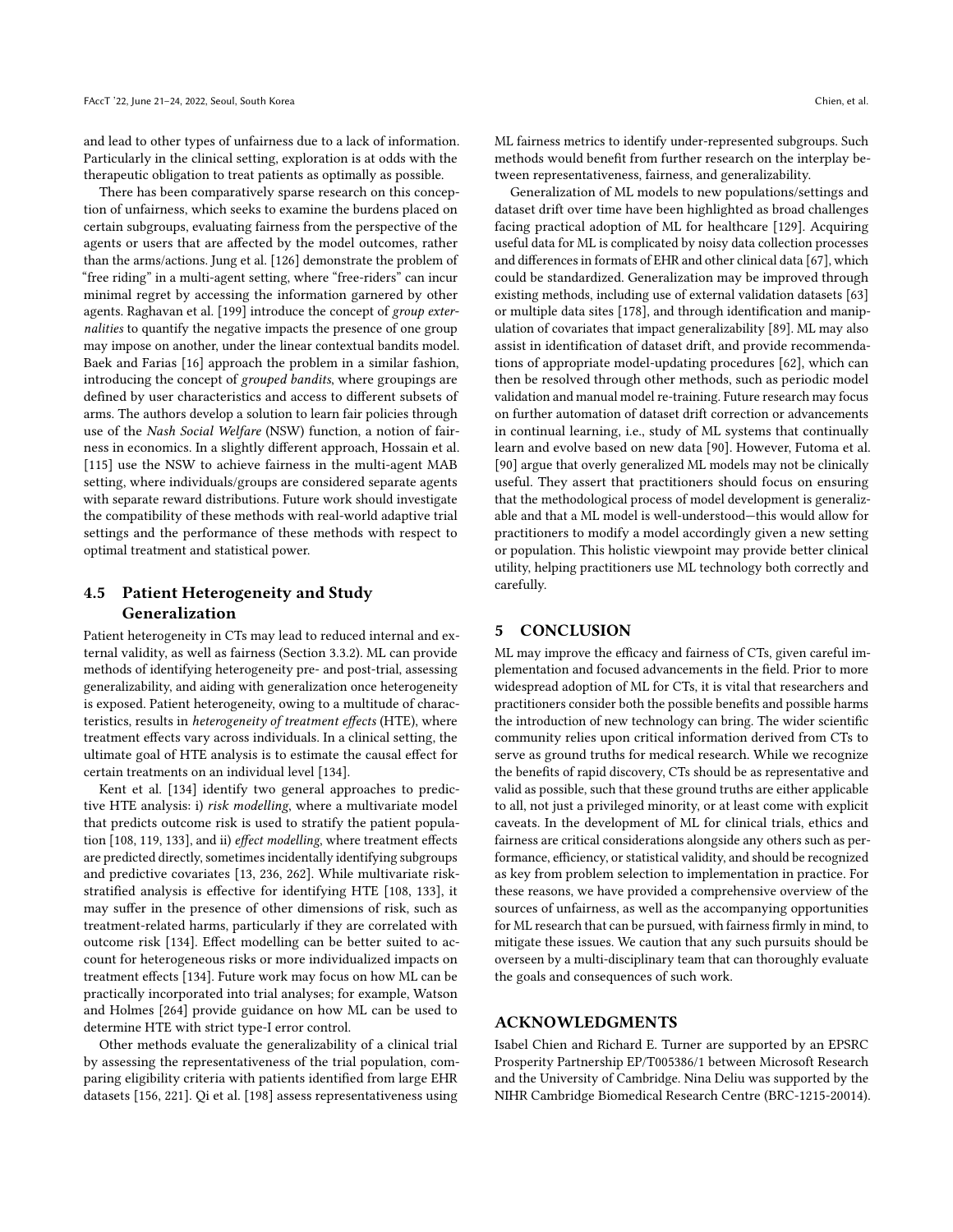and lead to other types of unfairness due to a lack of information. Particularly in the clinical setting, exploration is at odds with the therapeutic obligation to treat patients as optimally as possible.

There has been comparatively sparse research on this conception of unfairness, which seeks to examine the burdens placed on certain subgroups, evaluating fairness from the perspective of the agents or users that are affected by the model outcomes, rather than the arms/actions. Jung et al. [\[126\]](#page-12-41) demonstrate the problem of "free riding" in a multi-agent setting, where "free-riders" can incur minimal regret by accessing the information garnered by other agents. Raghavan et al. [\[199\]](#page-14-42) introduce the concept of group externalities to quantify the negative impacts the presence of one group may impose on another, under the linear contextual bandits model. Baek and Farias [\[16\]](#page-10-36) approach the problem in a similar fashion, introducing the concept of grouped bandits, where groupings are defined by user characteristics and access to different subsets of arms. The authors develop a solution to learn fair policies through use of the Nash Social Welfare (NSW) function, a notion of fairness in economics. In a slightly different approach, Hossain et al. [\[115\]](#page-12-32) use the NSW to achieve fairness in the multi-agent MAB setting, where individuals/groups are considered separate agents with separate reward distributions. Future work should investigate the compatibility of these methods with real-world adaptive trial settings and the performance of these methods with respect to optimal treatment and statistical power.

## 4.5 Patient Heterogeneity and Study Generalization

Patient heterogeneity in CTs may lead to reduced internal and external validity, as well as fairness (Section [3.3.2\)](#page-5-1). ML can provide methods of identifying heterogeneity pre- and post-trial, assessing generalizability, and aiding with generalization once heterogeneity is exposed. Patient heterogeneity, owing to a multitude of characteristics, results in heterogeneity of treatment effects (HTE), where treatment effects vary across individuals. In a clinical setting, the ultimate goal of HTE analysis is to estimate the causal effect for certain treatments on an individual level [\[134\]](#page-12-42).

Kent et al. [\[134\]](#page-12-42) identify two general approaches to predictive HTE analysis: i) risk modelling, where a multivariate model that predicts outcome risk is used to stratify the patient population [\[108,](#page-12-25) [119,](#page-12-43) [133\]](#page-12-12), and ii) effect modelling, where treatment effects are predicted directly, sometimes incidentally identifying subgroups and predictive covariates [\[13,](#page-10-38) [236,](#page-15-35) [262\]](#page-15-36). While multivariate riskstratified analysis is effective for identifying HTE [\[108,](#page-12-25) [133\]](#page-12-12), it may suffer in the presence of other dimensions of risk, such as treatment-related harms, particularly if they are correlated with outcome risk [\[134\]](#page-12-42). Effect modelling can be better suited to account for heterogeneous risks or more individualized impacts on treatment effects [\[134\]](#page-12-42). Future work may focus on how ML can be practically incorporated into trial analyses; for example, Watson and Holmes [\[264\]](#page-15-37) provide guidance on how ML can be used to determine HTE with strict type-I error control.

Other methods evaluate the generalizability of a clinical trial by assessing the representativeness of the trial population, comparing eligibility criteria with patients identified from large EHR datasets [\[156,](#page-13-39) [221\]](#page-14-43). Qi et al. [\[198\]](#page-14-44) assess representativeness using ML fairness metrics to identify under-represented subgroups. Such methods would benefit from further research on the interplay between representativeness, fairness, and generalizability.

Generalization of ML models to new populations/settings and dataset drift over time have been highlighted as broad challenges facing practical adoption of ML for healthcare [\[129\]](#page-12-44). Acquiring useful data for ML is complicated by noisy data collection processes and differences in formats of EHR and other clinical data [\[67\]](#page-11-38), which could be standardized. Generalization may be improved through existing methods, including use of external validation datasets [\[63\]](#page-11-39) or multiple data sites [\[178\]](#page-13-40), and through identification and manipulation of covariates that impact generalizability [\[89\]](#page-11-40). ML may also assist in identification of dataset drift, and provide recommendations of appropriate model-updating procedures [\[62\]](#page-11-41), which can then be resolved through other methods, such as periodic model validation and manual model re-training. Future research may focus on further automation of dataset drift correction or advancements in continual learning, i.e., study of ML systems that continually learn and evolve based on new data [\[90\]](#page-11-42). However, Futoma et al. [\[90\]](#page-11-42) argue that overly generalized ML models may not be clinically useful. They assert that practitioners should focus on ensuring that the methodological process of model development is generalizable and that a ML model is well-understood—this would allow for practitioners to modify a model accordingly given a new setting or population. This holistic viewpoint may provide better clinical utility, helping practitioners use ML technology both correctly and carefully.

## 5 CONCLUSION

ML may improve the efficacy and fairness of CTs, given careful implementation and focused advancements in the field. Prior to more widespread adoption of ML for CTs, it is vital that researchers and practitioners consider both the possible benefits and possible harms the introduction of new technology can bring. The wider scientific community relies upon critical information derived from CTs to serve as ground truths for medical research. While we recognize the benefits of rapid discovery, CTs should be as representative and valid as possible, such that these ground truths are either applicable to all, not just a privileged minority, or at least come with explicit caveats. In the development of ML for clinical trials, ethics and fairness are critical considerations alongside any others such as performance, efficiency, or statistical validity, and should be recognized as key from problem selection to implementation in practice. For these reasons, we have provided a comprehensive overview of the sources of unfairness, as well as the accompanying opportunities for ML research that can be pursued, with fairness firmly in mind, to mitigate these issues. We caution that any such pursuits should be overseen by a multi-disciplinary team that can thoroughly evaluate the goals and consequences of such work.

## ACKNOWLEDGMENTS

Isabel Chien and Richard E. Turner are supported by an EPSRC Prosperity Partnership EP/T005386/1 between Microsoft Research and the University of Cambridge. Nina Deliu was supported by the NIHR Cambridge Biomedical Research Centre (BRC-1215-20014).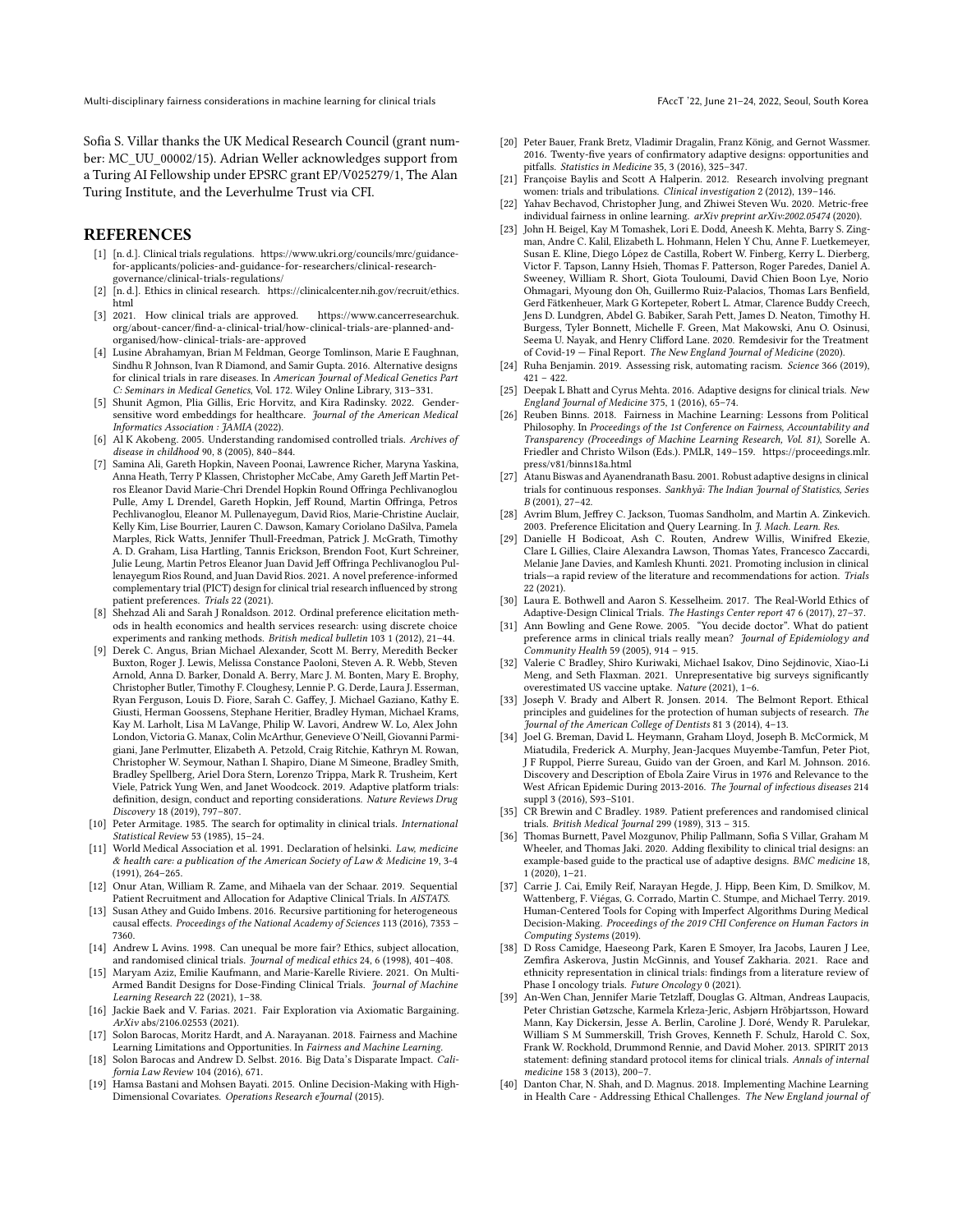Sofia S. Villar thanks the UK Medical Research Council (grant number: MC\_UU\_00002/15). Adrian Weller acknowledges support from a Turing AI Fellowship under EPSRC grant EP/V025279/1, The Alan Turing Institute, and the Leverhulme Trust via CFI.

#### REFERENCES

- <span id="page-10-11"></span>[1] [n. d.]. Clinical trials regulations. [https://www.ukri.org/councils/mrc/guidance](https://www.ukri.org/councils/mrc/guidance-for-applicants/policies-and-guidance-for-researchers/clinical-research-governance/clinical-trials-regulations/)[for-applicants/policies-and-guidance-for-researchers/clinical-research](https://www.ukri.org/councils/mrc/guidance-for-applicants/policies-and-guidance-for-researchers/clinical-research-governance/clinical-trials-regulations/)[governance/clinical-trials-regulations/](https://www.ukri.org/councils/mrc/guidance-for-applicants/policies-and-guidance-for-researchers/clinical-research-governance/clinical-trials-regulations/)
- <span id="page-10-13"></span>[2] [n. d.]. Ethics in clinical research. [https://clinicalcenter.nih.gov/recruit/ethics.](https://clinicalcenter.nih.gov/recruit/ethics.html) [html](https://clinicalcenter.nih.gov/recruit/ethics.html)
- <span id="page-10-12"></span>[3] 2021. How clinical trials are approved. [https://www.cancerresearchuk.](https://www.cancerresearchuk.org/about-cancer/find-a-clinical-trial/how-clinical-trials-are-planned-and-organised/how-clinical-trials-are-approved) [org/about-cancer/find-a-clinical-trial/how-clinical-trials-are-planned-and](https://www.cancerresearchuk.org/about-cancer/find-a-clinical-trial/how-clinical-trials-are-planned-and-organised/how-clinical-trials-are-approved)[organised/how-clinical-trials-are-approved](https://www.cancerresearchuk.org/about-cancer/find-a-clinical-trial/how-clinical-trials-are-planned-and-organised/how-clinical-trials-are-approved)
- <span id="page-10-28"></span>[4] Lusine Abrahamyan, Brian M Feldman, George Tomlinson, Marie E Faughnan, Sindhu R Johnson, Ivan R Diamond, and Samir Gupta. 2016. Alternative designs for clinical trials in rare diseases. In American Journal of Medical Genetics Part C: Seminars in Medical Genetics, Vol. 172. Wiley Online Library, 313–331.
- <span id="page-10-29"></span>[5] Shunit Agmon, Plia Gillis, Eric Horvitz, and Kira Radinsky. 2022. Gendersensitive word embeddings for healthcare. Journal of the American Medical Informatics Association : JAMIA (2022).
- <span id="page-10-1"></span>[6] Al K Akobeng. 2005. Understanding randomised controlled trials. Archives of disease in childhood 90, 8 (2005), 840–844.
- <span id="page-10-34"></span>[7] Samina Ali, Gareth Hopkin, Naveen Poonai, Lawrence Richer, Maryna Yaskina, Anna Heath, Terry P Klassen, Christopher McCabe, Amy Gareth Jeff Martin Petros Eleanor David Marie-Chri Drendel Hopkin Round Offringa Pechlivanoglou Pulle, Amy L Drendel, Gareth Hopkin, Jeff Round, Martin Offringa, Petros Pechlivanoglou, Eleanor M. Pullenayegum, David Rios, Marie-Christine Auclair, Kelly Kim, Lise Bourrier, Lauren C. Dawson, Kamary Coriolano DaSilva, Pamela Marples, Rick Watts, Jennifer Thull-Freedman, Patrick J. McGrath, Timothy A. D. Graham, Lisa Hartling, Tannis Erickson, Brendon Foot, Kurt Schreiner, Julie Leung, Martin Petros Eleanor Juan David Jeff Offringa Pechlivanoglou Pullenayegum Rios Round, and Juan David Rios. 2021. A novel preference-informed complementary trial (PICT) design for clinical trial research influenced by strong patient preferences. Trials 22 (2021).
- <span id="page-10-30"></span>[8] Shehzad Ali and Sarah J Ronaldson. 2012. Ordinal preference elicitation methods in health economics and health services research: using discrete choice experiments and ranking methods. British medical bulletin 103 1 (2012), 21–44.
- <span id="page-10-8"></span>[9] Derek C. Angus, Brian Michael Alexander, Scott M. Berry, Meredith Becker Buxton, Roger J. Lewis, Melissa Constance Paoloni, Steven A. R. Webb, Steven Arnold, Anna D. Barker, Donald A. Berry, Marc J. M. Bonten, Mary E. Brophy, Christopher Butler, Timothy F. Cloughesy, Lennie P. G. Derde, Laura J. Esserman, Ryan Ferguson, Louis D. Fiore, Sarah C. Gaffey, J. Michael Gaziano, Kathy E. Giusti, Herman Goossens, Stephane Heritier, Bradley Hyman, Michael Krams, Kay M. Larholt, Lisa M LaVange, Philip W. Lavori, Andrew W. Lo, Alex John London, Victoria G. Manax, Colin McArthur, Genevieve O'Neill, Giovanni Parmigiani, Jane Perlmutter, Elizabeth A. Petzold, Craig Ritchie, Kathryn M. Rowan, Christopher W. Seymour, Nathan I. Shapiro, Diane M Simeone, Bradley Smith, Bradley Spellberg, Ariel Dora Stern, Lorenzo Trippa, Mark R. Trusheim, Kert Viele, Patrick Yung Wen, and Janet Woodcock. 2019. Adaptive platform trials: definition, design, conduct and reporting considerations. Nature Reviews Drug Discovery 18 (2019), 797–807.
- <span id="page-10-35"></span>[10] Peter Armitage. 1985. The search for optimality in clinical trials. International Statistical Review 53 (1985), 15–24.
- <span id="page-10-19"></span>[11] World Medical Association et al. 1991. Declaration of helsinki. Law, medicine & health care: a publication of the American Society of Law & Medicine 19, 3-4 (1991), 264–265.
- <span id="page-10-37"></span>[12] Onur Atan, William R. Zame, and Mihaela van der Schaar. 2019. Sequential Patient Recruitment and Allocation for Adaptive Clinical Trials. In AISTATS.
- <span id="page-10-38"></span>[13] Susan Athey and Guido Imbens. 2016. Recursive partitioning for heterogeneous causal effects. Proceedings of the National Academy of Sciences 113 (2016), 7353 – 7360.
- <span id="page-10-24"></span>[14] Andrew L Avins. 1998. Can unequal be more fair? Ethics, subject allocation, and randomised clinical trials. Journal of medical ethics 24, 6 (1998), 401–408.
- <span id="page-10-2"></span>[15] Maryam Aziz, Emilie Kaufmann, and Marie-Karelle Riviere. 2021. On Multi-Armed Bandit Designs for Dose-Finding Clinical Trials. Journal of Machine Learning Research 22 (2021), 1–38.
- <span id="page-10-36"></span>[16] Jackie Baek and V. Farias. 2021. Fair Exploration via Axiomatic Bargaining. ArXiv abs/2106.02553 (2021).
- <span id="page-10-14"></span>[17] Solon Barocas, Moritz Hardt, and A. Narayanan. 2018. Fairness and Machine Learning Limitations and Opportunities. In Fairness and Machine Learning.
- <span id="page-10-15"></span>[18] Solon Barocas and Andrew D. Selbst. 2016. Big Data's Disparate Impact. California Law Review 104 (2016), 671.
- <span id="page-10-9"></span>[19] Hamsa Bastani and Mohsen Bayati. 2015. Online Decision-Making with High-Dimensional Covariates. Operations Research eJournal (2015).
- <span id="page-10-6"></span>[20] Peter Bauer, Frank Bretz, Vladimir Dragalin, Franz König, and Gernot Wassmer. 2016. Twenty-five years of confirmatory adaptive designs: opportunities and pitfalls. Statistics in Medicine 35, 3 (2016), 325–347.
- <span id="page-10-21"></span>[21] Françoise Baylis and Scott A Halperin. 2012. Research involving pregnant women: trials and tribulations. Clinical investigation 2 (2012), 139-146.
- <span id="page-10-39"></span>[22] Yahav Bechavod, Christopher Jung, and Zhiwei Steven Wu. 2020. Metric-free individual fairness in online learning. arXiv preprint arXiv:2002.05474 (2020).
- <span id="page-10-26"></span>[23] John H. Beigel, Kay M Tomashek, Lori E. Dodd, Aneesh K. Mehta, Barry S. Zingman, Andre C. Kalil, Elizabeth L. Hohmann, Helen Y Chu, Anne F. Luetkemeyer, Susan E. Kline, Diego López de Castilla, Robert W. Finberg, Kerry L. Dierberg, Victor F. Tapson, Lanny Hsieh, Thomas F. Patterson, Roger Paredes, Daniel A. Sweeney, William R. Short, Giota Touloumi, David Chien Boon Lye, Norio Ohmagari, Myoung don Oh, Guillermo Ruiz-Palacios, Thomas Lars Benfield, Gerd Fätkenheuer, Mark G Kortepeter, Robert L. Atmar, Clarence Buddy Creech, Jens D. Lundgren, Abdel G. Babiker, Sarah Pett, James D. Neaton, Timothy H. Burgess, Tyler Bonnett, Michelle F. Green, Mat Makowski, Anu O. Osinusi, Seema U. Nayak, and Henry Clifford Lane. 2020. Remdesivir for the Treatment of Covid-19 — Final Report. The New England Journal of Medicine (2020).
- <span id="page-10-17"></span>[24] Ruha Benjamin. 2019. Assessing risk, automating racism. Science 366 (2019),  $421 - 422$ .
- <span id="page-10-7"></span>[25] Deepak L Bhatt and Cyrus Mehta. 2016. Adaptive designs for clinical trials. New England Journal of Medicine 375, 1 (2016), 65–74.
- <span id="page-10-16"></span>[26] Reuben Binns. 2018. Fairness in Machine Learning: Lessons from Political Philosophy. In Proceedings of the 1st Conference on Fairness, Accountability and Transparency (Proceedings of Machine Learning Research, Vol. 81), Sorelle A. Friedler and Christo Wilson (Eds.). PMLR, 149–159. [https://proceedings.mlr.](https://proceedings.mlr.press/v81/binns18a.html) [press/v81/binns18a.html](https://proceedings.mlr.press/v81/binns18a.html)
- <span id="page-10-25"></span>[27] Atanu Biswas and Ayanendranath Basu. 2001. Robust adaptive designs in clinical trials for continuous responses. Sankhyā: The Indian Journal of Statistics, Series B (2001), 27–42.
- <span id="page-10-32"></span>[28] Avrim Blum, Jeffrey C. Jackson, Tuomas Sandholm, and Martin A. Zinkevich. 2003. Preference Elicitation and Query Learning. In *J. Mach. Learn. Res.*
- <span id="page-10-20"></span>[29] Danielle H Bodicoat, Ash C. Routen, Andrew Willis, Winifred Ekezie, Clare L Gillies, Claire Alexandra Lawson, Thomas Yates, Francesco Zaccardi, Melanie Jane Davies, and Kamlesh Khunti. 2021. Promoting inclusion in clinical trials—a rapid review of the literature and recommendations for action. Trials 22 (2021).
- <span id="page-10-0"></span>[30] Laura E. Bothwell and Aaron S. Kesselheim. 2017. The Real-World Ethics of Adaptive-Design Clinical Trials. The Hastings Center report 47 6 (2017), 27–37.
- <span id="page-10-31"></span>[31] Ann Bowling and Gene Rowe. 2005. "You decide doctor". What do patient preference arms in clinical trials really mean? Journal of Epidemiology and Community Health 59 (2005), 914 – 915.
- <span id="page-10-3"></span>[32] Valerie C Bradley, Shiro Kuriwaki, Michael Isakov, Dino Sejdinovic, Xiao-Li Meng, and Seth Flaxman. 2021. Unrepresentative big surveys significantly overestimated US vaccine uptake. Nature (2021), 1–6.
- <span id="page-10-22"></span>[33] Joseph V. Brady and Albert R. Jonsen. 2014. The Belmont Report. Ethical principles and guidelines for the protection of human subjects of research. The Journal of the American College of Dentists 81 3 (2014), 4–13.
- <span id="page-10-23"></span>[34] Joel G. Breman, David L. Heymann, Graham Lloyd, Joseph B. McCormick, M Miatudila, Frederick A. Murphy, Jean-Jacques Muyembe-Tamfun, Peter Piot, J F Ruppol, Pierre Sureau, Guido van der Groen, and Karl M. Johnson. 2016. Discovery and Description of Ebola Zaire Virus in 1976 and Relevance to the West African Epidemic During 2013-2016. The Journal of infectious diseases 214 suppl 3 (2016), S93–S101.
- <span id="page-10-27"></span>[35] CR Brewin and C Bradley. 1989. Patient preferences and randomised clinical trials. British Medical Journal 299 (1989), 313 – 315.
- <span id="page-10-5"></span>[36] Thomas Burnett, Pavel Mozgunov, Philip Pallmann, Sofia S Villar, Graham M Wheeler, and Thomas Jaki. 2020. Adding flexibility to clinical trial designs: an example-based guide to the practical use of adaptive designs. BMC medicine 18, 1 (2020), 1–21.
- <span id="page-10-33"></span>[37] Carrie J. Cai, Emily Reif, Narayan Hegde, J. Hipp, Been Kim, D. Smilkov, M. Wattenberg, F. Viégas, G. Corrado, Martin C. Stumpe, and Michael Terry. 2019. Human-Centered Tools for Coping with Imperfect Algorithms During Medical Decision-Making. Proceedings of the 2019 CHI Conference on Human Factors in Computing Systems (2019).
- <span id="page-10-18"></span>[38] D Ross Camidge, Haeseong Park, Karen E Smoyer, Ira Jacobs, Lauren J Lee, Zemfira Askerova, Justin McGinnis, and Yousef Zakharia. 2021. Race and ethnicity representation in clinical trials: findings from a literature review of Phase I oncology trials. Future Oncology 0 (2021).
- <span id="page-10-10"></span>[39] An-Wen Chan, Jennifer Marie Tetzlaff, Douglas G. Altman, Andreas Laupacis, Peter Christian Gøtzsche, Karmela Krleza-Jeric, Asbjørn Hrõbjartsson, Howard Mann, Kay Dickersin, Jesse A. Berlin, Caroline J. Doré, Wendy R. Parulekar, William S M Summerskill, Trish Groves, Kenneth F. Schulz, Harold C. Sox, Frank W. Rockhold, Drummond Rennie, and David Moher. 2013. SPIRIT 2013 statement: defining standard protocol items for clinical trials. Annals of internal medicine 158 3 (2013), 200–7.
- <span id="page-10-4"></span>[40] Danton Char, N. Shah, and D. Magnus. 2018. Implementing Machine Learning in Health Care - Addressing Ethical Challenges. The New England journal of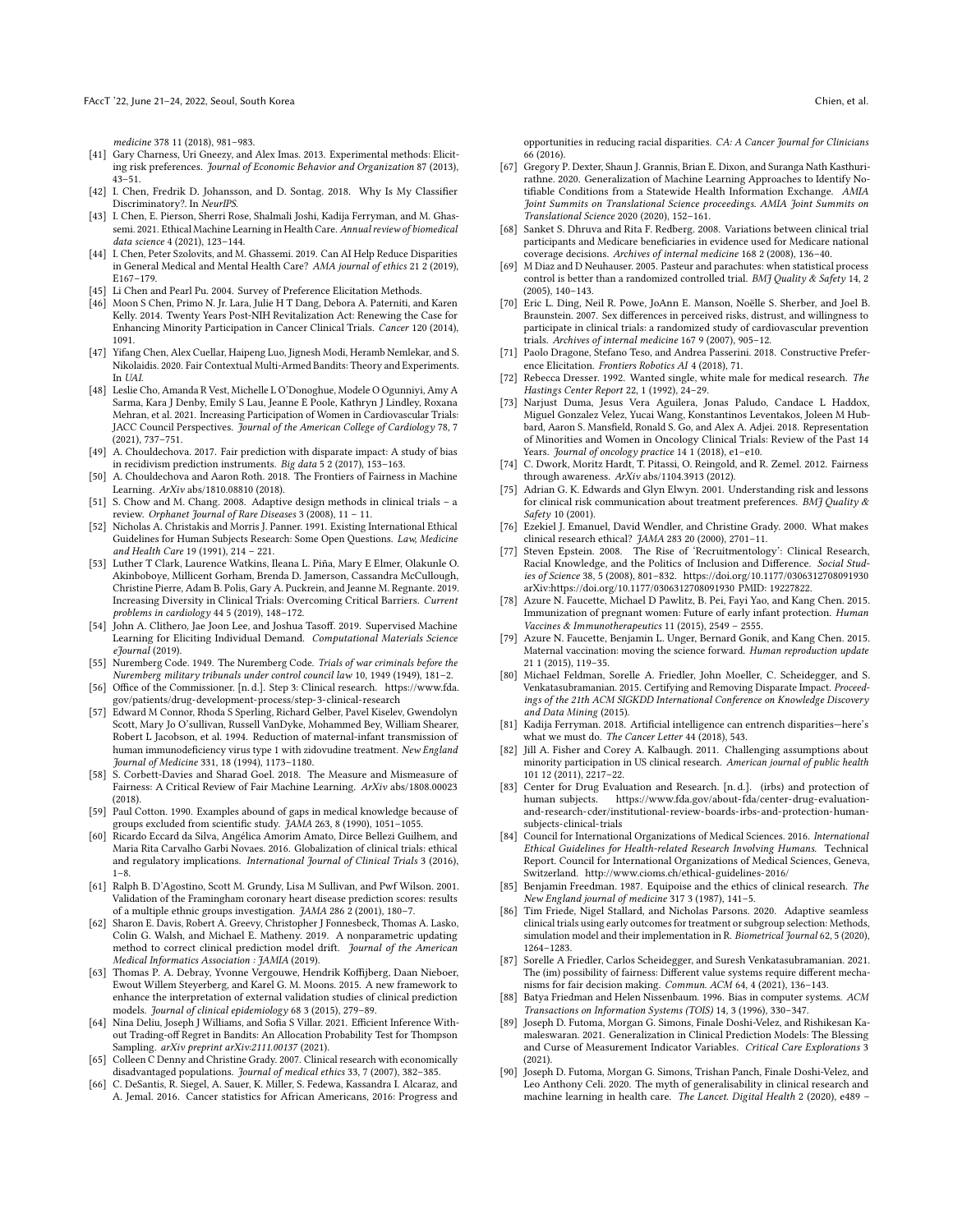medicine 378 11 (2018), 981–983.

- <span id="page-11-28"></span>[41] Gary Charness, Uri Gneezy, and Alex Imas. 2013. Experimental methods: Eliciting risk preferences. Journal of Economic Behavior and Organization 87 (2013), 43–51.
- <span id="page-11-48"></span>[42] I. Chen, Fredrik D. Johansson, and D. Sontag. 2018. Why Is My Classifier Discriminatory?. In NeurIPS.
- <span id="page-11-6"></span>[43] I. Chen, E. Pierson, Sherri Rose, Shalmali Joshi, Kadija Ferryman, and M. Ghassemi. 2021. Ethical Machine Learning in Health Care. Annual review of biomedical data science 4 (2021), 123–144.
- <span id="page-11-4"></span>[44] I. Chen, Peter Szolovits, and M. Ghassemi. 2019. Can AI Help Reduce Disparities in General Medical and Mental Health Care? AMA journal of ethics 21 2 (2019), E167–179.
- <span id="page-11-34"></span>[45] Li Chen and Pearl Pu. 2004. Survey of Preference Elicitation Methods.
- <span id="page-11-13"></span>[46] Moon S Chen, Primo N. Jr. Lara, Julie H T Dang, Debora A. Paterniti, and Karen Kelly. 2014. Twenty Years Post-NIH Revitalization Act: Renewing the Case for Enhancing Minority Participation in Cancer Clinical Trials. Cancer 120 (2014), 1091.
- <span id="page-11-37"></span>[47] Yifang Chen, Alex Cuellar, Haipeng Luo, Jignesh Modi, Heramb Nemlekar, and S. Nikolaidis. 2020. Fair Contextual Multi-Armed Bandits: Theory and Experiments. In UAI.
- <span id="page-11-3"></span>[48] Leslie Cho, Amanda R Vest, Michelle L O'Donoghue, Modele O Ogunniyi, Amy A Sarma, Kara J Denby, Emily S Lau, Jeanne E Poole, Kathryn J Lindley, Roxana Mehran, et al. 2021. Increasing Participation of Women in Cardiovascular Trials: JACC Council Perspectives. Journal of the American College of Cardiology 78, 7 (2021), 737–751.
- <span id="page-11-12"></span>[49] A. Chouldechova. 2017. Fair prediction with disparate impact: A study of bias in recidivism prediction instruments. Big data 5 2 (2017), 153–163.
- <span id="page-11-5"></span>[50] A. Chouldechova and Aaron Roth. 2018. The Frontiers of Fairness in Machine Learning. ArXiv abs/1810.08810 (2018).
- <span id="page-11-0"></span>[51] S. Chow and M. Chang. 2008. Adaptive design methods in clinical trials – a review. Orphanet Journal of Rare Diseases 3 (2008), 11 – 11.
- <span id="page-11-44"></span>[52] Nicholas A. Christakis and Morris J. Panner. 1991. Existing International Ethical Guidelines for Human Subjects Research: Some Open Questions. Law, Medicine and Health Care 19 (1991), 214 – 221.
- <span id="page-11-21"></span>[53] Luther T Clark, Laurence Watkins, Ileana L. Piña, Mary E Elmer, Olakunle O. Akinboboye, Millicent Gorham, Brenda D. Jamerson, Cassandra McCullough, Christine Pierre, Adam B. Polis, Gary A. Puckrein, and Jeanne M. Regnante. 2019. Increasing Diversity in Clinical Trials: Overcoming Critical Barriers. Current problems in cardiology 44 5 (2019), 148–172.
- <span id="page-11-36"></span>[54] John A. Clithero, Jae Joon Lee, and Joshua Tasoff. 2019. Supervised Machine Learning for Eliciting Individual Demand. Computational Materials Science eJournal (2019).
- <span id="page-11-43"></span>[55] Nuremberg Code. 1949. The Nuremberg Code. Trials of war criminals before the Nuremberg military tribunals under control council law 10, 1949 (1949), 181–2.
- <span id="page-11-7"></span>[56] Office of the Commissioner. [n. d.]. Step 3: Clinical research. [https://www.fda.](https://www.fda.gov/patients/drug-development-process/step-3-clinical-research) [gov/patients/drug-development-process/step-3-clinical-research](https://www.fda.gov/patients/drug-development-process/step-3-clinical-research)
- <span id="page-11-26"></span>[57] Edward M Connor, Rhoda S Sperling, Richard Gelber, Pavel Kiselev, Gwendolyn Scott, Mary Jo O'sullivan, Russell VanDyke, Mohammed Bey, William Shearer, Robert L Jacobson, et al. 1994. Reduction of maternal-infant transmission of human immunodeficiency virus type 1 with zidovudine treatment. New England Journal of Medicine 331, 18 (1994), 1173–1180.
- <span id="page-11-46"></span>[58] S. Corbett-Davies and Sharad Goel. 2018. The Measure and Mismeasure of Fairness: A Critical Review of Fair Machine Learning. ArXiv abs/1808.00023 (2018).
- <span id="page-11-16"></span>[59] Paul Cotton. 1990. Examples abound of gaps in medical knowledge because of groups excluded from scientific study. JAMA 263, 8 (1990), 1051–1055.
- <span id="page-11-15"></span>[60] Ricardo Eccard da Silva, Angélica Amorim Amato, Dirce Bellezi Guilhem, and Maria Rita Carvalho Garbi Novaes. 2016. Globalization of clinical trials: ethical and regulatory implications. International Journal of Clinical Trials 3 (2016),  $1 - 8.$
- <span id="page-11-32"></span>[61] Ralph B. D'Agostino, Scott M. Grundy, Lisa M Sullivan, and Pwf Wilson. 2001. Validation of the Framingham coronary heart disease prediction scores: results of a multiple ethnic groups investigation. JAMA 286 2 (2001), 180–7.
- <span id="page-11-41"></span>[62] Sharon E. Davis, Robert A. Greevy, Christopher J Fonnesbeck, Thomas A. Lasko, Colin G. Walsh, and Michael E. Matheny. 2019. A nonparametric updating method to correct clinical prediction model drift. Journal of the American Medical Informatics Association : JAMIA (2019).
- <span id="page-11-39"></span>[63] Thomas P. A. Debray, Yvonne Vergouwe, Hendrik Koffijberg, Daan Nieboer, Ewout Willem Steyerberg, and Karel G. M. Moons. 2015. A new framework to enhance the interpretation of external validation studies of clinical prediction models. Journal of clinical epidemiology 68 3 (2015), 279–89.
- <span id="page-11-27"></span>[64] Nina Deliu, Joseph J Williams, and Sofia S Villar. 2021. Efficient Inference Without Trading-off Regret in Bandits: An Allocation Probability Test for Thompson Sampling. arXiv preprint arXiv:2111.00137 (2021).
- <span id="page-11-23"></span>[65] Colleen C Denny and Christine Grady. 2007. Clinical research with economically disadvantaged populations. Journal of medical ethics 33, 7 (2007), 382–385.
- <span id="page-11-2"></span>[66] C. DeSantis, R. Siegel, A. Sauer, K. Miller, S. Fedewa, Kassandra I. Alcaraz, and A. Jemal. 2016. Cancer statistics for African Americans, 2016: Progress and

opportunities in reducing racial disparities. CA: A Cancer Journal for Clinicians 66 (2016).

- <span id="page-11-38"></span>[67] Gregory P. Dexter, Shaun J. Grannis, Brian E. Dixon, and Suranga Nath Kasthurirathne. 2020. Generalization of Machine Learning Approaches to Identify Notifiable Conditions from a Statewide Health Information Exchange. AMIA Joint Summits on Translational Science proceedings. AMIA Joint Summits on Translational Science 2020 (2020), 152–161.
- <span id="page-11-30"></span>[68] Sanket S. Dhruva and Rita F. Redberg. 2008. Variations between clinical trial participants and Medicare beneficiaries in evidence used for Medicare national coverage decisions. Archives of internal medicine 168 2 (2008), 136–40.
- <span id="page-11-25"></span>[69] M Diaz and D Neuhauser. 2005. Pasteur and parachutes: when statistical process control is better than a randomized controlled trial. BMI Ouality & Safety 14, 2 (2005), 140–143.
- <span id="page-11-29"></span>[70] Eric L. Ding, Neil R. Powe, JoAnn E. Manson, Noëlle S. Sherber, and Joel B. Braunstein. 2007. Sex differences in perceived risks, distrust, and willingness to participate in clinical trials: a randomized study of cardiovascular prevention trials. Archives of internal medicine 167 9 (2007), 905–12.
- <span id="page-11-35"></span>[71] Paolo Dragone, Stefano Teso, and Andrea Passerini. 2018. Constructive Preference Elicitation. Frontiers Robotics AI 4 (2018), 71.
- <span id="page-11-17"></span>[72] Rebecca Dresser. 1992. Wanted single, white male for medical research. The Hastings Center Report 22, 1 (1992), 24–29.
- <span id="page-11-14"></span>[73] Narjust Duma, Jesus Vera Aguilera, Jonas Paludo, Candace L Haddox, Miguel Gonzalez Velez, Yucai Wang, Konstantinos Leventakos, Joleen M Hubbard, Aaron S. Mansfield, Ronald S. Go, and Alex A. Adjei. 2018. Representation of Minorities and Women in Oncology Clinical Trials: Review of the Past 14 Years. Journal of oncology practice 14 1 (2018), e1-e10.
- <span id="page-11-47"></span>[74] C. Dwork, Moritz Hardt, T. Pitassi, O. Reingold, and R. Zemel. 2012. Fairness through awareness. ArXiv abs/1104.3913 (2012).
- <span id="page-11-33"></span>[75] Adrian G. K. Edwards and Glyn Elwyn. 2001. Understanding risk and lessons for clinical risk communication about treatment preferences. BMJ Quality & Safety 10 (2001).
- <span id="page-11-9"></span>[76] Ezekiel J. Emanuel, David Wendler, and Christine Grady. 2000. What makes clinical research ethical? JAMA 283 20 (2000), 2701–11.
- <span id="page-11-45"></span>[77] Steven Epstein. 2008. The Rise of 'Recruitmentology': Clinical Research, Racial Knowledge, and the Politics of Inclusion and Difference. Social Studies of Science 38, 5 (2008), 801–832.<https://doi.org/10.1177/0306312708091930> arXiv[:https://doi.org/10.1177/0306312708091930](https://arxiv.org/abs/https://doi.org/10.1177/0306312708091930) PMID: 19227822.
- <span id="page-11-19"></span>[78] Azure N. Faucette, Michael D Pawlitz, B. Pei, Fayi Yao, and Kang Chen. 2015. Immunization of pregnant women: Future of early infant protection. Human Vaccines & Immunotherapeutics 11 (2015), 2549 – 2555.
- <span id="page-11-20"></span>[79] Azure N. Faucette, Benjamin L. Unger, Bernard Gonik, and Kang Chen. 2015. Maternal vaccination: moving the science forward. Human reproduction update 21 1 (2015), 119–35.
- <span id="page-11-49"></span>[80] Michael Feldman, Sorelle A. Friedler, John Moeller, C. Scheidegger, and S. Venkatasubramanian. 2015. Certifying and Removing Disparate Impact. Proceedings of the 21th ACM SIGKDD International Conference on Knowledge Discovery and Data Mining (2015).
- <span id="page-11-1"></span>[81] Kadija Ferryman. 2018. Artificial intelligence can entrench disparities—here's what we must do. The Cancer Letter 44 (2018), 543.
- <span id="page-11-22"></span>[82] Jill A. Fisher and Corey A. Kalbaugh. 2011. Challenging assumptions about minority participation in US clinical research. American journal of public health 101 12 (2011), 2217–22.
- <span id="page-11-8"></span>[83] Center for Drug Evaluation and Research. [n. d.]. (irbs) and protection of human subjects. [https://www.fda.gov/about-fda/center-drug-evaluation](https://www.fda.gov/about-fda/center-drug-evaluation-and-research-cder/institutional-review-boards-irbs-and-protection-human-subjects-clinical-trials)[and-research-cder/institutional-review-boards-irbs-and-protection-human](https://www.fda.gov/about-fda/center-drug-evaluation-and-research-cder/institutional-review-boards-irbs-and-protection-human-subjects-clinical-trials)[subjects-clinical-trials](https://www.fda.gov/about-fda/center-drug-evaluation-and-research-cder/institutional-review-boards-irbs-and-protection-human-subjects-clinical-trials)
- <span id="page-11-18"></span>[84] Council for International Organizations of Medical Sciences. 2016. International Ethical Guidelines for Health-related Research Involving Humans. Technical Report. Council for International Organizations of Medical Sciences, Geneva, Switzerland.<http://www.cioms.ch/ethical-guidelines-2016/>
- <span id="page-11-24"></span>[85] Benjamin Freedman. 1987. Equipoise and the ethics of clinical research. The New England journal of medicine 317 3 (1987), 141–5.
- <span id="page-11-31"></span>[86] Tim Friede, Nigel Stallard, and Nicholas Parsons. 2020. Adaptive seamless clinical trials using early outcomes for treatment or subgroup selection: Methods, simulation model and their implementation in R. Biometrical Journal 62, 5 (2020). 1264–1283.
- <span id="page-11-11"></span>[87] Sorelle A Friedler, Carlos Scheidegger, and Suresh Venkatasubramanian. 2021. The (im) possibility of fairness: Different value systems require different mechanisms for fair decision making. Commun. ACM 64, 4 (2021), 136–143.
- <span id="page-11-10"></span>[88] Batya Friedman and Helen Nissenbaum. 1996. Bias in computer systems. ACM Transactions on Information Systems (TOIS) 14, 3 (1996), 330–347.
- <span id="page-11-40"></span>[89] Joseph D. Futoma, Morgan G. Simons, Finale Doshi-Velez, and Rishikesan Kamaleswaran. 2021. Generalization in Clinical Prediction Models: The Blessing and Curse of Measurement Indicator Variables. Critical Care Explorations 3 (2021).
- <span id="page-11-42"></span>[90] Joseph D. Futoma, Morgan G. Simons, Trishan Panch, Finale Doshi-Velez, and Leo Anthony Celi. 2020. The myth of generalisability in clinical research and machine learning in health care. The Lancet. Digital Health 2 (2020), e489 –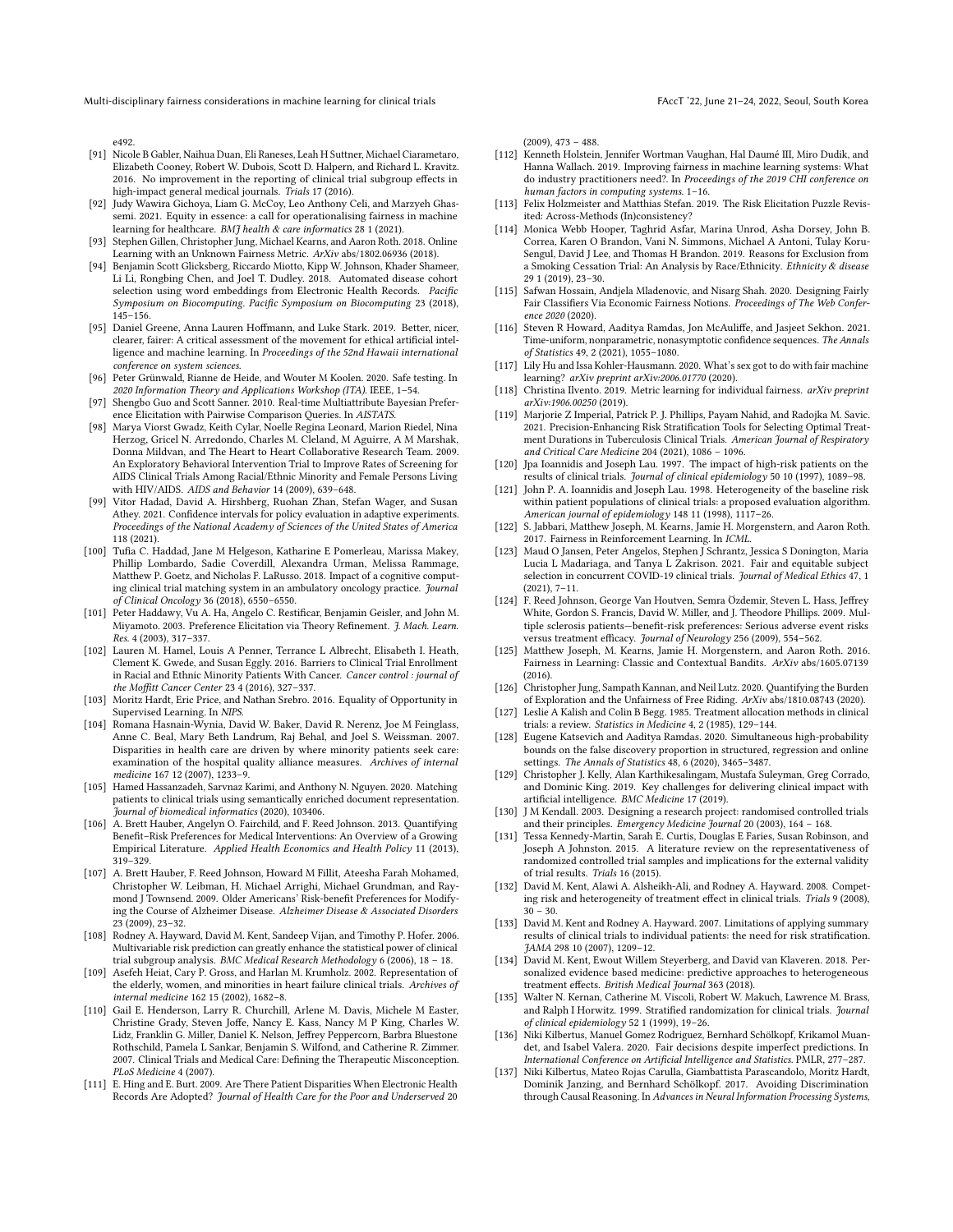e492.

- <span id="page-12-24"></span>[91] Nicole B Gabler, Naihua Duan, Eli Raneses, Leah H Suttner, Michael Ciarametaro, Elizabeth Cooney, Robert W. Dubois, Scott D. Halpern, and Richard L. Kravitz. 2016. No improvement in the reporting of clinical trial subgroup effects in high-impact general medical journals. Trials 17 (2016).
- <span id="page-12-0"></span>[92] Judy Wawira Gichoya, Liam G. McCoy, Leo Anthony Celi, and Marzyeh Ghassemi. 2021. Equity in essence: a call for operationalising fairness in machine learning for healthcare. BMJ health & care informatics 28 1 (2021).
- <span id="page-12-37"></span>[93] Stephen Gillen, Christopher Jung, Michael Kearns, and Aaron Roth. 2018. Online Learning with an Unknown Fairness Metric. ArXiv abs/1802.06936 (2018).
- <span id="page-12-27"></span>[94] Benjamin Scott Glicksberg, Riccardo Miotto, Kipp W. Johnson, Khader Shameer, Li Li, Rongbing Chen, and Joel T. Dudley. 2018. Automated disease cohort selection using word embeddings from Electronic Health Records. Pacific Symposium on Biocomputing. Pacific Symposium on Biocomputing 23 (2018), 145–156.
- <span id="page-12-5"></span>[95] Daniel Greene, Anna Lauren Hoffmann, and Luke Stark. 2019. Better, nicer, clearer, fairer: A critical assessment of the movement for ethical artificial intelligence and machine learning. In Proceedings of the 52nd Hawaii international conference on system sciences.
- <span id="page-12-33"></span>[96] Peter Grünwald, Rianne de Heide, and Wouter M Koolen. 2020. Safe testing. In 2020 Information Theory and Applications Workshop (ITA). IEEE, 1–54.
- <span id="page-12-31"></span>[97] Shengbo Guo and Scott Sanner. 2010. Real-time Multiattribute Bayesian Preference Elicitation with Pairwise Comparison Queries. In AISTATS.
- <span id="page-12-10"></span>[98] Marya Viorst Gwadz, Keith Cylar, Noelle Regina Leonard, Marion Riedel, Nina Herzog, Gricel N. Arredondo, Charles M. Cleland, M Aguirre, A M Marshak, Donna Mildvan, and The Heart to Heart Collaborative Research Team. 2009. An Exploratory Behavioral Intervention Trial to Improve Rates of Screening for AIDS Clinical Trials Among Racial/Ethnic Minority and Female Persons Living with HIV/AIDS. AIDS and Behavior 14 (2009), 639–648.
- <span id="page-12-36"></span>[99] Vitor Hadad, David A. Hirshberg, Ruohan Zhan, Stefan Wager, and Susan Athey. 2021. Confidence intervals for policy evaluation in adaptive experiments. Proceedings of the National Academy of Sciences of the United States of America 118 (2021).
- <span id="page-12-2"></span>[100] Tufia C. Haddad, Jane M Helgeson, Katharine E Pomerleau, Marissa Makey, Phillip Lombardo, Sadie Coverdill, Alexandra Urman, Melissa Rammage, Matthew P. Goetz, and Nicholas F. LaRusso. 2018. Impact of a cognitive computing clinical trial matching system in an ambulatory oncology practice. Journal of Clinical Oncology 36 (2018), 6550–6550.
- <span id="page-12-30"></span>[101] Peter Haddawy, Vu A. Ha, Angelo C. Restificar, Benjamin Geisler, and John M. Miyamoto. 2003. Preference Elicitation via Theory Refinement. J. Mach. Learn. Res. 4 (2003), 317–337.
- <span id="page-12-16"></span>[102] Lauren M. Hamel, Louis A Penner, Terrance L Albrecht, Elisabeth I. Heath, Clement K. Gwede, and Susan Eggly. 2016. Barriers to Clinical Trial Enrollment in Racial and Ethnic Minority Patients With Cancer. Cancer control : journal of the Moffitt Cancer Center 23 4 (2016), 327–337.
- <span id="page-12-45"></span>[103] Moritz Hardt, Eric Price, and Nathan Srebro. 2016. Equality of Opportunity in Supervised Learning. In NIPS.
- <span id="page-12-15"></span>[104] Romana Hasnain-Wynia, David W. Baker, David R. Nerenz, Joe M Feinglass, Anne C. Beal, Mary Beth Landrum, Raj Behal, and Joel S. Weissman. 2007. Disparities in health care are driven by where minority patients seek care: examination of the hospital quality alliance measures. Archives of internal medicine 167 12 (2007), 1233–9.
- <span id="page-12-1"></span>[105] Hamed Hassanzadeh, Sarvnaz Karimi, and Anthony N. Nguyen. 2020. Matching patients to clinical trials using semantically enriched document representation. Journal of biomedical informatics (2020), 103406.
- <span id="page-12-19"></span>[106] A. Brett Hauber, Angelyn O. Fairchild, and F. Reed Johnson. 2013. Quantifying Benefit–Risk Preferences for Medical Interventions: An Overview of a Growing Empirical Literature. Applied Health Economics and Health Policy 11 (2013), 319–329.
- <span id="page-12-21"></span>[107] A. Brett Hauber, F. Reed Johnson, Howard M Fillit, Ateesha Farah Mohamed, Christopher W. Leibman, H. Michael Arrighi, Michael Grundman, and Raymond J Townsend. 2009. Older Americans' Risk-benefit Preferences for Modifying the Course of Alzheimer Disease. Alzheimer Disease & Associated Disorders 23 (2009), 23–32.
- <span id="page-12-25"></span>[108] Rodney A. Hayward, David M. Kent, Sandeep Vijan, and Timothy P. Hofer. 2006. Multivariable risk prediction can greatly enhance the statistical power of clinical trial subgroup analysis. BMC Medical Research Methodology 6 (2006), 18 – 18.
- <span id="page-12-9"></span>[109] Asefeh Heiat, Cary P. Gross, and Harlan M. Krumholz. 2002. Representation of the elderly, women, and minorities in heart failure clinical trials. Archives of internal medicine 162 15 (2002), 1682–8.
- <span id="page-12-18"></span>[110] Gail E. Henderson, Larry R. Churchill, Arlene M. Davis, Michele M Easter, Christine Grady, Steven Joffe, Nancy E. Kass, Nancy M P King, Charles W. Lidz, Franklin G. Miller, Daniel K. Nelson, Jeffrey Peppercorn, Barbra Bluestone Rothschild, Pamela L Sankar, Benjamin S. Wilfond, and Catherine R. Zimmer. 2007. Clinical Trials and Medical Care: Defining the Therapeutic Misconception. PLoS Medicine 4 (2007).
- <span id="page-12-28"></span>[111] E. Hing and E. Burt. 2009. Are There Patient Disparities When Electronic Health Records Are Adopted? Journal of Health Care for the Poor and Underserved 20

(2009), 473 – 488.

- <span id="page-12-6"></span>[112] Kenneth Holstein, Jennifer Wortman Vaughan, Hal Daumé III, Miro Dudik, and Hanna Wallach. 2019. Improving fairness in machine learning systems: What do industry practitioners need?. In Proceedings of the 2019 CHI conference on human factors in computing systems. 1–16.
- <span id="page-12-29"></span>[113] Felix Holzmeister and Matthias Stefan. 2019. The Risk Elicitation Puzzle Revisited: Across-Methods (In)consistency?
- <span id="page-12-14"></span>[114] Monica Webb Hooper, Taghrid Asfar, Marina Unrod, Asha Dorsey, John B. Correa, Karen O Brandon, Vani N. Simmons, Michael A Antoni, Tulay Koru-Sengul, David J Lee, and Thomas H Brandon. 2019. Reasons for Exclusion from a Smoking Cessation Trial: An Analysis by Race/Ethnicity. Ethnicity & disease 29 1 (2019), 23–30.
- <span id="page-12-32"></span>[115] Safwan Hossain, Andjela Mladenovic, and Nisarg Shah. 2020. Designing Fairly Fair Classifiers Via Economic Fairness Notions. Proceedings of The Web Conference 2020 (2020).
- <span id="page-12-34"></span>[116] Steven R Howard, Aaditya Ramdas, Jon McAuliffe, and Jasjeet Sekhon. 2021. Time-uniform, nonparametric, nonasymptotic confidence sequences. The Annals of Statistics 49, 2 (2021), 1055–1080.
- <span id="page-12-7"></span>[117] Lily Hu and Issa Kohler-Hausmann. 2020. What's sex got to do with fair machine learning? arXiv preprint arXiv:2006.01770 (2020).
- <span id="page-12-46"></span>[118] Christina Ilvento. 2019. Metric learning for individual fairness. arXiv preprint arXiv:1906.00250 (2019).
- <span id="page-12-43"></span>[119] Marjorie Z Imperial, Patrick P. J. Phillips, Payam Nahid, and Radojka M. Savic. 2021. Precision-Enhancing Risk Stratification Tools for Selecting Optimal Treatment Durations in Tuberculosis Clinical Trials. American Journal of Respiratory and Critical Care Medicine 204 (2021), 1086 – 1096.
- <span id="page-12-11"></span>[120] Jpa Ioannidis and Joseph Lau. 1997. The impact of high-risk patients on the results of clinical trials. *Journal of clinical epidemiology* 50 10 (1997), 1089–98.
- <span id="page-12-22"></span>[121] John P. A. Ioannidis and Joseph Lau. 1998. Heterogeneity of the baseline risk within patient populations of clinical trials: a proposed evaluation algorithm. American journal of epidemiology 148 11 (1998), 1117–26.
- <span id="page-12-39"></span>[122] S. Jabbari, Matthew Joseph, M. Kearns, Jamie H. Morgenstern, and Aaron Roth. 2017. Fairness in Reinforcement Learning. In ICML.
- <span id="page-12-17"></span>[123] Maud O Jansen, Peter Angelos, Stephen J Schrantz, Jessica S Donington, Maria Lucia L Madariaga, and Tanya L Zakrison. 2021. Fair and equitable subject selection in concurrent COVID-19 clinical trials. Journal of Medical Ethics 47, 1 (2021), 7–11.
- <span id="page-12-20"></span>[124] F. Reed Johnson, George Van Houtven, Semra Özdemir, Steven L. Hass, Jeffrey White, Gordon S. Francis, David W. Miller, and J. Theodore Phillips. 2009. Multiple sclerosis patients—benefit-risk preferences: Serious adverse event risks versus treatment efficacy. Journal of Neurology 256 (2009), 554–562.
- <span id="page-12-38"></span>[125] Matthew Joseph, M. Kearns, Jamie H. Morgenstern, and Aaron Roth. 2016. Fairness in Learning: Classic and Contextual Bandits. ArXiv abs/1605.07139 (2016).
- <span id="page-12-41"></span>[126] Christopher Jung, Sampath Kannan, and Neil Lutz. 2020. Quantifying the Burden of Exploration and the Unfairness of Free Riding. ArXiv abs/1810.08743 (2020).
- <span id="page-12-3"></span>[127] Leslie A Kalish and Colin B Begg. 1985. Treatment allocation methods in clinical trials: a review. Statistics in Medicine 4, 2 (1985), 129–144.
- <span id="page-12-35"></span>[128] Eugene Katsevich and Aaditya Ramdas. 2020. Simultaneous high-probability bounds on the false discovery proportion in structured, regression and online settings. The Annals of Statistics 48, 6 (2020), 3465–3487.
- <span id="page-12-44"></span>[129] Christopher J. Kelly, Alan Karthikesalingam, Mustafa Suleyman, Greg Corrado, and Dominic King. 2019. Key challenges for delivering clinical impact with artificial intelligence. BMC Medicine 17 (2019).
- <span id="page-12-4"></span>[130] J M Kendall. 2003. Designing a research project: randomised controlled trials and their principles. Emergency Medicine Journal 20 (2003), 164 – 168.
- <span id="page-12-13"></span>[131] Tessa Kennedy-Martin, Sarah E. Curtis, Douglas E Faries, Susan Robinson, and Joseph A Johnston. 2015. A literature review on the representativeness of randomized controlled trial samples and implications for the external validity of trial results. Trials 16 (2015).
- <span id="page-12-23"></span>[132] David M. Kent, Alawi A. Alsheikh-Ali, and Rodney A. Hayward. 2008. Competing risk and heterogeneity of treatment effect in clinical trials. Trials 9 (2008),  $30 - 30$
- <span id="page-12-12"></span>[133] David M. Kent and Rodney A. Hayward. 2007. Limitations of applying summary results of clinical trials to individual patients: the need for risk stratification. JAMA 298 10 (2007), 1209–12.
- <span id="page-12-42"></span>[134] David M. Kent, Ewout Willem Steyerberg, and David van Klaveren. 2018. Personalized evidence based medicine: predictive approaches to heterogeneous treatment effects. British Medical Journal 363 (2018).
- <span id="page-12-26"></span>[135] Walter N. Kernan, Catherine M. Viscoli, Robert W. Makuch, Lawrence M. Brass, and Ralph I Horwitz. 1999. Stratified randomization for clinical trials. Journal of clinical epidemiology 52 1 (1999), 19–26.
- <span id="page-12-40"></span>[136] Niki Kilbertus, Manuel Gomez Rodriguez, Bernhard Schölkopf, Krikamol Muandet, and Isabel Valera. 2020. Fair decisions despite imperfect predictions. In International Conference on Artificial Intelligence and Statistics. PMLR, 277–287.
- <span id="page-12-8"></span>[137] Niki Kilbertus, Mateo Rojas Carulla, Giambattista Parascandolo, Moritz Hardt, Dominik Janzing, and Bernhard Schölkopf. 2017. Avoiding Discrimination through Causal Reasoning. In Advances in Neural Information Processing Systems,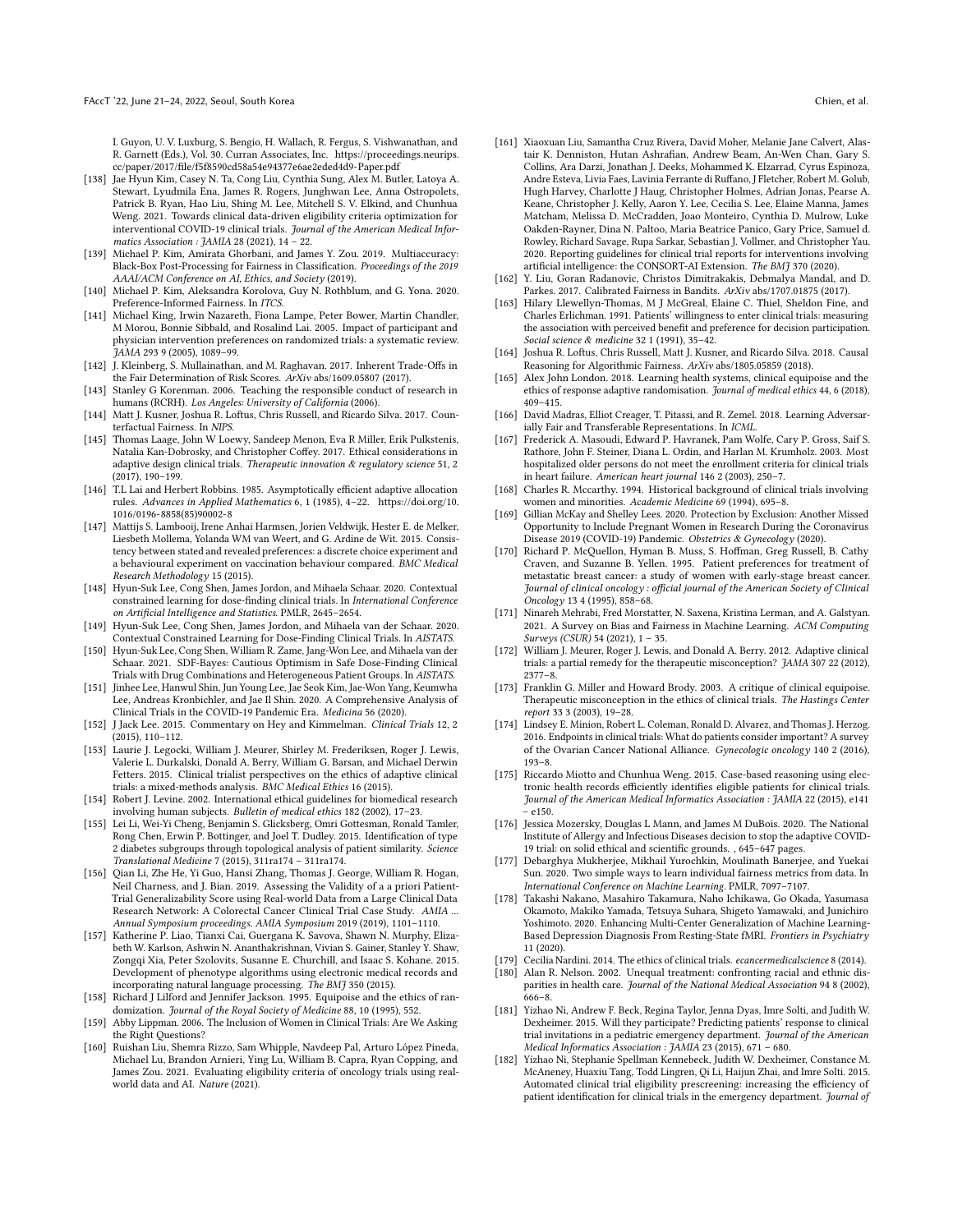I. Guyon, U. V. Luxburg, S. Bengio, H. Wallach, R. Fergus, S. Vishwanathan, and R. Garnett (Eds.), Vol. 30. Curran Associates, Inc. [https://proceedings.neurips.](https://proceedings.neurips.cc/paper/2017/file/f5f8590cd58a54e94377e6ae2eded4d9-Paper.pdf) [cc/paper/2017/file/f5f8590cd58a54e94377e6ae2eded4d9-Paper.pdf](https://proceedings.neurips.cc/paper/2017/file/f5f8590cd58a54e94377e6ae2eded4d9-Paper.pdf)

- <span id="page-13-26"></span>[138] Jae Hyun Kim, Casey N. Ta, Cong Liu, Cynthia Sung, Alex M. Butler, Latoya A. Stewart, Lyudmila Ena, James R. Rogers, Junghwan Lee, Anna Ostropolets, Patrick B. Ryan, Hao Liu, Shing M. Lee, Mitchell S. V. Elkind, and Chunhua Weng. 2021. Towards clinical data-driven eligibility criteria optimization for interventional COVID-19 clinical trials. Journal of the American Medical Informatics Association : JAMIA 28 (2021), 14 – 22.
- <span id="page-13-44"></span>[139] Michael P. Kim, Amirata Ghorbani, and James Y. Zou. 2019. Multiaccuracy: Black-Box Post-Processing for Fairness in Classification. Proceedings of the 2019 AAAI/ACM Conference on AI, Ethics, and Society (2019).
- <span id="page-13-35"></span>[140] Michael P. Kim, Aleksandra Korolova, Guy N. Rothblum, and G. Yona. 2020. Preference-Informed Fairness. In ITCS.
- <span id="page-13-24"></span>[141] Michael King, Irwin Nazareth, Fiona Lampe, Peter Bower, Martin Chandler, M Morou, Bonnie Sibbald, and Rosalind Lai. 2005. Impact of participant and physician intervention preferences on randomized trials: a systematic review. JAMA 293 9 (2005), 1089–99.
- <span id="page-13-5"></span>[142] J. Kleinberg, S. Mullainathan, and M. Raghavan. 2017. Inherent Trade-Offs in the Fair Determination of Risk Scores. ArXiv abs/1609.05807 (2017).
- <span id="page-13-41"></span>[143] Stanley G Korenman. 2006. Teaching the responsible conduct of research in humans (RCRH). Los Angeles: University of California (2006).
- <span id="page-13-7"></span>[144] Matt J. Kusner, Joshua R. Loftus, Chris Russell, and Ricardo Silva. 2017. Counterfactual Fairness. In NIPS.
- <span id="page-13-18"></span>[145] Thomas Laage, John W Loewy, Sandeep Menon, Eva R Miller, Erik Pulkstenis, Natalia Kan-Dobrosky, and Christopher Coffey. 2017. Ethical considerations in adaptive design clinical trials. Therapeutic innovation & regulatory science 51, 2 (2017), 190–199.
- <span id="page-13-37"></span>[146] T.L Lai and Herbert Robbins. 1985. Asymptotically efficient adaptive allocation rules. Advances in Applied Mathematics 6, 1 (1985), 4–22. [https://doi.org/10.](https://doi.org/10.1016/0196-8858(85)90002-8) [1016/0196-8858\(85\)90002-8](https://doi.org/10.1016/0196-8858(85)90002-8)
- <span id="page-13-33"></span>[147] Mattijs S. Lambooij, Irene Anhai Harmsen, Jorien Veldwijk, Hester E. de Melker, Liesbeth Mollema, Yolanda WM van Weert, and G. Ardine de Wit. 2015. Consistency between stated and revealed preferences: a discrete choice experiment and a behavioural experiment on vaccination behaviour compared. BMC Medical Research Methodology 15 (2015).
- <span id="page-13-1"></span>[148] Hyun-Suk Lee, Cong Shen, James Jordon, and Mihaela Schaar. 2020. Contextual constrained learning for dose-finding clinical trials. In International Conference on Artificial Intelligence and Statistics. PMLR, 2645–2654.
- <span id="page-13-36"></span>[149] Hyun-Suk Lee, Cong Shen, James Jordon, and Mihaela van der Schaar. 2020. Contextual Constrained Learning for Dose-Finding Clinical Trials. In AISTATS.
- <span id="page-13-2"></span>[150] Hyun-Suk Lee, Cong Shen, William R. Zame, Jang-Won Lee, and Mihaela van der Schaar. 2021. SDF-Bayes: Cautious Optimism in Safe Dose-Finding Clinical Trials with Drug Combinations and Heterogeneous Patient Groups. In AISTATS.
- <span id="page-13-20"></span>[151] Jinhee Lee, Hanwul Shin, Jun Young Lee, Jae Seok Kim, Jae-Won Yang, Keumwha Lee, Andreas Kronbichler, and Jae Il Shin. 2020. A Comprehensive Analysis of Clinical Trials in the COVID-19 Pandemic Era. Medicina 56 (2020).
- <span id="page-13-16"></span>[152] J Jack Lee. 2015. Commentary on Hey and Kimmelman. Clinical Trials 12, 2 (2015), 110–112.
- <span id="page-13-19"></span>[153] Laurie J. Legocki, William J. Meurer, Shirley M. Frederiksen, Roger J. Lewis, Valerie L. Durkalski, Donald A. Berry, William G. Barsan, and Michael Derwin Fetters. 2015. Clinical trialist perspectives on the ethics of adaptive clinical trials: a mixed-methods analysis. BMC Medical Ethics 16 (2015).
- <span id="page-13-10"></span>[154] Robert J. Levine. 2002. International ethical guidelines for biomedical research involving human subjects. Bulletin of medical ethics 182 (2002), 17–23.
- <span id="page-13-32"></span>[155] Lei Li, Wei-Yi Cheng, Benjamin S. Glicksberg, Omri Gottesman, Ronald Tamler, Rong Chen, Erwin P. Bottinger, and Joel T. Dudley. 2015. Identification of type 2 diabetes subgroups through topological analysis of patient similarity. Science Translational Medicine 7 (2015), 311ra174 – 311ra174.
- <span id="page-13-39"></span>[156] Qian Li, Zhe He, Yi Guo, Hansi Zhang, Thomas J. George, William R. Hogan, Neil Charness, and J. Bian. 2019. Assessing the Validity of a a priori Patient-Trial Generalizability Score using Real-world Data from a Large Clinical Data Research Network: A Colorectal Cancer Clinical Trial Case Study. AMIA ... Annual Symposium proceedings. AMIA Symposium 2019 (2019), 1101–1110.
- <span id="page-13-31"></span>[157] Katherine P. Liao, Tianxi Cai, Guergana K. Savova, Shawn N. Murphy, Elizabeth W. Karlson, Ashwin N. Ananthakrishnan, Vivian S. Gainer, Stanley Y. Shaw, Zongqi Xia, Peter Szolovits, Susanne E. Churchill, and Isaac S. Kohane. 2015. Development of phenotype algorithms using electronic medical records and incorporating natural language processing. The BMJ 350 (2015).
- <span id="page-13-13"></span>[158] Richard J Lilford and Jennifer Jackson. 1995. Equipoise and the ethics of randomization. Journal of the Royal Society of Medicine 88, 10 (1995), 552.
- <span id="page-13-9"></span>[159] Abby Lippman. 2006. The Inclusion of Women in Clinical Trials: Are We Asking the Right Questions?
- <span id="page-13-27"></span>[160] Ruishan Liu, Shemra Rizzo, Sam Whipple, Navdeep Pal, Arturo López Pineda, Michael Lu, Brandon Arnieri, Ying Lu, William B. Capra, Ryan Copping, and James Zou. 2021. Evaluating eligibility criteria of oncology trials using realworld data and AI. Nature (2021).
- <span id="page-13-3"></span>[161] Xiaoxuan Liu, Samantha Cruz Rivera, David Moher, Melanie Jane Calvert, Alastair K. Denniston, Hutan Ashrafian, Andrew Beam, An-Wen Chan, Gary S. Collins, Ara Darzi, Jonathan J. Deeks, Mohammed K. Elzarrad, Cyrus Espinoza, Andre Esteva, Livia Faes, Lavinia Ferrante di Ruffano, J Fletcher, Robert M. Golub, Hugh Harvey, Charlotte J Haug, Christopher Holmes, Adrian Jonas, Pearse A. Keane, Christopher J. Kelly, Aaron Y. Lee, Cecilia S. Lee, Elaine Manna, James Matcham, Melissa D. McCradden, Joao Monteiro, Cynthia D. Mulrow, Luke Oakden-Rayner, Dina N. Paltoo, Maria Beatrice Panico, Gary Price, Samuel d. Rowley, Richard Savage, Rupa Sarkar, Sebastian J. Vollmer, and Christopher Yau. 2020. Reporting guidelines for clinical trial reports for interventions involving artificial intelligence: the CONSORT-AI Extension. The BMJ 370 (2020).
- <span id="page-13-38"></span>[162] Y. Liu, Goran Radanovic, Christos Dimitrakakis, Debmalya Mandal, and D. Parkes. 2017. Calibrated Fairness in Bandits. ArXiv abs/1707.01875 (2017).
- <span id="page-13-22"></span>[163] Hilary Llewellyn-Thomas, M J McGreal, Elaine C. Thiel, Sheldon Fine, and Charles Erlichman. 1991. Patients' willingness to enter clinical trials: measuring the association with perceived benefit and preference for decision participation. Social science & medicine 32 1 (1991), 35–42.
- <span id="page-13-6"></span>[164] Joshua R. Loftus, Chris Russell, Matt J. Kusner, and Ricardo Silva. 2018. Causal Reasoning for Algorithmic Fairness. ArXiv abs/1805.05859 (2018).
- <span id="page-13-17"></span>[165] Alex John London. 2018. Learning health systems, clinical equipoise and the ethics of response adaptive randomisation. Journal of medical ethics 44, 6 (2018), 409–415.
- <span id="page-13-43"></span>[166] David Madras, Elliot Creager, T. Pitassi, and R. Zemel. 2018. Learning Adversarially Fair and Transferable Representations. In ICML.
- <span id="page-13-25"></span>[167] Frederick A. Masoudi, Edward P. Havranek, Pam Wolfe, Cary P. Gross, Saif S. Rathore, John F. Steiner, Diana L. Ordin, and Harlan M. Krumholz. 2003. Most hospitalized older persons do not meet the enrollment criteria for clinical trials in heart failure. American heart journal 146 2 (2003), 250–7.
- <span id="page-13-8"></span>[168] Charles R. Mccarthy. 1994. Historical background of clinical trials involving women and minorities. Academic Medicine 69 (1994), 695–8.
- <span id="page-13-11"></span>[169] Gillian McKay and Shelley Lees. 2020. Protection by Exclusion: Another Missed Opportunity to Include Pregnant Women in Research During the Coronavirus Disease 2019 (COVID-19) Pandemic. Obstetrics & Gynecology (2020).
- <span id="page-13-34"></span>[170] Richard P. McQuellon, Hyman B. Muss, S. Hoffman, Greg Russell, B. Cathy Craven, and Suzanne B. Yellen. 1995. Patient preferences for treatment of metastatic breast cancer: a study of women with early-stage breast cancer. Journal of clinical oncology : official journal of the American Society of Clinical Oncology 13 4 (1995), 858–68.
- <span id="page-13-4"></span>[171] Ninareh Mehrabi, Fred Morstatter, N. Saxena, Kristina Lerman, and A. Galstyan. 2021. A Survey on Bias and Fairness in Machine Learning. ACM Computing Surveys (CSUR) 54 (2021), 1 – 35.
- <span id="page-13-14"></span>[172] William J. Meurer, Roger J. Lewis, and Donald A. Berry. 2012. Adaptive clinical trials: a partial remedy for the therapeutic misconception? JAMA 307 22 (2012), 2377–8.
- <span id="page-13-15"></span>[173] Franklin G. Miller and Howard Brody. 2003. A critique of clinical equipoise. Therapeutic misconception in the ethics of clinical trials. The Hastings Center report 33 3 (2003), 19–28.
- <span id="page-13-23"></span>[174] Lindsey E. Minion, Robert L. Coleman, Ronald D. Alvarez, and Thomas J. Herzog. 2016. Endpoints in clinical trials: What do patients consider important? A survey of the Ovarian Cancer National Alliance. Gynecologic oncology 140 2 (2016), 193–8.
- <span id="page-13-29"></span>[175] Riccardo Miotto and Chunhua Weng. 2015. Case-based reasoning using electronic health records efficiently identifies eligible patients for clinical trials. Journal of the American Medical Informatics Association : JAMIA 22 (2015), e141 – e150.
- <span id="page-13-21"></span>[176] Jessica Mozersky, Douglas L Mann, and James M DuBois. 2020. The National Institute of Allergy and Infectious Diseases decision to stop the adaptive COVID-19 trial: on solid ethical and scientific grounds. , 645–647 pages.
- <span id="page-13-42"></span>[177] Debarghya Mukherjee, Mikhail Yurochkin, Moulinath Banerjee, and Yuekai Sun. 2020. Two simple ways to learn individual fairness metrics from data. In International Conference on Machine Learning. PMLR, 7097–7107.
- <span id="page-13-40"></span>[178] Takashi Nakano, Masahiro Takamura, Naho Ichikawa, Go Okada, Yasumasa Okamoto, Makiko Yamada, Tetsuya Suhara, Shigeto Yamawaki, and Junichiro Yoshimoto. 2020. Enhancing Multi-Center Generalization of Machine Learning-Based Depression Diagnosis From Resting-State fMRI. Frontiers in Psychiatry 11 (2020).
- <span id="page-13-0"></span>[179] Cecilia Nardini. 2014. The ethics of clinical trials. ecancermedicalscience 8 (2014).
- <span id="page-13-12"></span>[180] Alan R. Nelson. 2002. Unequal treatment: confronting racial and ethnic disparities in health care. Journal of the National Medical Association 94 8 (2002), 666–8.
- <span id="page-13-30"></span>[181] Yizhao Ni, Andrew F. Beck, Regina Taylor, Jenna Dyas, Imre Solti, and Judith W. Dexheimer. 2015. Will they participate? Predicting patients' response to clinical trial invitations in a pediatric emergency department. Journal of the American Medical Informatics Association : JAMIA 23 (2015), 671 – 680.
- <span id="page-13-28"></span>[182] Yizhao Ni, Stephanie Spellman Kennebeck, Judith W. Dexheimer, Constance M. McAneney, Huaxiu Tang, Todd Lingren, Qi Li, Haijun Zhai, and Imre Solti. 2015. Automated clinical trial eligibility prescreening: increasing the efficiency of patient identification for clinical trials in the emergency department. Journal of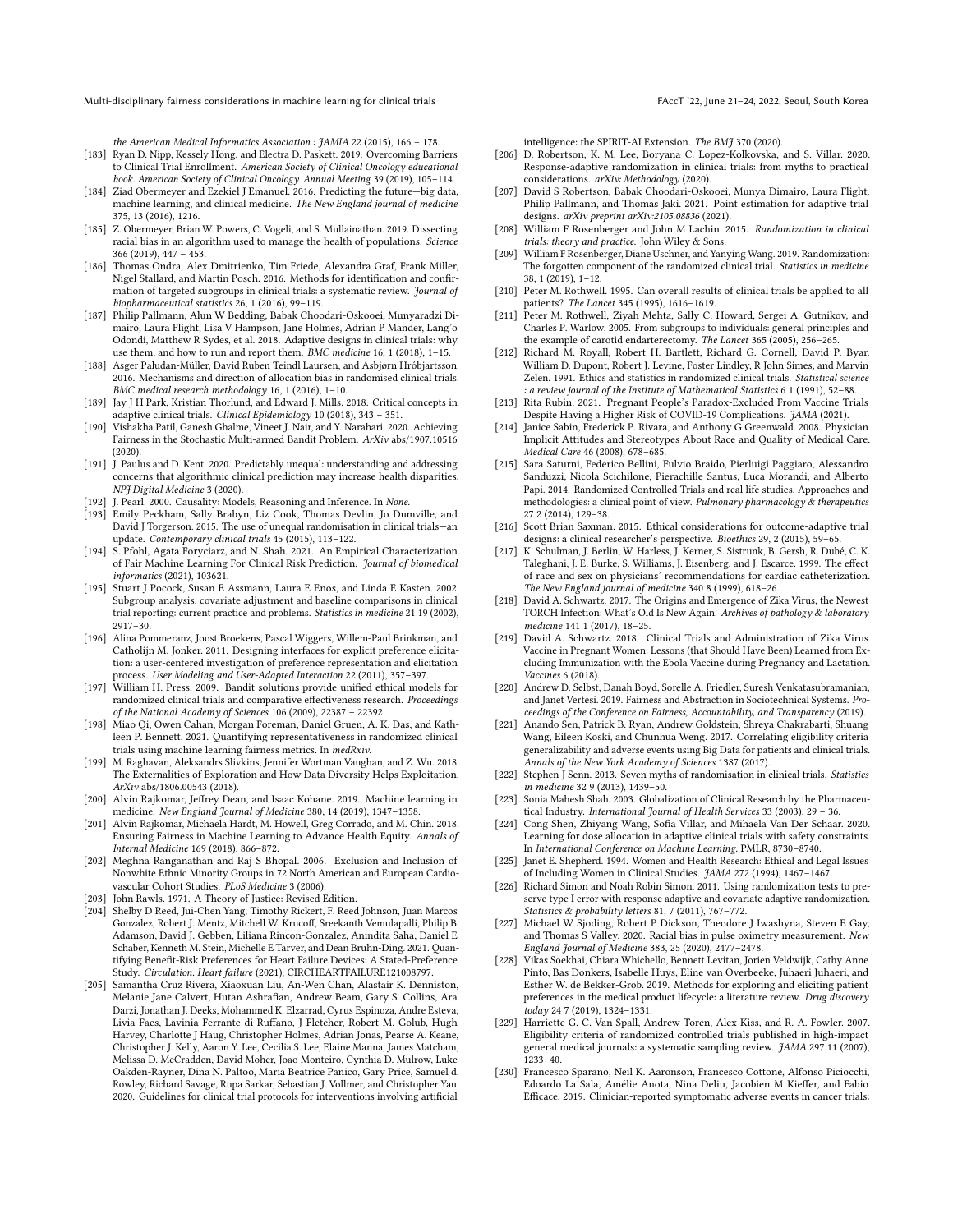the American Medical Informatics Association : JAMIA 22 (2015), 166 – 178.

- <span id="page-14-24"></span>[183] Ryan D. Nipp, Kessely Hong, and Electra D. Paskett. 2019. Overcoming Barriers to Clinical Trial Enrollment. American Society of Clinical Oncology educational book. American Society of Clinical Oncology. Annual Meeting 39 (2019), 105–114.
- <span id="page-14-0"></span>[184] Ziad Obermeyer and Ezekiel J Emanuel. 2016. Predicting the future—big data, machine learning, and clinical medicine. The New England journal of medicine 375, 13 (2016), 1216.
- <span id="page-14-9"></span>[185] Z. Obermeyer, Brian W. Powers, C. Vogeli, and S. Mullainathan. 2019. Dissecting racial bias in an algorithm used to manage the health of populations. Science 366 (2019), 447 – 453.
- <span id="page-14-35"></span>[186] Thomas Ondra, Alex Dmitrienko, Tim Friede, Alexandra Graf, Frank Miller, Nigel Stallard, and Martin Posch. 2016. Methods for identification and confirmation of targeted subgroups in clinical trials: a systematic review. Journal of biopharmaceutical statistics 26, 1 (2016), 99–119.
- <span id="page-14-3"></span>[187] Philip Pallmann, Alun W Bedding, Babak Choodari-Oskooei, Munyaradzi Dimairo, Laura Flight, Lisa V Hampson, Jane Holmes, Adrian P Mander, Lang'o Odondi, Matthew R Sydes, et al. 2018. Adaptive designs in clinical trials: why use them, and how to run and report them. BMC medicine 16, 1 (2018), 1–15.
- <span id="page-14-26"></span>[188] Asger Paludan-Müller, David Ruben Teindl Laursen, and Asbjørn Hróbjartsson. 2016. Mechanisms and direction of allocation bias in randomised clinical trials. BMC medical research methodology 16, 1 (2016), 1–10.
- <span id="page-14-5"></span>[189] Jay J H Park, Kristian Thorlund, and Edward J. Mills. 2018. Critical concepts in adaptive clinical trials. Clinical Epidemiology 10 (2018), 343 – 351.
- <span id="page-14-41"></span>[190] Vishakha Patil, Ganesh Ghalme, Vineet J. Nair, and Y. Narahari. 2020. Achieving Fairness in the Stochastic Multi-armed Bandit Problem. ArXiv abs/1907.10516 (2020).
- <span id="page-14-7"></span>[191] J. Paulus and D. Kent. 2020. Predictably unequal: understanding and addressing concerns that algorithmic clinical prediction may increase health disparities. NPJ Digital Medicine 3 (2020).
- <span id="page-14-45"></span>[192] J. Pearl. 2000. Causality: Models, Reasoning and Inference. In None.
- <span id="page-14-27"></span>[193] Emily Peckham, Sally Brabyn, Liz Cook, Thomas Devlin, Jo Dumville, and David J Torgerson. 2015. The use of unequal randomisation in clinical trials—an update. Contemporary clinical trials 45 (2015), 113–122.
- <span id="page-14-13"></span>[194] S. Pfohl, Agata Foryciarz, and N. Shah. 2021. An Empirical Characterization of Fair Machine Learning For Clinical Risk Prediction. Journal of biomedical informatics (2021), 103621.
- <span id="page-14-33"></span>[195] Stuart J Pocock, Susan E Assmann, Laura E Enos, and Linda E Kasten. 2002. Subgroup analysis, covariate adjustment and baseline comparisons in clinical trial reporting: current practice and problems. Statistics in medicine 21 19 (2002), 2917–30.
- <span id="page-14-38"></span>[196] Alina Pommeranz, Joost Broekens, Pascal Wiggers, Willem-Paul Brinkman, and Catholijn M. Jonker. 2011. Designing interfaces for explicit preference elicitation: a user-centered investigation of preference representation and elicitation process. User Modeling and User-Adapted Interaction 22 (2011), 357–397.
- <span id="page-14-40"></span>process. User modeling and User-Traditions provide unified ethical models for [197] William H. Press. 2009. Bandit solutions provide unified ethical models for randomized clinical trials and comparative effectiveness research. Proceedings of the National Academy of Sciences 106 (2009), 22387 – 22392.
- <span id="page-14-44"></span>[198] Miao Qi, Owen Cahan, Morgan Foreman, Daniel Gruen, A. K. Das, and Kathleen P. Bennett. 2021. Quantifying representativeness in randomized clinical trials using machine learning fairness metrics. In medRxiv.
- <span id="page-14-42"></span>[199] M. Raghavan, Aleksandrs Slivkins, Jennifer Wortman Vaughan, and Z. Wu. 2018. The Externalities of Exploration and How Data Diversity Helps Exploitation. ArXiv abs/1806.00543 (2018).
- <span id="page-14-1"></span>[200] Alvin Rajkomar, Jeffrey Dean, and Isaac Kohane. 2019. Machine learning in medicine. New England Journal of Medicine 380, 14 (2019), 1347–1358.
- <span id="page-14-8"></span>[201] Alvin Rajkomar, Michaela Hardt, M. Howell, Greg Corrado, and M. Chin. 2018. Ensuring Fairness in Machine Learning to Advance Health Equity. Annals of Internal Medicine 169 (2018), 866–872.
- <span id="page-14-15"></span>[202] Meghna Ranganathan and Raj S Bhopal. 2006. Exclusion and Inclusion of Nonwhite Ethnic Minority Groups in 72 North American and European Cardiovascular Cohort Studies. PLoS Medicine 3 (2006).
- <span id="page-14-46"></span>[203] John Rawls. 1971. A Theory of Justice: Revised Edition.
- <span id="page-14-30"></span>[204] Shelby D Reed, Jui-Chen Yang, Timothy Rickert, F. Reed Johnson, Juan Marcos Gonzalez, Robert J. Mentz, Mitchell W. Krucoff, Sreekanth Vemulapalli, Philip B. Adamson, David J. Gebben, Liliana Rincon-Gonzalez, Anindita Saha, Daniel E Schaber, Kenneth M. Stein, Michelle E Tarver, and Dean Bruhn-Ding. 2021. Quantifying Benefit-Risk Preferences for Heart Failure Devices: A Stated-Preference Study. Circulation. Heart failure (2021), CIRCHEARTFAILURE121008797.
- <span id="page-14-12"></span>[205] Samantha Cruz Rivera, Xiaoxuan Liu, An-Wen Chan, Alastair K. Denniston, Melanie Jane Calvert, Hutan Ashrafian, Andrew Beam, Gary S. Collins, Ara Darzi, Jonathan J. Deeks, Mohammed K. Elzarrad, Cyrus Espinoza, Andre Esteva, Livia Faes, Lavinia Ferrante di Ruffano, J Fletcher, Robert M. Golub, Hugh Harvey, Charlotte J Haug, Christopher Holmes, Adrian Jonas, Pearse A. Keane, Christopher J. Kelly, Aaron Y. Lee, Cecilia S. Lee, Elaine Manna, James Matcham, Melissa D. McCradden, David Moher, Joao Monteiro, Cynthia D. Mulrow, Luke Oakden-Rayner, Dina N. Paltoo, Maria Beatrice Panico, Gary Price, Samuel d. Rowley, Richard Savage, Rupa Sarkar, Sebastian J. Vollmer, and Christopher Yau. 2020. Guidelines for clinical trial protocols for interventions involving artificial

intelligence: the SPIRIT-AI Extension. The BMJ 370 (2020).

- <span id="page-14-11"></span>[206] D. Robertson, K. M. Lee, Boryana C. Lopez-Kolkovska, and S. Villar. 2020. Response-adaptive randomization in clinical trials: from myths to practical considerations. arXiv: Methodology (2020).
- <span id="page-14-29"></span>[207] David S Robertson, Babak Choodari-Oskooei, Munya Dimairo, Laura Flight, Philip Pallmann, and Thomas Jaki. 2021. Point estimation for adaptive trial designs. arXiv preprint arXiv:2105.08836 (2021).
- <span id="page-14-37"></span>[208] William F Rosenberger and John M Lachin. 2015. Randomization in clinical trials: theory and practice. John Wiley & Sons.
- <span id="page-14-2"></span>[209] William F Rosenberger, Diane Uschner, and Yanying Wang. 2019. Randomization: The forgotten component of the randomized clinical trial. Statistics in medicine 38, 1 (2019), 1–12.
- <span id="page-14-19"></span>[210] Peter M. Rothwell. 1995. Can overall results of clinical trials be applied to all patients? The Lancet 345 (1995), 1616–1619.
- <span id="page-14-34"></span>[211] Peter M. Rothwell, Ziyah Mehta, Sally C. Howard, Sergei A. Gutnikov, and Charles P. Warlow. 2005. From subgroups to individuals: general principles and the example of carotid endarterectomy. The Lancet 365 (2005), 256-265.
- <span id="page-14-4"></span>[212] Richard M. Royall, Robert H. Bartlett, Richard G. Cornell, David P. Byar, William D. Dupont, Robert J. Levine, Foster Lindley, R John Simes, and Marvin Zelen. 1991. Ethics and statistics in randomized clinical trials. Statistical science : a review journal of the Institute of Mathematical Statistics 6 1 (1991), 52–88.
- <span id="page-14-23"></span>[213] Rita Rubin. 2021. Pregnant People's Paradox-Excluded From Vaccine Trials Despite Having a Higher Risk of COVID-19 Complications. JAMA (2021).
- <span id="page-14-25"></span>Janice Sabin, Frederick P. Rivara, and Anthony G Greenwald. 2008. Physician Implicit Attitudes and Stereotypes About Race and Quality of Medical Care. Medical Care 46 (2008), 678–685.
- <span id="page-14-10"></span>[215] Sara Saturni, Federico Bellini, Fulvio Braido, Pierluigi Paggiaro, Alessandro Sanduzzi, Nicola Scichilone, Pierachille Santus, Luca Morandi, and Alberto Papi. 2014. Randomized Controlled Trials and real life studies. Approaches and methodologies: a clinical point of view. Pulmonary pharmacology  $\&$  therapeutics 27 2 (2014), 129–38.
- <span id="page-14-28"></span>[216] Scott Brian Saxman. 2015. Ethical considerations for outcome-adaptive trial designs: a clinical researcher's perspective. Bioethics 29, 2 (2015), 59–65.
- <span id="page-14-47"></span>[217] K. Schulman, J. Berlin, W. Harless, J. Kerner, S. Sistrunk, B. Gersh, R. Dubé, C. K. Taleghani, J. E. Burke, S. Williams, J. Eisenberg, and J. Escarce. 1999. The effect of race and sex on physicians' recommendations for cardiac catheterization. The New England journal of medicine 340 8 (1999), 618–26.
- <span id="page-14-22"></span>[218] David A. Schwartz. 2017. The Origins and Emergence of Zika Virus, the Newest TORCH Infection: What's Old Is New Again. Archives of pathology & laboratory medicine 141 1 (2017), 18–25.
- <span id="page-14-21"></span>[219] David A. Schwartz. 2018. Clinical Trials and Administration of Zika Virus Vaccine in Pregnant Women: Lessons (that Should Have Been) Learned from Excluding Immunization with the Ebola Vaccine during Pregnancy and Lactation. Vaccines 6 (2018).
- <span id="page-14-14"></span>[220] Andrew D. Selbst, Danah Boyd, Sorelle A. Friedler, Suresh Venkatasubramanian, and Janet Vertesi. 2019. Fairness and Abstraction in Sociotechnical Systems. Proceedings of the Conference on Fairness, Accountability, and Transparency (2019).
- <span id="page-14-43"></span>[221] Anando Sen, Patrick B. Ryan, Andrew Goldstein, Shreya Chakrabarti, Shuang Wang, Eileen Koski, and Chunhua Weng. 2017. Correlating eligibility criteria generalizability and adverse events using Big Data for patients and clinical trials. Annals of the New York Academy of Sciences 1387 (2017).
- <span id="page-14-32"></span>[222] Stephen J Senn. 2013. Seven myths of randomisation in clinical trials. Statistics in medicine 32 9 (2013), 1439–50.
- <span id="page-14-17"></span>[223] Sonia Mahesh Shah. 2003. Globalization of Clinical Research by the Pharmaceutical Industry. International Journal of Health Services 33 (2003), 29 – 36.
- <span id="page-14-6"></span>[224] Cong Shen, Zhiyang Wang, Sofia Villar, and Mihaela Van Der Schaar. 2020. Learning for dose allocation in adaptive clinical trials with safety constraints. In International Conference on Machine Learning. PMLR, 8730–8740.
- <span id="page-14-16"></span>[225] Janet E. Shepherd. 1994. Women and Health Research: Ethical and Legal Issues of Including Women in Clinical Studies. JAMA 272 (1994), 1467–1467.
- <span id="page-14-36"></span>[226] Richard Simon and Noah Robin Simon. 2011. Using randomization tests to preserve type I error with response adaptive and covariate adaptive randomization. Statistics & probability letters 81, 7 (2011), 767-772.
- <span id="page-14-18"></span>[227] Michael W Sjoding, Robert P Dickson, Theodore J Iwashyna, Steven E Gay, and Thomas S Valley. 2020. Racial bias in pulse oximetry measurement. New England Journal of Medicine 383, 25 (2020), 2477–2478.
- <span id="page-14-31"></span>[228] Vikas Soekhai, Chiara Whichello, Bennett Levitan, Jorien Veldwijk, Cathy Anne Pinto, Bas Donkers, Isabelle Huys, Eline van Overbeeke, Juhaeri Juhaeri, and Esther W. de Bekker-Grob. 2019. Methods for exploring and eliciting patient preferences in the medical product lifecycle: a literature review. Drug discovery today 24 7 (2019), 1324–1331.
- <span id="page-14-20"></span>[229] Harriette G. C. Van Spall, Andrew Toren, Alex Kiss, and R. A. Fowler. 2007. Eligibility criteria of randomized controlled trials published in high-impact general medical journals: a systematic sampling review. JAMA 297 11 (2007), 1233–40.
- <span id="page-14-39"></span>[230] Francesco Sparano, Neil K. Aaronson, Francesco Cottone, Alfonso Piciocchi, Edoardo La Sala, Amélie Anota, Nina Deliu, Jacobien M Kieffer, and Fabio Efficace. 2019. Clinician-reported symptomatic adverse events in cancer trials: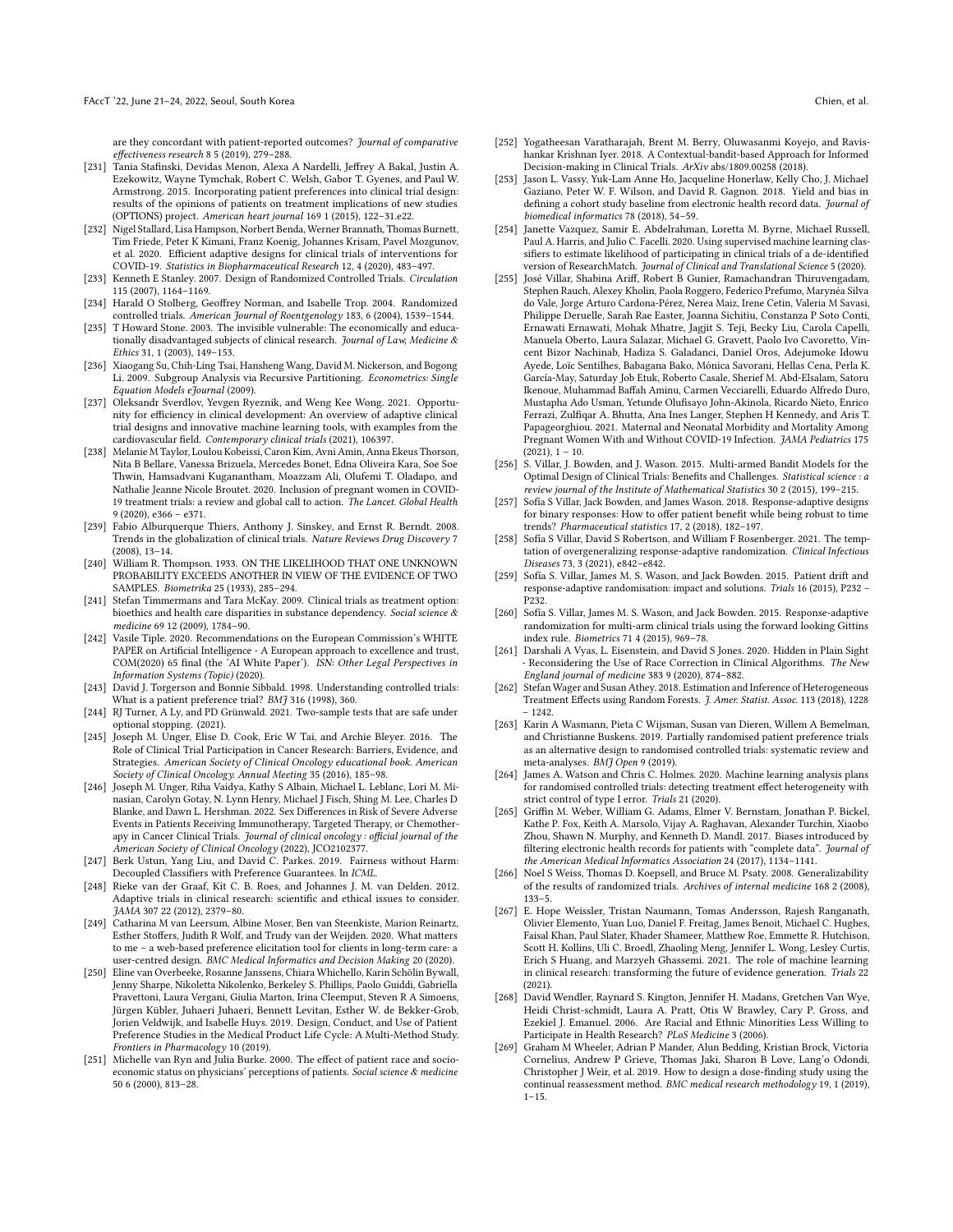are they concordant with patient-reported outcomes? Journal of comparative effectiveness research 8 5 (2019), 279–288.

- <span id="page-15-18"></span>[231] Tania Stafinski, Devidas Menon, Alexa A Nardelli, Jeffrey A Bakal, Justin A. Ezekowitz, Wayne Tymchak, Robert C. Welsh, Gabor T. Gyenes, and Paul W. Armstrong. 2015. Incorporating patient preferences into clinical trial design: results of the opinions of patients on treatment implications of new studies (OPTIONS) project. American heart journal 169 1 (2015), 122–31.e22.
- <span id="page-15-23"></span>[232] Nigel Stallard, Lisa Hampson, Norbert Benda, Werner Brannath, Thomas Burnett, Tim Friede, Peter K Kimani, Franz Koenig, Johannes Krisam, Pavel Mozgunov, et al. 2020. Efficient adaptive designs for clinical trials of interventions for COVID-19. Statistics in Biopharmaceutical Research 12, 4 (2020), 483–497.
- <span id="page-15-4"></span>[233] Kenneth E Stanley. 2007. Design of Randomized Controlled Trials. Circulation 115 (2007), 1164–1169.
- <span id="page-15-1"></span>[234] Harald O Stolberg, Geoffrey Norman, and Isabelle Trop. 2004. Randomized controlled trials. American Journal of Roentgenology 183, 6 (2004), 1539–1544.
- <span id="page-15-16"></span>[235] T Howard Stone. 2003. The invisible vulnerable: The economically and educationally disadvantaged subjects of clinical research. Journal of Law, Medicine & Ethics 31, 1 (2003), 149–153.
- <span id="page-15-35"></span>[236] Xiaogang Su, Chih-Ling Tsai, Hansheng Wang, David M. Nickerson, and Bogong Li. 2009. Subgroup Analysis via Recursive Partitioning. Econometrics: Single Equation Models eJournal (2009).
- <span id="page-15-5"></span>[237] Oleksandr Sverdlov, Yevgen Ryeznik, and Weng Kee Wong. 2021. Opportunity for efficiency in clinical development: An overview of adaptive clinical trial designs and innovative machine learning tools, with examples from the cardiovascular field. Contemporary clinical trials (2021), 106397.
- <span id="page-15-12"></span>[238] Melanie M Taylor, Loulou Kobeissi, Caron Kim, Avni Amin, Anna Ekeus Thorson, Nita B Bellare, Vanessa Brizuela, Mercedes Bonet, Edna Oliveira Kara, Soe Soe Thwin, Hamsadvani Kuganantham, Moazzam Ali, Olufemi T. Oladapo, and Nathalie Jeanne Nicole Broutet. 2020. Inclusion of pregnant women in COVID-19 treatment trials: a review and global call to action. The Lancet. Global Health 9 (2020), e366 – e371.
- <span id="page-15-9"></span>[239] Fabio Alburquerque Thiers, Anthony J. Sinskey, and Ernst R. Berndt. 2008. Trends in the globalization of clinical trials. Nature Reviews Drug Discovery 7 (2008), 13–14.
- <span id="page-15-32"></span>[240] William R. Thompson. 1933. ON THE LIKELIHOOD THAT ONE UNKNOWN PROBABILITY EXCEEDS ANOTHER IN VIEW OF THE EVIDENCE OF TWO SAMPLES. Biometrika 25 (1933), 285–294.
- <span id="page-15-38"></span>[241] Stefan Timmermans and Tara McKay. 2009. Clinical trials as treatment option: bioethics and health care disparities in substance dependency. Social science & medicine 69 12 (2009), 1784–90.
- <span id="page-15-8"></span>[242] Vasile Tiple. 2020. Recommendations on the European Commission's WHITE PAPER on Artificial Intelligence - A European approach to excellence and trust, COM(2020) 65 final (the 'AI White Paper'). ISN: Other Legal Perspectives in Information Systems (Topic) (2020).
- <span id="page-15-20"></span>[243] David J. Torgerson and Bonnie Sibbald. 1998. Understanding controlled trials: What is a patient preference trial? BMJ 316 (1998), 360.
- <span id="page-15-34"></span>[244] RJ Turner, A Ly, and PD Grünwald. 2021. Two-sample tests that are safe under optional stopping. (2021).
- <span id="page-15-21"></span>[245] Joseph M. Unger, Elise D. Cook, Eric W Tai, and Archie Bleyer. 2016. The Role of Clinical Trial Participation in Cancer Research: Barriers, Evidence, and Strategies. American Society of Clinical Oncology educational book. American Society of Clinical Oncology. Annual Meeting 35 (2016), 185–98.
- <span id="page-15-10"></span>[246] Joseph M. Unger, Riha Vaidya, Kathy S Albain, Michael L. Leblanc, Lori M. Minasian, Carolyn Gotay, N. Lynn Henry, Michael J Fisch, Shing M. Lee, Charles D Blanke, and Dawn L. Hershman. 2022. Sex Differences in Risk of Severe Adverse Events in Patients Receiving Immunotherapy, Targeted Therapy, or Chemotherapy in Cancer Clinical Trials. Journal of clinical oncology : official journal of the American Society of Clinical Oncology (2022), JCO2102377.
- <span id="page-15-31"></span>[247] Berk Ustun, Yang Liu, and David C. Parkes. 2019. Fairness without Harm: Decoupled Classifiers with Preference Guarantees. In ICML.
- <span id="page-15-2"></span>[248] Rieke van der Graaf, Kit C. B. Roes, and Johannes J. M. van Delden. 2012. Adaptive trials in clinical research: scientific and ethical issues to consider. JAMA 307 22 (2012), 2379–80.
- <span id="page-15-29"></span>[249] Catharina M van Leersum, Albine Moser, Ben van Steenkiste, Marion Reinartz, Esther Stoffers, Judith R Wolf, and Trudy van der Weijden. 2020. What matters to me – a web-based preference elicitation tool for clients in long-term care: a user-centred design. BMC Medical Informatics and Decision Making 20 (2020).
- <span id="page-15-19"></span>[250] Eline van Overbeeke, Rosanne Janssens, Chiara Whichello, Karin Schölin Bywall, Jenny Sharpe, Nikoletta Nikolenko, Berkeley S. Phillips, Paolo Guiddi, Gabriella Pravettoni, Laura Vergani, Giulia Marton, Irina Cleemput, Steven R A Simoens, Jürgen Kübler, Juhaeri Juhaeri, Bennett Levitan, Esther W. de Bekker-Grob, Jorien Veldwijk, and Isabelle Huys. 2019. Design, Conduct, and Use of Patient Preference Studies in the Medical Product Life Cycle: A Multi-Method Study. Frontiers in Pharmacology 10 (2019).
- <span id="page-15-14"></span>[251] Michelle van Ryn and Julia Burke. 2000. The effect of patient race and socioeconomic status on physicians' perceptions of patients. Social science & medicine 50 6 (2000), 813–28.
- <span id="page-15-33"></span>[252] Yogatheesan Varatharajah, Brent M. Berry, Oluwasanmi Koyejo, and Ravishankar Krishnan Iyer. 2018. A Contextual-bandit-based Approach for Informed Decision-making in Clinical Trials. ArXiv abs/1809.00258 (2018).
- <span id="page-15-26"></span>[253] Jason L. Vassy, Yuk-Lam Anne Ho, Jacqueline Honerlaw, Kelly Cho, J. Michael Gaziano, Peter W. F. Wilson, and David R. Gagnon. 2018. Yield and bias in defining a cohort study baseline from electronic health record data. Journal of biomedical informatics 78 (2018), 54–59.
- <span id="page-15-25"></span>[254] Janette Vazquez, Samir E. Abdelrahman, Loretta M. Byrne, Michael Russell, Paul A. Harris, and Julio C. Facelli. 2020. Using supervised machine learning classifiers to estimate likelihood of participating in clinical trials of a de-identified version of ResearchMatch. Journal of Clinical and Translational Science 5 (2020).
- <span id="page-15-13"></span>[255] José Villar, Shabina Ariff, Robert B Gunier, Ramachandran Thiruvengadam, Stephen Rauch, Alexey Kholin, Paola Roggero, Federico Prefumo, Marynéa Silva do Vale, Jorge Arturo Cardona-Pérez, Nerea Maiz, Irene Cetin, Valeria M Savasi, Philippe Deruelle, Sarah Rae Easter, Joanna Sichitiu, Constanza P Soto Conti, Ernawati Ernawati, Mohak Mhatre, Jagjit S. Teji, Becky Liu, Carola Capelli, Manuela Oberto, Laura Salazar, Michael G. Gravett, Paolo Ivo Cavoretto, Vincent Bizor Nachinab, Hadiza S. Galadanci, Daniel Oros, Adejumoke Idowu Ayede, Loïc Sentilhes, Babagana Bako, Mónica Savorani, Hellas Cena, Perla K. García-May, Saturday Job Etuk, Roberto Casale, Sherief M. Abd-Elsalam, Satoru Ikenoue, Muhammad Baffah Aminu, Carmen Vecciarelli, Eduardo Alfredo Duro, Mustapha Ado Usman, Yetunde Olufisayo John-Akinola, Ricardo Nieto, Enrico Ferrazi, Zulfiqar A. Bhutta, Ana Ines Langer, Stephen H Kennedy, and Aris T. Papageorghiou. 2021. Maternal and Neonatal Morbidity and Mortality Among Pregnant Women With and Without COVID-19 Infection. JAMA Pediatrics 175  $(2021), 1 - 10.$
- <span id="page-15-6"></span>[256] S. Villar, J. Bowden, and J. Wason. 2015. Multi-armed Bandit Models for the Optimal Design of Clinical Trials: Benefits and Challenges. Statistical science : a review journal of the Institute of Mathematical Statistics 30 2 (2015), 199–215.
- <span id="page-15-24"></span>[257] Sofía S Villar, Jack Bowden, and James Wason, 2018. Response-adaptive designs for binary responses: How to offer patient benefit while being robust to time trends? Pharmaceutical statistics 17, 2 (2018), 182–197.
- <span id="page-15-17"></span>[258] Sofía S Villar, David S Robertson, and William F Rosenberger. 2021. The temptation of overgeneralizing response-adaptive randomization. Clinical Infectious Diseases 73, 3 (2021), e842–e842.
- <span id="page-15-22"></span>[259] Sofía S. Villar, James M. S. Wason, and Jack Bowden. 2015. Patient drift and response-adaptive randomisation: impact and solutions. Trials 16 (2015), P232 – P232.
- <span id="page-15-7"></span>[260] Sofía S. Villar, James M. S. Wason, and Jack Bowden. 2015. Response-adaptive randomization for multi-arm clinical trials using the forward looking Gittins index rule. Biometrics 71 4 (2015), 969–78.
- <span id="page-15-28"></span>[261] Darshali A Vyas, L. Eisenstein, and David S Jones. 2020. Hidden in Plain Sight - Reconsidering the Use of Race Correction in Clinical Algorithms. The New England journal of medicine 383 9 (2020), 874–882.
- <span id="page-15-36"></span>[262] Stefan Wager and Susan Athey. 2018. Estimation and Inference of Heterogeneous Treatment Effects using Random Forests. J. Amer. Statist. Assoc. 113 (2018), 1228 – 1242.
- <span id="page-15-30"></span>[263] Karin A Wasmann, Pieta C Wijsman, Susan van Dieren, Willem A Bemelman, and Christianne Buskens. 2019. Partially randomised patient preference trials as an alternative design to randomised controlled trials: systematic review and meta-analyses. BMJ Open 9 (2019).
- <span id="page-15-37"></span>[264] James A. Watson and Chris C. Holmes. 2020. Machine learning analysis plans for randomised controlled trials: detecting treatment effect heterogeneity with strict control of type I error. Trials 21 (2020).
- <span id="page-15-27"></span>[265] Griffin M. Weber, William G. Adams, Elmer V. Bernstam, Jonathan P. Bickel, Kathe P. Fox, Keith A. Marsolo, Vijay A. Raghavan, Alexander Turchin, Xiaobo Zhou, Shawn N. Murphy, and Kenneth D. Mandl. 2017. Biases introduced by filtering electronic health records for patients with "complete data". Journal of the American Medical Informatics Association 24 (2017), 1134-1141.
- <span id="page-15-11"></span>[266] Noel S Weiss, Thomas D. Koepsell, and Bruce M. Psaty. 2008. Generalizability of the results of randomized trials. Archives of internal medicine 168 2 (2008), 133–5.
- <span id="page-15-0"></span>[267] E. Hope Weissler, Tristan Naumann, Tomas Andersson, Rajesh Ranganath, Olivier Elemento, Yuan Luo, Daniel F. Freitag, James Benoit, Michael C. Hughes, Faisal Khan, Paul Slater, Khader Shameer, Matthew Roe, Emmette R. Hutchison, Scott H. Kollins, Uli C. Broedl, Zhaoling Meng, Jennifer L. Wong, Lesley Curtis, Erich S Huang, and Marzyeh Ghassemi. 2021. The role of machine learning in clinical research: transforming the future of evidence generation. Trials 22 (2021).
- <span id="page-15-15"></span>[268] David Wendler, Raynard S. Kington, Jennifer H. Madans, Gretchen Van Wye, Heidi Christ-schmidt, Laura A. Pratt, Otis W Brawley, Cary P. Gross, and Ezekiel J. Emanuel. 2006. Are Racial and Ethnic Minorities Less Willing to Participate in Health Research? PLoS Medicine 3 (2006).
- <span id="page-15-3"></span>[269] Graham M Wheeler, Adrian P Mander, Alun Bedding, Kristian Brock, Victoria Cornelius, Andrew P Grieve, Thomas Jaki, Sharon B Love, Lang'o Odondi, Christopher J Weir, et al. 2019. How to design a dose-finding study using the continual reassessment method. BMC medical research methodology 19, 1 (2019),  $1 - 15$ .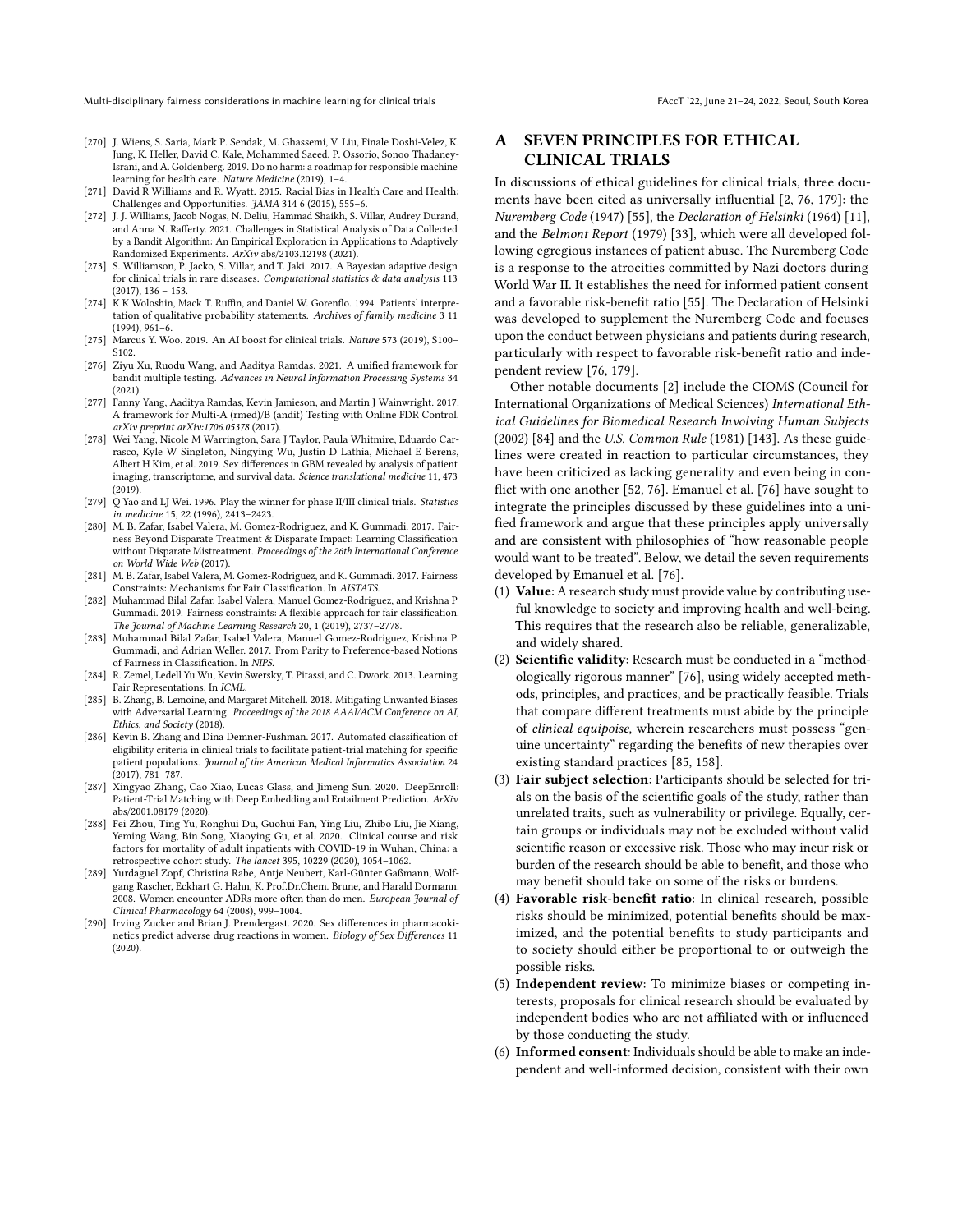- <span id="page-16-2"></span>[270] J. Wiens, S. Saria, Mark P. Sendak, M. Ghassemi, V. Liu, Finale Doshi-Velez, K. Jung, K. Heller, David C. Kale, Mohammed Saeed, P. Ossorio, Sonoo Thadaney-Israni, and A. Goldenberg. 2019. Do no harm: a roadmap for responsible machine learning for health care. Nature Medicine (2019), 1–4.
- <span id="page-16-12"></span>[271] David R Williams and R. Wyatt. 2015. Racial Bias in Health Care and Health: Challenges and Opportunities. JAMA 314 6 (2015), 555–6.
- <span id="page-16-3"></span>[272] J. J. Williams, Jacob Nogas, N. Deliu, Hammad Shaikh, S. Villar, Audrey Durand, and Anna N. Rafferty. 2021. Challenges in Statistical Analysis of Data Collected by a Bandit Algorithm: An Empirical Exploration in Applications to Adaptively Randomized Experiments. ArXiv abs/2103.12198 (2021).
- <span id="page-16-4"></span>[273] S. Williamson, P. Jacko, S. Villar, and T. Jaki. 2017. A Bayesian adaptive design for clinical trials in rare diseases. Computational statistics & data analysis 113  $(2017), 136 - 153.$
- <span id="page-16-13"></span>[274] K K Woloshin, Mack T. Ruffin, and Daniel W. Gorenflo. 1994. Patients' interpretation of qualitative probability statements. Archives of family medicine 3 11 (1994), 961–6.
- <span id="page-16-0"></span>[275] Marcus Y. Woo. 2019. An AI boost for clinical trials. Nature 573 (2019), S100– S102.
- <span id="page-16-15"></span>[276] Ziyu Xu, Ruodu Wang, and Aaditya Ramdas. 2021. A unified framework for bandit multiple testing. Advances in Neural Information Processing Systems 34 (2021).
- <span id="page-16-16"></span>[277] Fanny Yang, Aaditya Ramdas, Kevin Jamieson, and Martin J Wainwright. 2017. A framework for Multi-A (rmed)/B (andit) Testing with Online FDR Control. arXiv preprint arXiv:1706.05378 (2017).
- <span id="page-16-6"></span>[278] Wei Yang, Nicole M Warrington, Sara J Taylor, Paula Whitmire, Eduardo Carrasco, Kyle W Singleton, Ningying Wu, Justin D Lathia, Michael E Berens, Albert H Kim, et al. 2019. Sex differences in GBM revealed by analysis of patient imaging, transcriptome, and survival data. Science translational medicine 11, 473 (2019).
- <span id="page-16-9"></span>[279] Q Yao and LJ Wei. 1996. Play the winner for phase II/III clinical trials. Statistics in medicine 15, 22 (1996), 2413–2423.
- <span id="page-16-17"></span>[280] M. B. Zafar, Isabel Valera, M. Gomez-Rodriguez, and K. Gummadi. 2017. Fairness Beyond Disparate Treatment & Disparate Impact: Learning Classification without Disparate Mistreatment. Proceedings of the 26th International Conference on World Wide Web (2017).
- <span id="page-16-21"></span>[281] M. B. Zafar, Isabel Valera, M. Gomez-Rodriguez, and K. Gummadi. 2017. Fairness Constraints: Mechanisms for Fair Classification. In AISTATS.
- <span id="page-16-18"></span>[282] Muhammad Bilal Zafar, Isabel Valera, Manuel Gomez-Rodriguez, and Krishna P Gummadi. 2019. Fairness constraints: A flexible approach for fair classification. The Journal of Machine Learning Research 20, 1 (2019), 2737–2778.
- <span id="page-16-14"></span>[283] Muhammad Bilal Zafar, Isabel Valera, Manuel Gomez-Rodriguez, Krishna P. Gummadi, and Adrian Weller. 2017. From Parity to Preference-based Notions of Fairness in Classification. In NIPS.
- <span id="page-16-19"></span>[284] R. Zemel, Ledell Yu Wu, Kevin Swersky, T. Pitassi, and C. Dwork. 2013. Learning Fair Representations. In ICML.
- <span id="page-16-20"></span>[285] B. Zhang, B. Lemoine, and Margaret Mitchell. 2018. Mitigating Unwanted Biases with Adversarial Learning. Proceedings of the 2018 AAAI/ACM Conference on AI, Ethics, and Society (2018).
- <span id="page-16-11"></span>[286] Kevin B. Zhang and Dina Demner-Fushman. 2017. Automated classification of eligibility criteria in clinical trials to facilitate patient-trial matching for specific patient populations. Journal of the American Medical Informatics Association 24 (2017), 781–787.
- <span id="page-16-1"></span>[287] Xingyao Zhang, Cao Xiao, Lucas Glass, and Jimeng Sun. 2020. DeepEnroll: Patient-Trial Matching with Deep Embedding and Entailment Prediction. ArXiv abs/2001.08179 (2020).
- <span id="page-16-10"></span>[288] Fei Zhou, Ting Yu, Ronghui Du, Guohui Fan, Ying Liu, Zhibo Liu, Jie Xiang, Yeming Wang, Bin Song, Xiaoying Gu, et al. 2020. Clinical course and risk factors for mortality of adult inpatients with COVID-19 in Wuhan, China: a retrospective cohort study. The lancet 395, 10229 (2020), 1054–1062.
- <span id="page-16-7"></span>[289] Yurdaguel Zopf, Christina Rabe, Antje Neubert, Karl-Günter Gaßmann, Wolfgang Rascher, Eckhart G. Hahn, K. Prof.Dr.Chem. Brune, and Harald Dormann. 2008. Women encounter ADRs more often than do men. European Journal of Clinical Pharmacology 64 (2008), 999–1004.
- <span id="page-16-8"></span>[290] Irving Zucker and Brian J. Prendergast. 2020. Sex differences in pharmacokinetics predict adverse drug reactions in women. Biology of Sex Differences 11 (2020).

# <span id="page-16-5"></span>A SEVEN PRINCIPLES FOR ETHICAL CLINICAL TRIALS

In discussions of ethical guidelines for clinical trials, three documents have been cited as universally influential [\[2,](#page-10-13) [76,](#page-11-9) [179\]](#page-13-0): the Nuremberg Code (1947) [\[55\]](#page-11-43), the Declaration of Helsinki (1964) [\[11\]](#page-10-19), and the Belmont Report (1979) [\[33\]](#page-10-22), which were all developed following egregious instances of patient abuse. The Nuremberg Code is a response to the atrocities committed by Nazi doctors during World War II. It establishes the need for informed patient consent and a favorable risk-benefit ratio [\[55\]](#page-11-43). The Declaration of Helsinki was developed to supplement the Nuremberg Code and focuses upon the conduct between physicians and patients during research, particularly with respect to favorable risk-benefit ratio and independent review [\[76,](#page-11-9) [179\]](#page-13-0).

Other notable documents [\[2\]](#page-10-13) include the CIOMS (Council for International Organizations of Medical Sciences) International Ethical Guidelines for Biomedical Research Involving Human Subjects (2002) [\[84\]](#page-11-18) and the U.S. Common Rule (1981) [\[143\]](#page-13-41). As these guidelines were created in reaction to particular circumstances, they have been criticized as lacking generality and even being in conflict with one another [\[52,](#page-11-44) [76\]](#page-11-9). Emanuel et al. [\[76\]](#page-11-9) have sought to integrate the principles discussed by these guidelines into a unified framework and argue that these principles apply universally and are consistent with philosophies of "how reasonable people would want to be treated". Below, we detail the seven requirements developed by Emanuel et al. [\[76\]](#page-11-9).

- (1) Value: A research study must provide value by contributing useful knowledge to society and improving health and well-being. This requires that the research also be reliable, generalizable, and widely shared.
- (2) Scientific validity: Research must be conducted in a "methodologically rigorous manner" [\[76\]](#page-11-9), using widely accepted methods, principles, and practices, and be practically feasible. Trials that compare different treatments must abide by the principle of clinical equipoise, wherein researchers must possess "genuine uncertainty" regarding the benefits of new therapies over existing standard practices [\[85,](#page-11-24) [158\]](#page-13-13).
- (3) Fair subject selection: Participants should be selected for trials on the basis of the scientific goals of the study, rather than unrelated traits, such as vulnerability or privilege. Equally, certain groups or individuals may not be excluded without valid scientific reason or excessive risk. Those who may incur risk or burden of the research should be able to benefit, and those who may benefit should take on some of the risks or burdens.
- (4) Favorable risk-benefit ratio: In clinical research, possible risks should be minimized, potential benefits should be maximized, and the potential benefits to study participants and to society should either be proportional to or outweigh the possible risks.
- (5) Independent review: To minimize biases or competing interests, proposals for clinical research should be evaluated by independent bodies who are not affiliated with or influenced by those conducting the study.
- (6) Informed consent: Individuals should be able to make an independent and well-informed decision, consistent with their own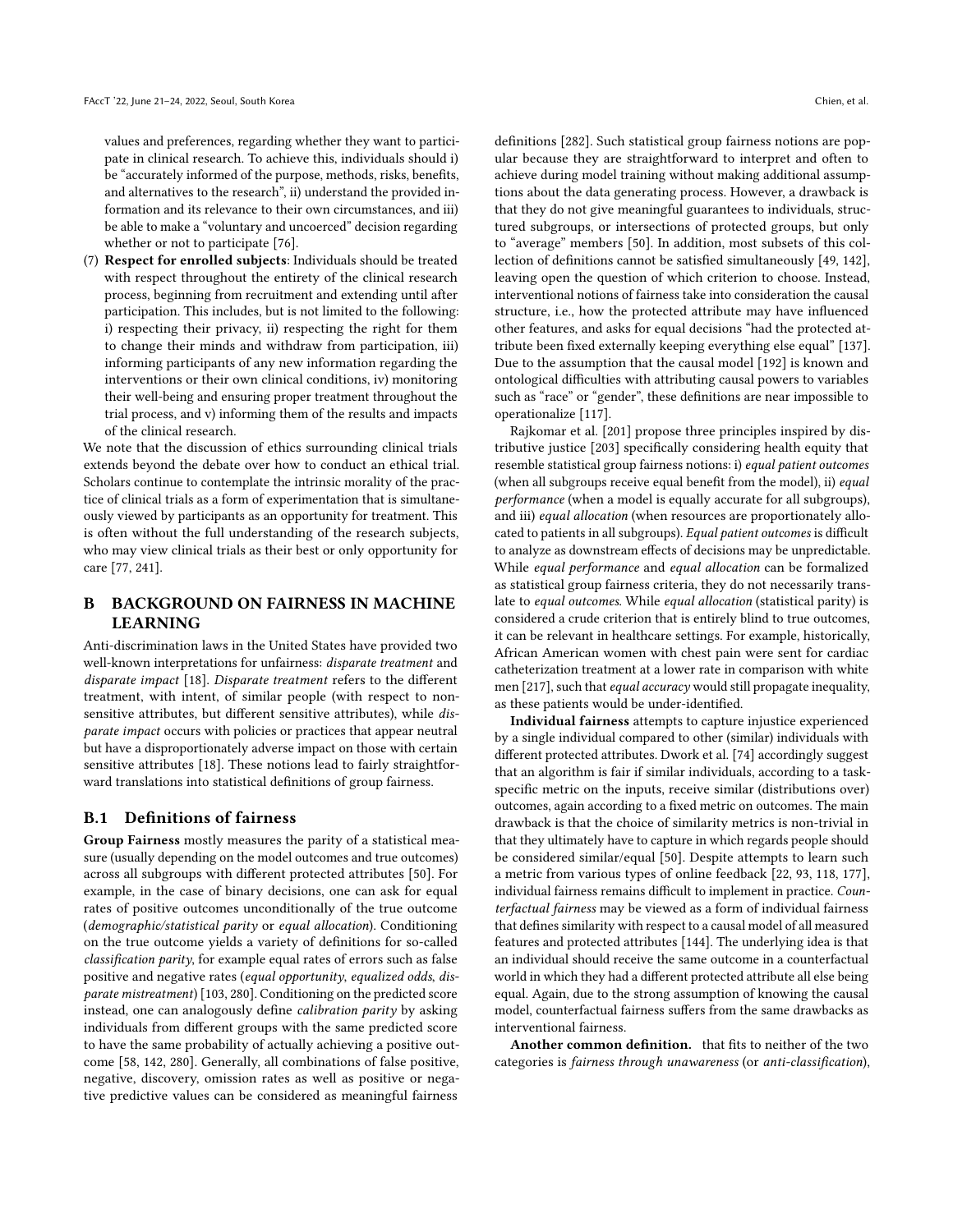values and preferences, regarding whether they want to participate in clinical research. To achieve this, individuals should i) be "accurately informed of the purpose, methods, risks, benefits, and alternatives to the research", ii) understand the provided information and its relevance to their own circumstances, and iii) be able to make a "voluntary and uncoerced" decision regarding whether or not to participate [\[76\]](#page-11-9).

(7) Respect for enrolled subjects: Individuals should be treated with respect throughout the entirety of the clinical research process, beginning from recruitment and extending until after participation. This includes, but is not limited to the following: i) respecting their privacy, ii) respecting the right for them to change their minds and withdraw from participation, iii) informing participants of any new information regarding the interventions or their own clinical conditions, iv) monitoring their well-being and ensuring proper treatment throughout the trial process, and v) informing them of the results and impacts of the clinical research.

We note that the discussion of ethics surrounding clinical trials extends beyond the debate over how to conduct an ethical trial. Scholars continue to contemplate the intrinsic morality of the practice of clinical trials as a form of experimentation that is simultaneously viewed by participants as an opportunity for treatment. This is often without the full understanding of the research subjects, who may view clinical trials as their best or only opportunity for care [\[77,](#page-11-45) [241\]](#page-15-38).

# <span id="page-17-0"></span>B BACKGROUND ON FAIRNESS IN MACHINE LEARNING

Anti-discrimination laws in the United States have provided two well-known interpretations for unfairness: disparate treatment and disparate impact [\[18\]](#page-10-15). Disparate treatment refers to the different treatment, with intent, of similar people (with respect to nonsensitive attributes, but different sensitive attributes), while disparate impact occurs with policies or practices that appear neutral but have a disproportionately adverse impact on those with certain sensitive attributes [\[18\]](#page-10-15). These notions lead to fairly straightforward translations into statistical definitions of group fairness.

## B.1 Definitions of fairness

Group Fairness mostly measures the parity of a statistical measure (usually depending on the model outcomes and true outcomes) across all subgroups with different protected attributes [\[50\]](#page-11-5). For example, in the case of binary decisions, one can ask for equal rates of positive outcomes unconditionally of the true outcome (demographic/statistical parity or equal allocation). Conditioning on the true outcome yields a variety of definitions for so-called classification parity, for example equal rates of errors such as false positive and negative rates (equal opportunity, equalized odds, disparate mistreatment) [\[103,](#page-12-45) [280\]](#page-16-17). Conditioning on the predicted score instead, one can analogously define calibration parity by asking individuals from different groups with the same predicted score to have the same probability of actually achieving a positive outcome [\[58,](#page-11-46) [142,](#page-13-5) [280\]](#page-16-17). Generally, all combinations of false positive, negative, discovery, omission rates as well as positive or negative predictive values can be considered as meaningful fairness

definitions [\[282\]](#page-16-18). Such statistical group fairness notions are popular because they are straightforward to interpret and often to achieve during model training without making additional assumptions about the data generating process. However, a drawback is that they do not give meaningful guarantees to individuals, structured subgroups, or intersections of protected groups, but only to "average" members [\[50\]](#page-11-5). In addition, most subsets of this collection of definitions cannot be satisfied simultaneously [\[49,](#page-11-12) [142\]](#page-13-5), leaving open the question of which criterion to choose. Instead, interventional notions of fairness take into consideration the causal structure, i.e., how the protected attribute may have influenced other features, and asks for equal decisions "had the protected attribute been fixed externally keeping everything else equal" [\[137\]](#page-12-8). Due to the assumption that the causal model [\[192\]](#page-14-45) is known and ontological difficulties with attributing causal powers to variables such as "race" or "gender", these definitions are near impossible to operationalize [\[117\]](#page-12-7).

Rajkomar et al. [\[201\]](#page-14-8) propose three principles inspired by distributive justice [\[203\]](#page-14-46) specifically considering health equity that resemble statistical group fairness notions: i) equal patient outcomes (when all subgroups receive equal benefit from the model), ii) equal performance (when a model is equally accurate for all subgroups), and iii) equal allocation (when resources are proportionately allocated to patients in all subgroups). Equal patient outcomes is difficult to analyze as downstream effects of decisions may be unpredictable. While equal performance and equal allocation can be formalized as statistical group fairness criteria, they do not necessarily translate to equal outcomes. While equal allocation (statistical parity) is considered a crude criterion that is entirely blind to true outcomes, it can be relevant in healthcare settings. For example, historically, African American women with chest pain were sent for cardiac catheterization treatment at a lower rate in comparison with white men [\[217\]](#page-14-47), such that equal accuracy would still propagate inequality, as these patients would be under-identified.

Individual fairness attempts to capture injustice experienced by a single individual compared to other (similar) individuals with different protected attributes. Dwork et al. [\[74\]](#page-11-47) accordingly suggest that an algorithm is fair if similar individuals, according to a taskspecific metric on the inputs, receive similar (distributions over) outcomes, again according to a fixed metric on outcomes. The main drawback is that the choice of similarity metrics is non-trivial in that they ultimately have to capture in which regards people should be considered similar/equal [\[50\]](#page-11-5). Despite attempts to learn such a metric from various types of online feedback [\[22,](#page-10-39) [93,](#page-12-37) [118,](#page-12-46) [177\]](#page-13-42), individual fairness remains difficult to implement in practice. Counterfactual fairness may be viewed as a form of individual fairness that defines similarity with respect to a causal model of all measured features and protected attributes [\[144\]](#page-13-7). The underlying idea is that an individual should receive the same outcome in a counterfactual world in which they had a different protected attribute all else being equal. Again, due to the strong assumption of knowing the causal model, counterfactual fairness suffers from the same drawbacks as interventional fairness.

Another common definition. that fits to neither of the two categories is fairness through unawareness (or anti-classification),